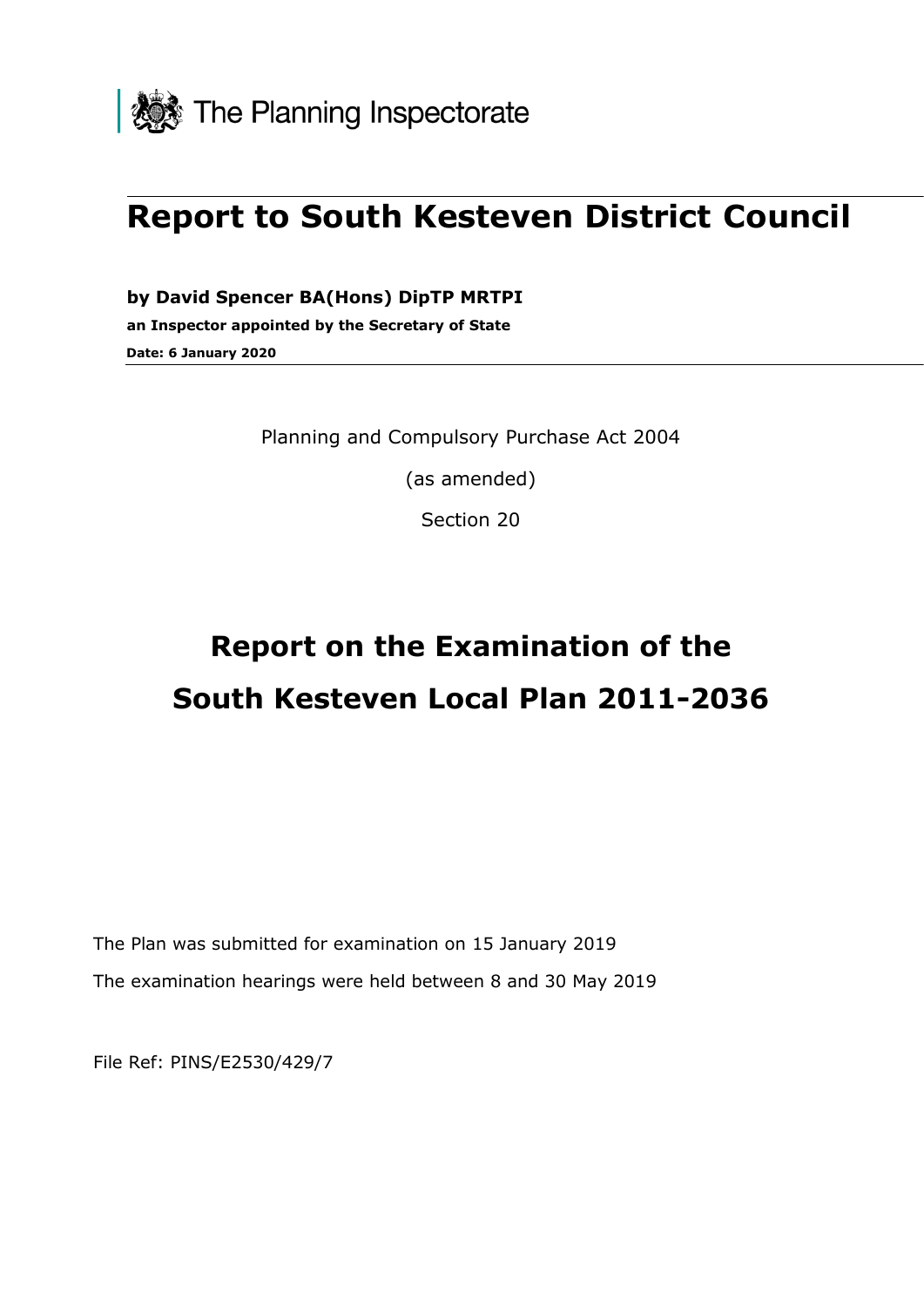

## **Report to South Kesteven District Council**

**by David Spencer BA(Hons) DipTP MRTPI an Inspector appointed by the Secretary of State Date: 6 January 2020**

Planning and Compulsory Purchase Act 2004

(as amended)

Section 20

# **Report on the Examination of the South Kesteven Local Plan 2011-2036**

The Plan was submitted for examination on 15 January 2019 The examination hearings were held between 8 and 30 May 2019

File Ref: PINS/E2530/429/7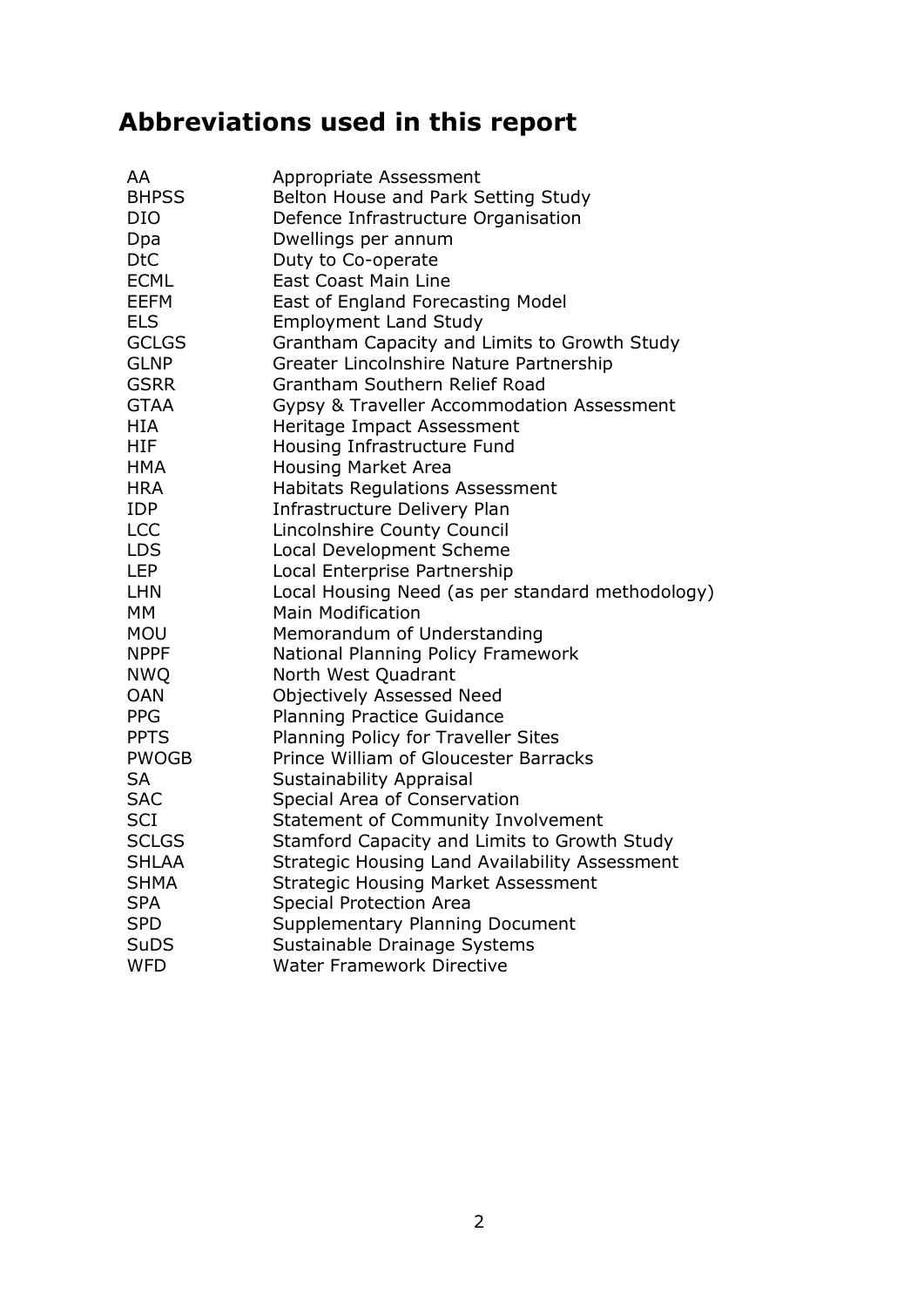## **Abbreviations used in this report**

| AA           | Appropriate Assessment                           |
|--------------|--------------------------------------------------|
| <b>BHPSS</b> | Belton House and Park Setting Study              |
| <b>DIO</b>   | Defence Infrastructure Organisation              |
| Dpa          | Dwellings per annum                              |
| <b>DtC</b>   | Duty to Co-operate                               |
| <b>ECML</b>  | <b>East Coast Main Line</b>                      |
| <b>EEFM</b>  | East of England Forecasting Model                |
| <b>ELS</b>   | <b>Employment Land Study</b>                     |
| <b>GCLGS</b> | Grantham Capacity and Limits to Growth Study     |
| <b>GLNP</b>  | Greater Lincolnshire Nature Partnership          |
| <b>GSRR</b>  | Grantham Southern Relief Road                    |
| <b>GTAA</b>  | Gypsy & Traveller Accommodation Assessment       |
| <b>HIA</b>   | Heritage Impact Assessment                       |
| <b>HIF</b>   | Housing Infrastructure Fund                      |
| <b>HMA</b>   | Housing Market Area                              |
| <b>HRA</b>   | <b>Habitats Regulations Assessment</b>           |
| <b>IDP</b>   | Infrastructure Delivery Plan                     |
| <b>LCC</b>   | Lincolnshire County Council                      |
| <b>LDS</b>   | Local Development Scheme                         |
| <b>LEP</b>   | Local Enterprise Partnership                     |
| <b>LHN</b>   | Local Housing Need (as per standard methodology) |
| МM           | <b>Main Modification</b>                         |
| <b>MOU</b>   | Memorandum of Understanding                      |
| <b>NPPF</b>  | National Planning Policy Framework               |
| <b>NWQ</b>   | North West Quadrant                              |
| <b>OAN</b>   | Objectively Assessed Need                        |
| <b>PPG</b>   | <b>Planning Practice Guidance</b>                |
| <b>PPTS</b>  | Planning Policy for Traveller Sites              |
| <b>PWOGB</b> | Prince William of Gloucester Barracks            |
| <b>SA</b>    | Sustainability Appraisal                         |
| <b>SAC</b>   | Special Area of Conservation                     |
| <b>SCI</b>   | <b>Statement of Community Involvement</b>        |
| <b>SCLGS</b> | Stamford Capacity and Limits to Growth Study     |
| <b>SHLAA</b> | Strategic Housing Land Availability Assessment   |
| <b>SHMA</b>  | <b>Strategic Housing Market Assessment</b>       |
| <b>SPA</b>   | <b>Special Protection Area</b>                   |
| <b>SPD</b>   | <b>Supplementary Planning Document</b>           |
| <b>SuDS</b>  | Sustainable Drainage Systems                     |
| <b>WFD</b>   | <b>Water Framework Directive</b>                 |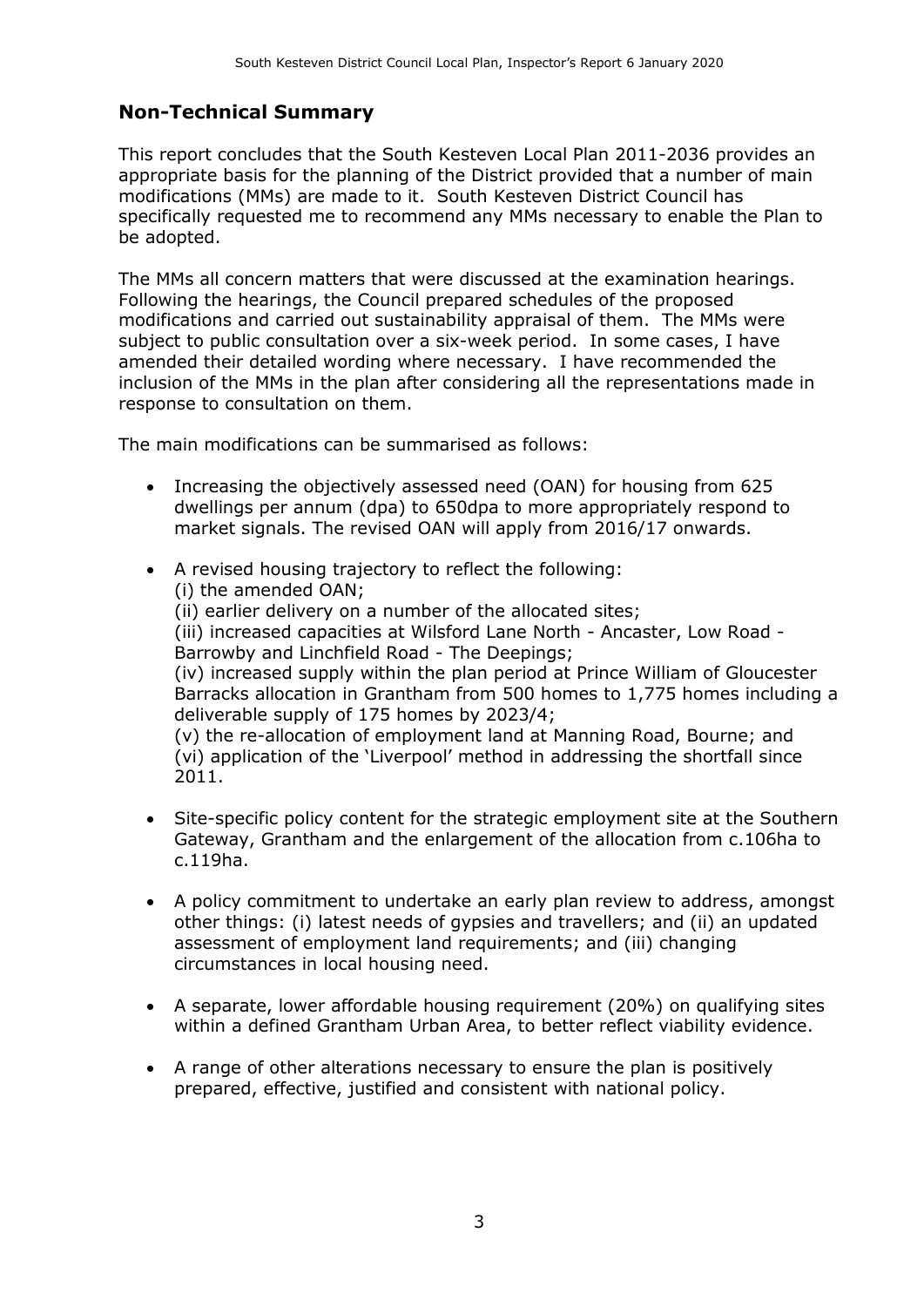#### **Non-Technical Summary**

This report concludes that the South Kesteven Local Plan 2011-2036 provides an appropriate basis for the planning of the District provided that a number of main modifications (MMs) are made to it. South Kesteven District Council has specifically requested me to recommend any MMs necessary to enable the Plan to be adopted.

The MMs all concern matters that were discussed at the examination hearings. Following the hearings, the Council prepared schedules of the proposed modifications and carried out sustainability appraisal of them. The MMs were subject to public consultation over a six-week period. In some cases, I have amended their detailed wording where necessary. I have recommended the inclusion of the MMs in the plan after considering all the representations made in response to consultation on them.

The main modifications can be summarised as follows:

- Increasing the objectively assessed need (OAN) for housing from 625 dwellings per annum (dpa) to 650dpa to more appropriately respond to market signals. The revised OAN will apply from 2016/17 onwards.
- A revised housing trajectory to reflect the following: (i) the amended OAN; (ii) earlier delivery on a number of the allocated sites; (iii) increased capacities at Wilsford Lane North - Ancaster, Low Road - Barrowby and Linchfield Road - The Deepings; (iv) increased supply within the plan period at Prince William of Gloucester Barracks allocation in Grantham from 500 homes to 1,775 homes including a deliverable supply of 175 homes by 2023/4; (v) the re-allocation of employment land at Manning Road, Bourne; and (vi) application of the 'Liverpool' method in addressing the shortfall since 2011.
- Site-specific policy content for the strategic employment site at the Southern Gateway, Grantham and the enlargement of the allocation from c.106ha to c.119ha.
- A policy commitment to undertake an early plan review to address, amongst other things: (i) latest needs of gypsies and travellers; and (ii) an updated assessment of employment land requirements; and (iii) changing circumstances in local housing need.
- A separate, lower affordable housing requirement (20%) on qualifying sites within a defined Grantham Urban Area, to better reflect viability evidence.
- A range of other alterations necessary to ensure the plan is positively prepared, effective, justified and consistent with national policy.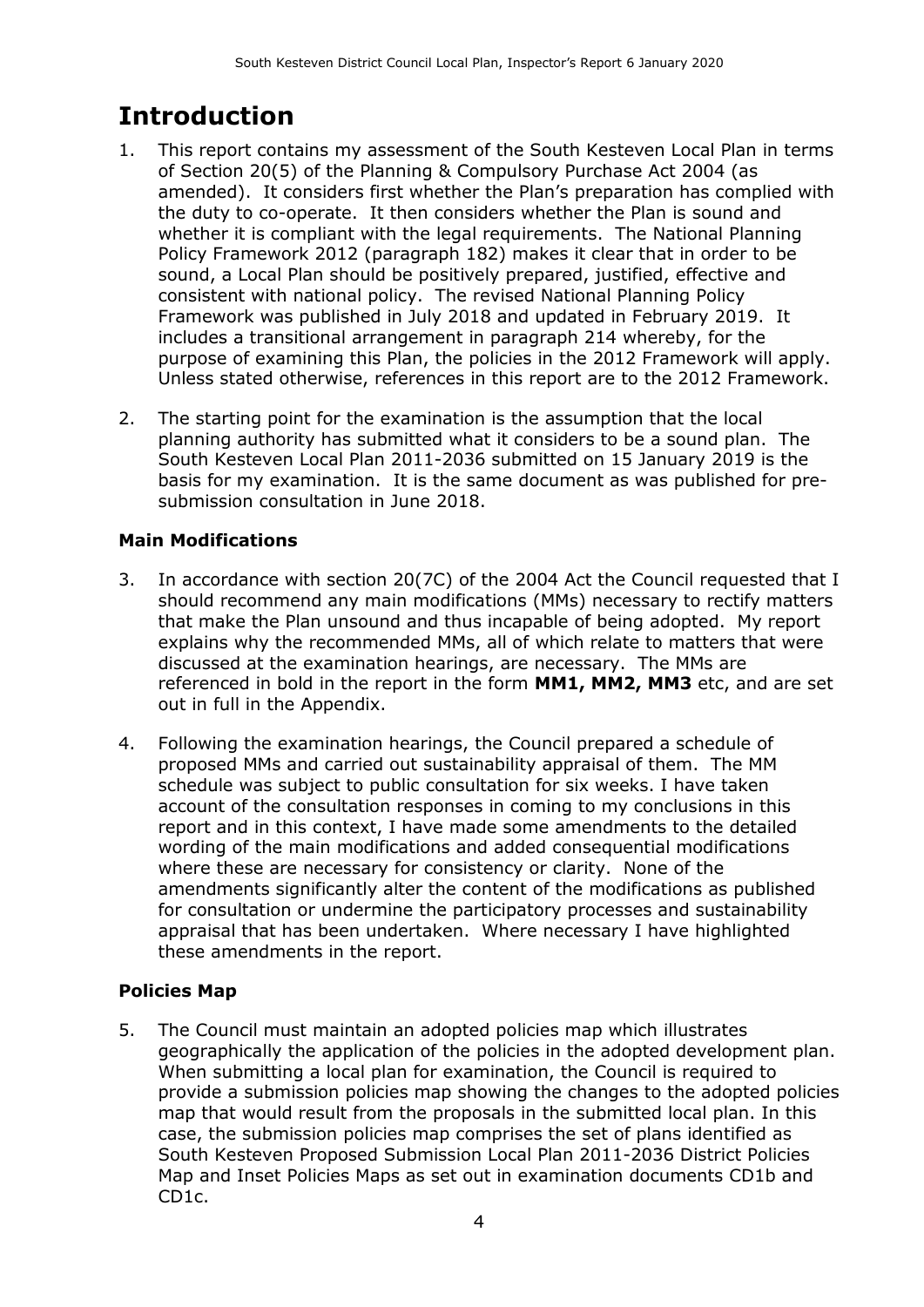## **Introduction**

- 1. This report contains my assessment of the South Kesteven Local Plan in terms of Section 20(5) of the Planning & Compulsory Purchase Act 2004 (as amended). It considers first whether the Plan's preparation has complied with the duty to co-operate. It then considers whether the Plan is sound and whether it is compliant with the legal requirements. The National Planning Policy Framework 2012 (paragraph 182) makes it clear that in order to be sound, a Local Plan should be positively prepared, justified, effective and consistent with national policy. The revised National Planning Policy Framework was published in July 2018 and updated in February 2019. It includes a transitional arrangement in paragraph 214 whereby, for the purpose of examining this Plan, the policies in the 2012 Framework will apply. Unless stated otherwise, references in this report are to the 2012 Framework.
- 2. The starting point for the examination is the assumption that the local planning authority has submitted what it considers to be a sound plan. The South Kesteven Local Plan 2011-2036 submitted on 15 January 2019 is the basis for my examination. It is the same document as was published for presubmission consultation in June 2018.

#### **Main Modifications**

- 3. In accordance with section 20(7C) of the 2004 Act the Council requested that I should recommend any main modifications (MMs) necessary to rectify matters that make the Plan unsound and thus incapable of being adopted. My report explains why the recommended MMs, all of which relate to matters that were discussed at the examination hearings, are necessary. The MMs are referenced in bold in the report in the form **MM1, MM2, MM3** etc, and are set out in full in the Appendix.
- 4. Following the examination hearings, the Council prepared a schedule of proposed MMs and carried out sustainability appraisal of them. The MM schedule was subject to public consultation for six weeks. I have taken account of the consultation responses in coming to my conclusions in this report and in this context, I have made some amendments to the detailed wording of the main modifications and added consequential modifications where these are necessary for consistency or clarity. None of the amendments significantly alter the content of the modifications as published for consultation or undermine the participatory processes and sustainability appraisal that has been undertaken. Where necessary I have highlighted these amendments in the report.

#### **Policies Map**

5. The Council must maintain an adopted policies map which illustrates geographically the application of the policies in the adopted development plan. When submitting a local plan for examination, the Council is required to provide a submission policies map showing the changes to the adopted policies map that would result from the proposals in the submitted local plan. In this case, the submission policies map comprises the set of plans identified as South Kesteven Proposed Submission Local Plan 2011-2036 District Policies Map and Inset Policies Maps as set out in examination documents CD1b and CD1c.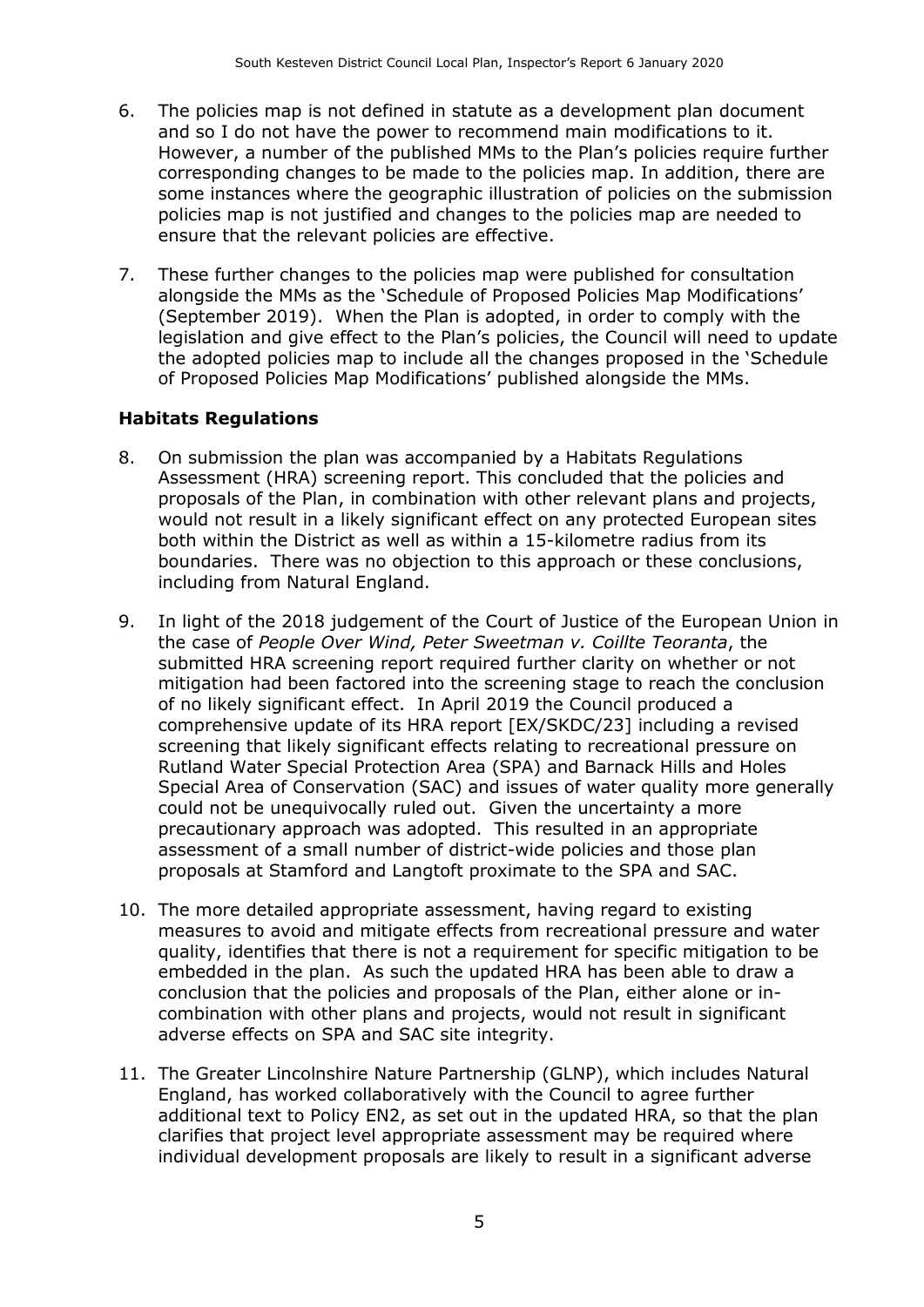- 6. The policies map is not defined in statute as a development plan document and so I do not have the power to recommend main modifications to it. However, a number of the published MMs to the Plan's policies require further corresponding changes to be made to the policies map. In addition, there are some instances where the geographic illustration of policies on the submission policies map is not justified and changes to the policies map are needed to ensure that the relevant policies are effective.
- 7. These further changes to the policies map were published for consultation alongside the MMs as the 'Schedule of Proposed Policies Map Modifications' (September 2019). When the Plan is adopted, in order to comply with the legislation and give effect to the Plan's policies, the Council will need to update the adopted policies map to include all the changes proposed in the 'Schedule of Proposed Policies Map Modifications' published alongside the MMs.

#### **Habitats Regulations**

- 8. On submission the plan was accompanied by a Habitats Regulations Assessment (HRA) screening report. This concluded that the policies and proposals of the Plan, in combination with other relevant plans and projects, would not result in a likely significant effect on any protected European sites both within the District as well as within a 15-kilometre radius from its boundaries. There was no objection to this approach or these conclusions, including from Natural England.
- 9. In light of the 2018 judgement of the Court of Justice of the European Union in the case of *People Over Wind, Peter Sweetman v. Coillte Teoranta*, the submitted HRA screening report required further clarity on whether or not mitigation had been factored into the screening stage to reach the conclusion of no likely significant effect. In April 2019 the Council produced a comprehensive update of its HRA report [EX/SKDC/23] including a revised screening that likely significant effects relating to recreational pressure on Rutland Water Special Protection Area (SPA) and Barnack Hills and Holes Special Area of Conservation (SAC) and issues of water quality more generally could not be unequivocally ruled out. Given the uncertainty a more precautionary approach was adopted. This resulted in an appropriate assessment of a small number of district-wide policies and those plan proposals at Stamford and Langtoft proximate to the SPA and SAC.
- 10. The more detailed appropriate assessment, having regard to existing measures to avoid and mitigate effects from recreational pressure and water quality, identifies that there is not a requirement for specific mitigation to be embedded in the plan. As such the updated HRA has been able to draw a conclusion that the policies and proposals of the Plan, either alone or incombination with other plans and projects, would not result in significant adverse effects on SPA and SAC site integrity.
- 11. The Greater Lincolnshire Nature Partnership (GLNP), which includes Natural England, has worked collaboratively with the Council to agree further additional text to Policy EN2, as set out in the updated HRA, so that the plan clarifies that project level appropriate assessment may be required where individual development proposals are likely to result in a significant adverse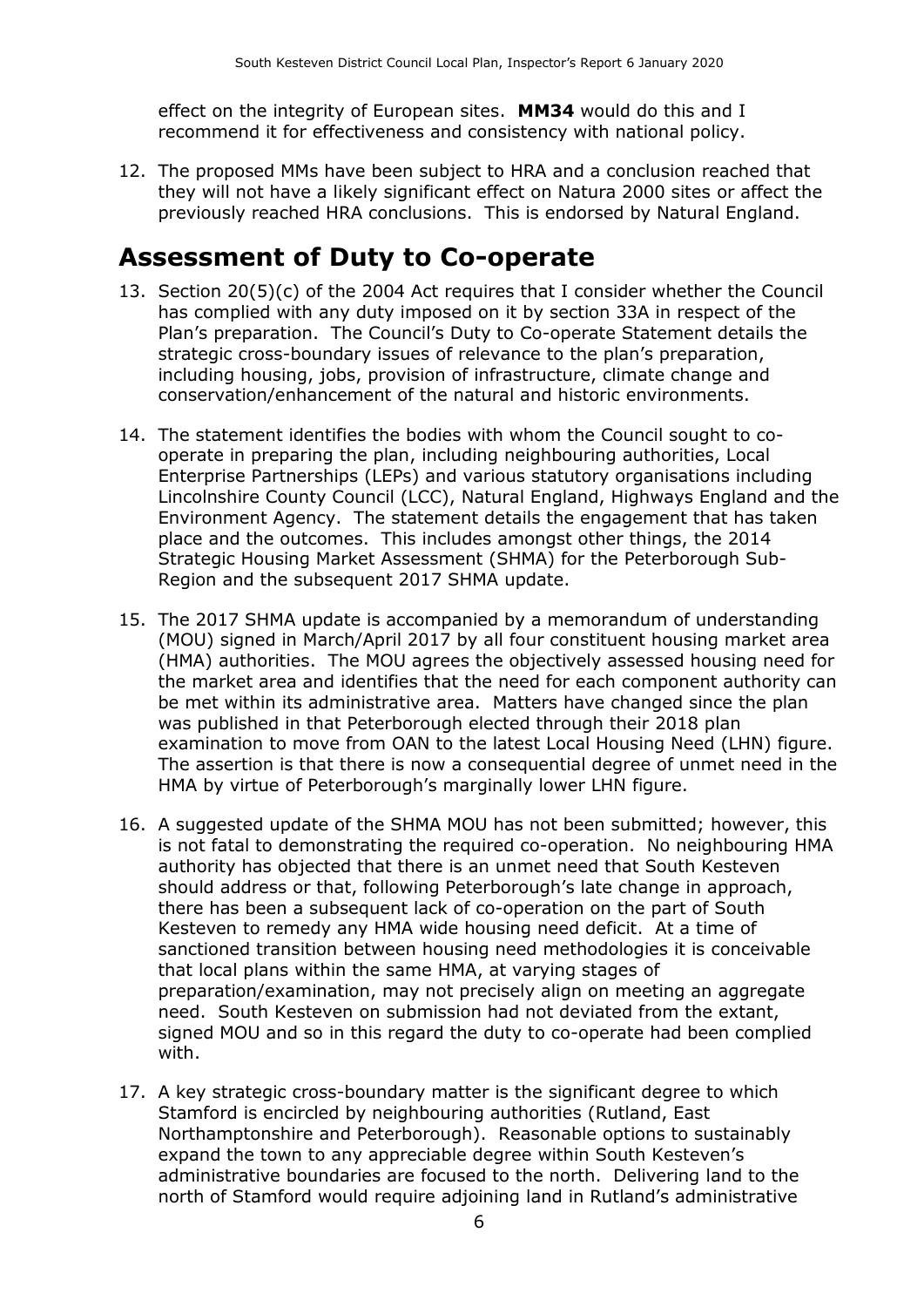effect on the integrity of European sites. **MM34** would do this and I recommend it for effectiveness and consistency with national policy.

12. The proposed MMs have been subject to HRA and a conclusion reached that they will not have a likely significant effect on Natura 2000 sites or affect the previously reached HRA conclusions. This is endorsed by Natural England.

### **Assessment of Duty to Co-operate**

- 13. Section 20(5)(c) of the 2004 Act requires that I consider whether the Council has complied with any duty imposed on it by section 33A in respect of the Plan's preparation. The Council's Duty to Co-operate Statement details the strategic cross-boundary issues of relevance to the plan's preparation, including housing, jobs, provision of infrastructure, climate change and conservation/enhancement of the natural and historic environments.
- 14. The statement identifies the bodies with whom the Council sought to cooperate in preparing the plan, including neighbouring authorities, Local Enterprise Partnerships (LEPs) and various statutory organisations including Lincolnshire County Council (LCC), Natural England, Highways England and the Environment Agency. The statement details the engagement that has taken place and the outcomes. This includes amongst other things, the 2014 Strategic Housing Market Assessment (SHMA) for the Peterborough Sub-Region and the subsequent 2017 SHMA update.
- 15. The 2017 SHMA update is accompanied by a memorandum of understanding (MOU) signed in March/April 2017 by all four constituent housing market area (HMA) authorities. The MOU agrees the objectively assessed housing need for the market area and identifies that the need for each component authority can be met within its administrative area. Matters have changed since the plan was published in that Peterborough elected through their 2018 plan examination to move from OAN to the latest Local Housing Need (LHN) figure. The assertion is that there is now a consequential degree of unmet need in the HMA by virtue of Peterborough's marginally lower LHN figure.
- 16. A suggested update of the SHMA MOU has not been submitted; however, this is not fatal to demonstrating the required co-operation. No neighbouring HMA authority has objected that there is an unmet need that South Kesteven should address or that, following Peterborough's late change in approach, there has been a subsequent lack of co-operation on the part of South Kesteven to remedy any HMA wide housing need deficit. At a time of sanctioned transition between housing need methodologies it is conceivable that local plans within the same HMA, at varying stages of preparation/examination, may not precisely align on meeting an aggregate need. South Kesteven on submission had not deviated from the extant, signed MOU and so in this regard the duty to co-operate had been complied with.
- 17. A key strategic cross-boundary matter is the significant degree to which Stamford is encircled by neighbouring authorities (Rutland, East Northamptonshire and Peterborough). Reasonable options to sustainably expand the town to any appreciable degree within South Kesteven's administrative boundaries are focused to the north. Delivering land to the north of Stamford would require adjoining land in Rutland's administrative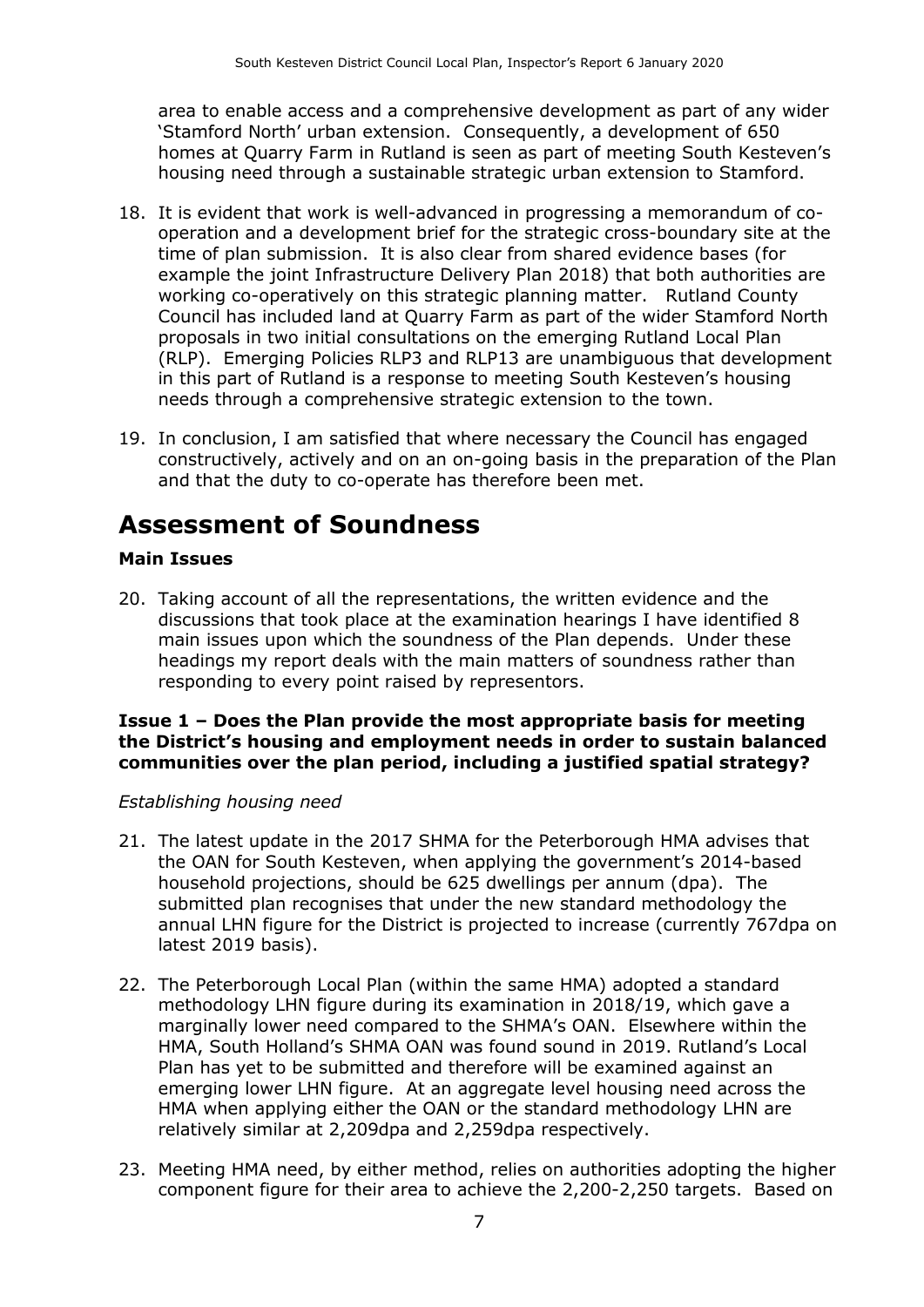area to enable access and a comprehensive development as part of any wider 'Stamford North' urban extension. Consequently, a development of 650 homes at Quarry Farm in Rutland is seen as part of meeting South Kesteven's housing need through a sustainable strategic urban extension to Stamford.

- 18. It is evident that work is well-advanced in progressing a memorandum of cooperation and a development brief for the strategic cross-boundary site at the time of plan submission. It is also clear from shared evidence bases (for example the joint Infrastructure Delivery Plan 2018) that both authorities are working co-operatively on this strategic planning matter. Rutland County Council has included land at Quarry Farm as part of the wider Stamford North proposals in two initial consultations on the emerging Rutland Local Plan (RLP). Emerging Policies RLP3 and RLP13 are unambiguous that development in this part of Rutland is a response to meeting South Kesteven's housing needs through a comprehensive strategic extension to the town.
- 19. In conclusion, I am satisfied that where necessary the Council has engaged constructively, actively and on an on-going basis in the preparation of the Plan and that the duty to co-operate has therefore been met.

### **Assessment of Soundness**

#### **Main Issues**

20. Taking account of all the representations, the written evidence and the discussions that took place at the examination hearings I have identified 8 main issues upon which the soundness of the Plan depends. Under these headings my report deals with the main matters of soundness rather than responding to every point raised by representors.

#### **Issue 1 – Does the Plan provide the most appropriate basis for meeting the District's housing and employment needs in order to sustain balanced communities over the plan period, including a justified spatial strategy?**

#### *Establishing housing need*

- 21. The latest update in the 2017 SHMA for the Peterborough HMA advises that the OAN for South Kesteven, when applying the government's 2014-based household projections, should be 625 dwellings per annum (dpa). The submitted plan recognises that under the new standard methodology the annual LHN figure for the District is projected to increase (currently 767dpa on latest 2019 basis).
- 22. The Peterborough Local Plan (within the same HMA) adopted a standard methodology LHN figure during its examination in 2018/19, which gave a marginally lower need compared to the SHMA's OAN. Elsewhere within the HMA, South Holland's SHMA OAN was found sound in 2019. Rutland's Local Plan has yet to be submitted and therefore will be examined against an emerging lower LHN figure. At an aggregate level housing need across the HMA when applying either the OAN or the standard methodology LHN are relatively similar at 2,209dpa and 2,259dpa respectively.
- 23. Meeting HMA need, by either method, relies on authorities adopting the higher component figure for their area to achieve the 2,200-2,250 targets. Based on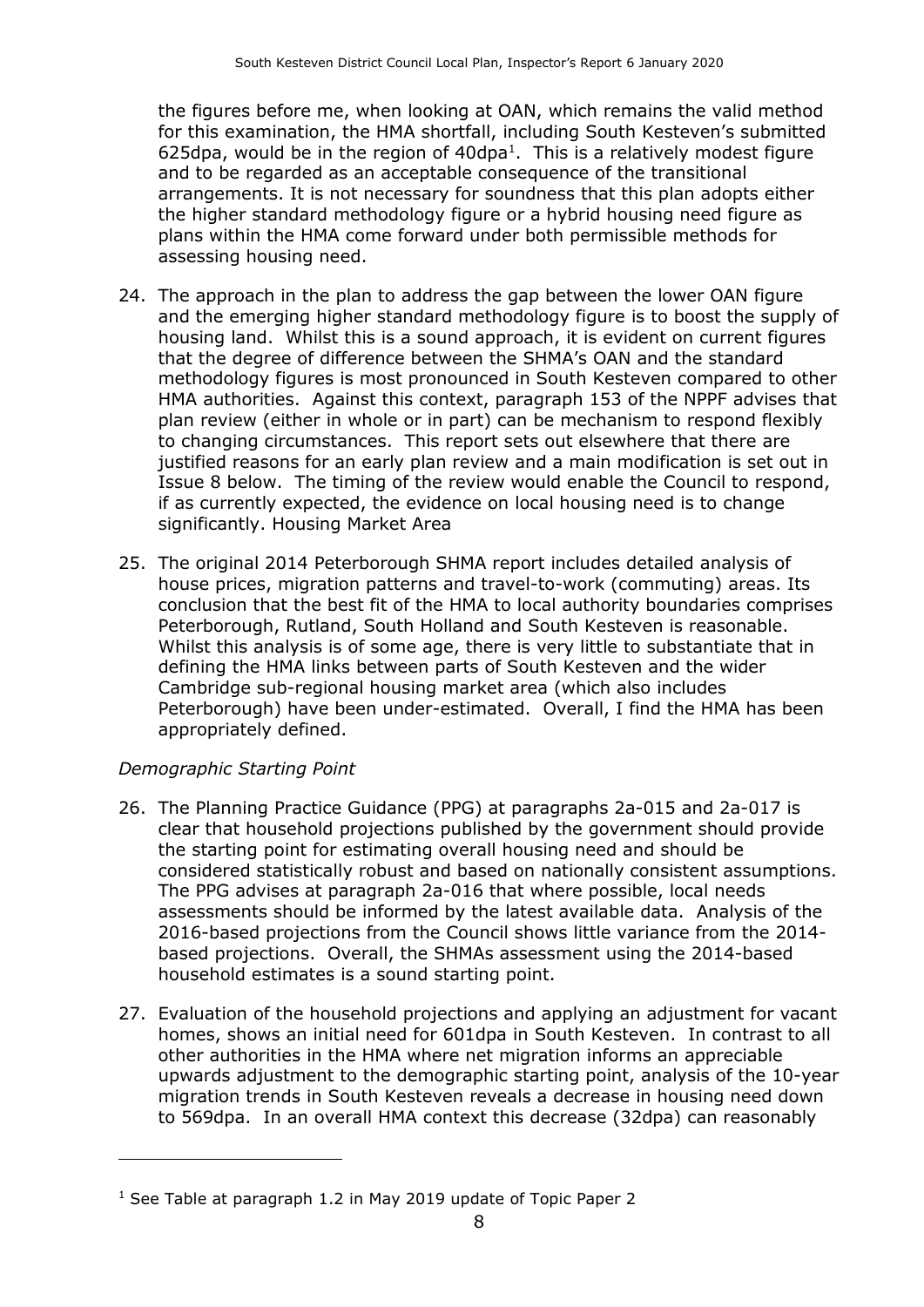the figures before me, when looking at OAN, which remains the valid method for this examination, the HMA shortfall, including South Kesteven's submitted 625dpa, would be in the region of  $40$ dpa<sup>1</sup>. This is a relatively modest figure and to be regarded as an acceptable consequence of the transitional arrangements. It is not necessary for soundness that this plan adopts either the higher standard methodology figure or a hybrid housing need figure as plans within the HMA come forward under both permissible methods for assessing housing need.

- 24. The approach in the plan to address the gap between the lower OAN figure and the emerging higher standard methodology figure is to boost the supply of housing land. Whilst this is a sound approach, it is evident on current figures that the degree of difference between the SHMA's OAN and the standard methodology figures is most pronounced in South Kesteven compared to other HMA authorities. Against this context, paragraph 153 of the NPPF advises that plan review (either in whole or in part) can be mechanism to respond flexibly to changing circumstances. This report sets out elsewhere that there are justified reasons for an early plan review and a main modification is set out in Issue 8 below. The timing of the review would enable the Council to respond, if as currently expected, the evidence on local housing need is to change significantly. Housing Market Area
- 25. The original 2014 Peterborough SHMA report includes detailed analysis of house prices, migration patterns and travel-to-work (commuting) areas. Its conclusion that the best fit of the HMA to local authority boundaries comprises Peterborough, Rutland, South Holland and South Kesteven is reasonable. Whilst this analysis is of some age, there is very little to substantiate that in defining the HMA links between parts of South Kesteven and the wider Cambridge sub-regional housing market area (which also includes Peterborough) have been under-estimated. Overall, I find the HMA has been appropriately defined.

#### *Demographic Starting Point*

 $\overline{a}$ 

- 26. The Planning Practice Guidance (PPG) at paragraphs 2a-015 and 2a-017 is clear that household projections published by the government should provide the starting point for estimating overall housing need and should be considered statistically robust and based on nationally consistent assumptions. The PPG advises at paragraph 2a-016 that where possible, local needs assessments should be informed by the latest available data. Analysis of the 2016-based projections from the Council shows little variance from the 2014 based projections. Overall, the SHMAs assessment using the 2014-based household estimates is a sound starting point.
- 27. Evaluation of the household projections and applying an adjustment for vacant homes, shows an initial need for 601dpa in South Kesteven. In contrast to all other authorities in the HMA where net migration informs an appreciable upwards adjustment to the demographic starting point, analysis of the 10-year migration trends in South Kesteven reveals a decrease in housing need down to 569dpa. In an overall HMA context this decrease (32dpa) can reasonably

 $1$  See Table at paragraph 1.2 in May 2019 update of Topic Paper 2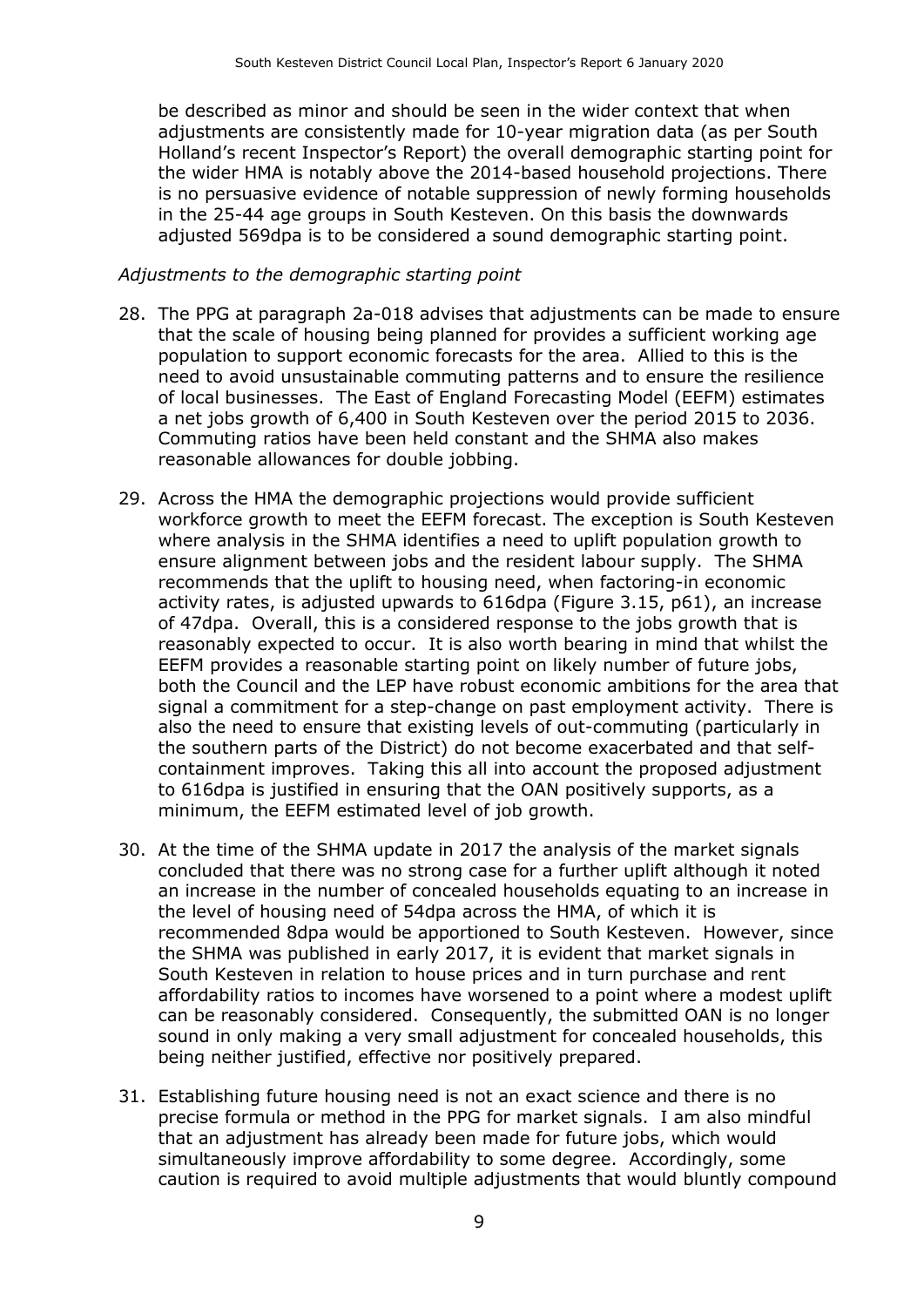be described as minor and should be seen in the wider context that when adjustments are consistently made for 10-year migration data (as per South Holland's recent Inspector's Report) the overall demographic starting point for the wider HMA is notably above the 2014-based household projections. There is no persuasive evidence of notable suppression of newly forming households in the 25-44 age groups in South Kesteven. On this basis the downwards adjusted 569dpa is to be considered a sound demographic starting point.

#### *Adjustments to the demographic starting point*

- 28. The PPG at paragraph 2a-018 advises that adjustments can be made to ensure that the scale of housing being planned for provides a sufficient working age population to support economic forecasts for the area. Allied to this is the need to avoid unsustainable commuting patterns and to ensure the resilience of local businesses. The East of England Forecasting Model (EEFM) estimates a net jobs growth of 6,400 in South Kesteven over the period 2015 to 2036. Commuting ratios have been held constant and the SHMA also makes reasonable allowances for double jobbing.
- 29. Across the HMA the demographic projections would provide sufficient workforce growth to meet the EEFM forecast. The exception is South Kesteven where analysis in the SHMA identifies a need to uplift population growth to ensure alignment between jobs and the resident labour supply. The SHMA recommends that the uplift to housing need, when factoring-in economic activity rates, is adjusted upwards to 616dpa (Figure 3.15, p61), an increase of 47dpa. Overall, this is a considered response to the jobs growth that is reasonably expected to occur. It is also worth bearing in mind that whilst the EEFM provides a reasonable starting point on likely number of future jobs, both the Council and the LEP have robust economic ambitions for the area that signal a commitment for a step-change on past employment activity. There is also the need to ensure that existing levels of out-commuting (particularly in the southern parts of the District) do not become exacerbated and that selfcontainment improves. Taking this all into account the proposed adjustment to 616dpa is justified in ensuring that the OAN positively supports, as a minimum, the EEFM estimated level of job growth.
- 30. At the time of the SHMA update in 2017 the analysis of the market signals concluded that there was no strong case for a further uplift although it noted an increase in the number of concealed households equating to an increase in the level of housing need of 54dpa across the HMA, of which it is recommended 8dpa would be apportioned to South Kesteven. However, since the SHMA was published in early 2017, it is evident that market signals in South Kesteven in relation to house prices and in turn purchase and rent affordability ratios to incomes have worsened to a point where a modest uplift can be reasonably considered. Consequently, the submitted OAN is no longer sound in only making a very small adjustment for concealed households, this being neither justified, effective nor positively prepared.
- 31. Establishing future housing need is not an exact science and there is no precise formula or method in the PPG for market signals. I am also mindful that an adjustment has already been made for future jobs, which would simultaneously improve affordability to some degree. Accordingly, some caution is required to avoid multiple adjustments that would bluntly compound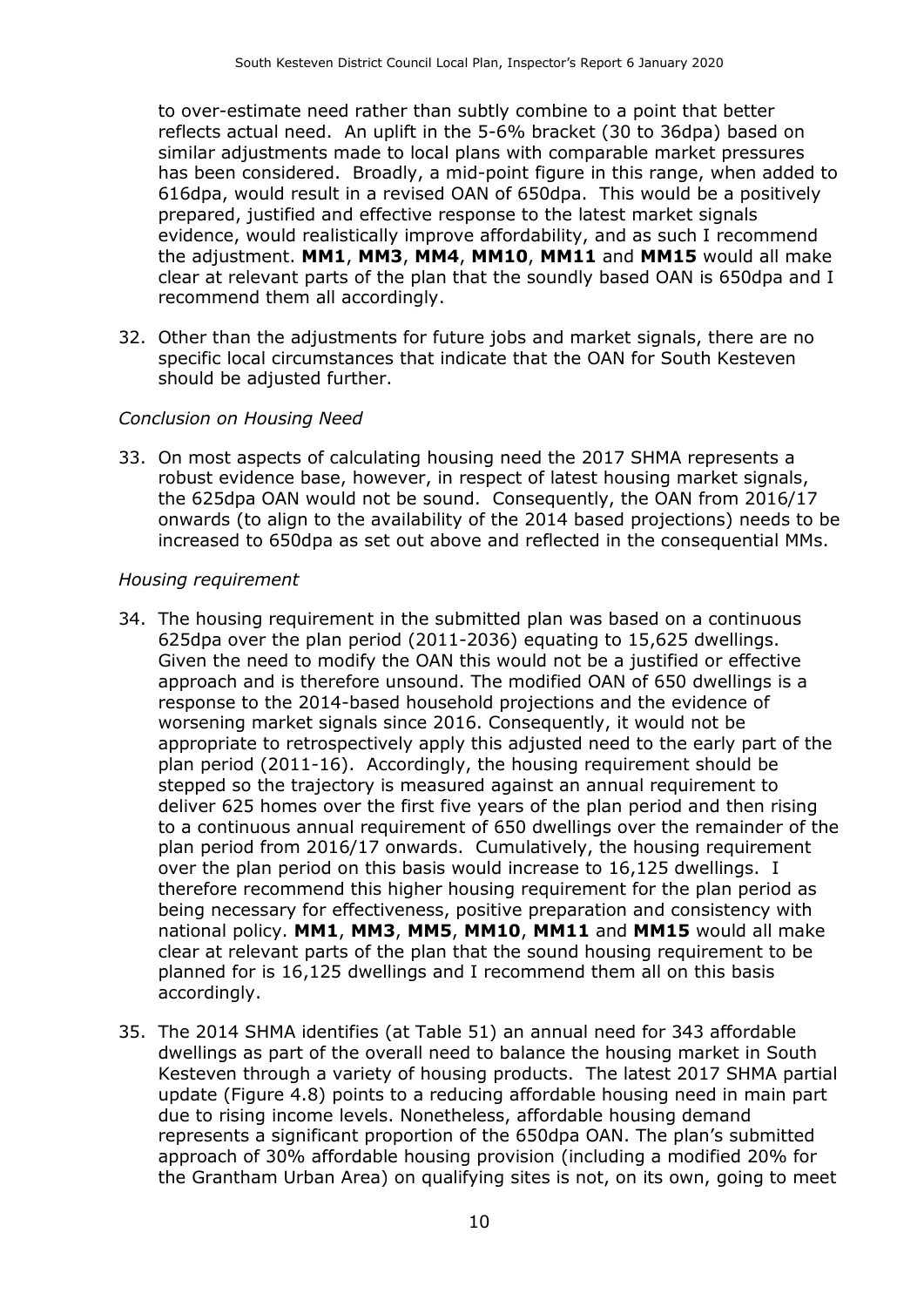to over-estimate need rather than subtly combine to a point that better reflects actual need. An uplift in the 5-6% bracket (30 to 36dpa) based on similar adjustments made to local plans with comparable market pressures has been considered. Broadly, a mid-point figure in this range, when added to 616dpa, would result in a revised OAN of 650dpa. This would be a positively prepared, justified and effective response to the latest market signals evidence, would realistically improve affordability, and as such I recommend the adjustment. **MM1**, **MM3**, **MM4**, **MM10**, **MM11** and **MM15** would all make clear at relevant parts of the plan that the soundly based OAN is 650dpa and I recommend them all accordingly.

32. Other than the adjustments for future jobs and market signals, there are no specific local circumstances that indicate that the OAN for South Kesteven should be adjusted further.

#### *Conclusion on Housing Need*

33. On most aspects of calculating housing need the 2017 SHMA represents a robust evidence base, however, in respect of latest housing market signals, the 625dpa OAN would not be sound. Consequently, the OAN from 2016/17 onwards (to align to the availability of the 2014 based projections) needs to be increased to 650dpa as set out above and reflected in the consequential MMs.

#### *Housing requirement*

- 34. The housing requirement in the submitted plan was based on a continuous 625dpa over the plan period (2011-2036) equating to 15,625 dwellings. Given the need to modify the OAN this would not be a justified or effective approach and is therefore unsound. The modified OAN of 650 dwellings is a response to the 2014-based household projections and the evidence of worsening market signals since 2016. Consequently, it would not be appropriate to retrospectively apply this adjusted need to the early part of the plan period (2011-16). Accordingly, the housing requirement should be stepped so the trajectory is measured against an annual requirement to deliver 625 homes over the first five years of the plan period and then rising to a continuous annual requirement of 650 dwellings over the remainder of the plan period from 2016/17 onwards. Cumulatively, the housing requirement over the plan period on this basis would increase to 16,125 dwellings. I therefore recommend this higher housing requirement for the plan period as being necessary for effectiveness, positive preparation and consistency with national policy. **MM1**, **MM3**, **MM5**, **MM10**, **MM11** and **MM15** would all make clear at relevant parts of the plan that the sound housing requirement to be planned for is 16,125 dwellings and I recommend them all on this basis accordingly.
- 35. The 2014 SHMA identifies (at Table 51) an annual need for 343 affordable dwellings as part of the overall need to balance the housing market in South Kesteven through a variety of housing products. The latest 2017 SHMA partial update (Figure 4.8) points to a reducing affordable housing need in main part due to rising income levels. Nonetheless, affordable housing demand represents a significant proportion of the 650dpa OAN. The plan's submitted approach of 30% affordable housing provision (including a modified 20% for the Grantham Urban Area) on qualifying sites is not, on its own, going to meet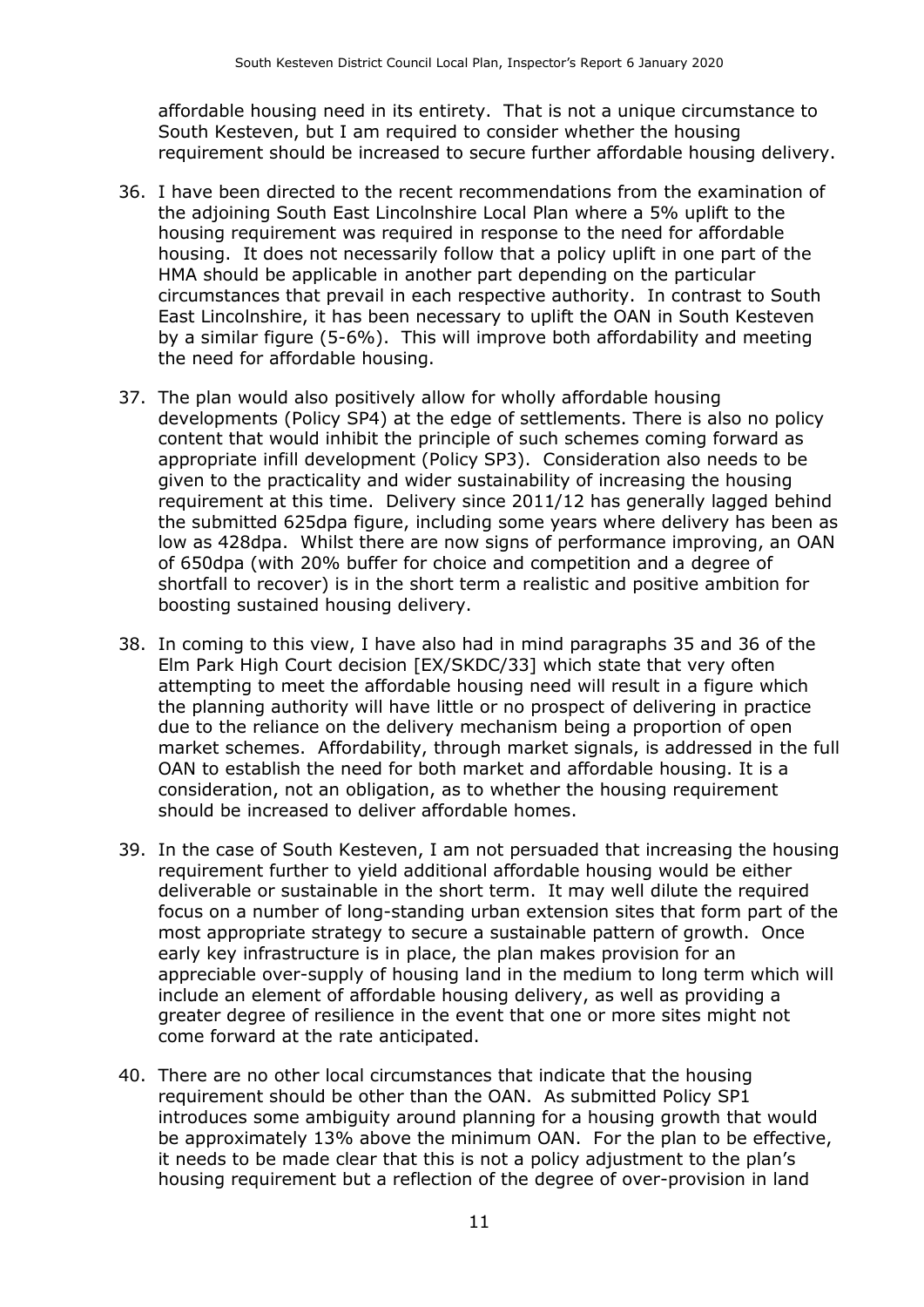affordable housing need in its entirety. That is not a unique circumstance to South Kesteven, but I am required to consider whether the housing requirement should be increased to secure further affordable housing delivery.

- 36. I have been directed to the recent recommendations from the examination of the adjoining South East Lincolnshire Local Plan where a 5% uplift to the housing requirement was required in response to the need for affordable housing. It does not necessarily follow that a policy uplift in one part of the HMA should be applicable in another part depending on the particular circumstances that prevail in each respective authority. In contrast to South East Lincolnshire, it has been necessary to uplift the OAN in South Kesteven by a similar figure (5-6%). This will improve both affordability and meeting the need for affordable housing.
- 37. The plan would also positively allow for wholly affordable housing developments (Policy SP4) at the edge of settlements. There is also no policy content that would inhibit the principle of such schemes coming forward as appropriate infill development (Policy SP3). Consideration also needs to be given to the practicality and wider sustainability of increasing the housing requirement at this time. Delivery since 2011/12 has generally lagged behind the submitted 625dpa figure, including some years where delivery has been as low as 428dpa. Whilst there are now signs of performance improving, an OAN of 650dpa (with 20% buffer for choice and competition and a degree of shortfall to recover) is in the short term a realistic and positive ambition for boosting sustained housing delivery.
- 38. In coming to this view, I have also had in mind paragraphs 35 and 36 of the Elm Park High Court decision [EX/SKDC/33] which state that very often attempting to meet the affordable housing need will result in a figure which the planning authority will have little or no prospect of delivering in practice due to the reliance on the delivery mechanism being a proportion of open market schemes. Affordability, through market signals, is addressed in the full OAN to establish the need for both market and affordable housing. It is a consideration, not an obligation, as to whether the housing requirement should be increased to deliver affordable homes.
- 39. In the case of South Kesteven, I am not persuaded that increasing the housing requirement further to yield additional affordable housing would be either deliverable or sustainable in the short term. It may well dilute the required focus on a number of long-standing urban extension sites that form part of the most appropriate strategy to secure a sustainable pattern of growth. Once early key infrastructure is in place, the plan makes provision for an appreciable over-supply of housing land in the medium to long term which will include an element of affordable housing delivery, as well as providing a greater degree of resilience in the event that one or more sites might not come forward at the rate anticipated.
- 40. There are no other local circumstances that indicate that the housing requirement should be other than the OAN. As submitted Policy SP1 introduces some ambiguity around planning for a housing growth that would be approximately 13% above the minimum OAN. For the plan to be effective, it needs to be made clear that this is not a policy adjustment to the plan's housing requirement but a reflection of the degree of over-provision in land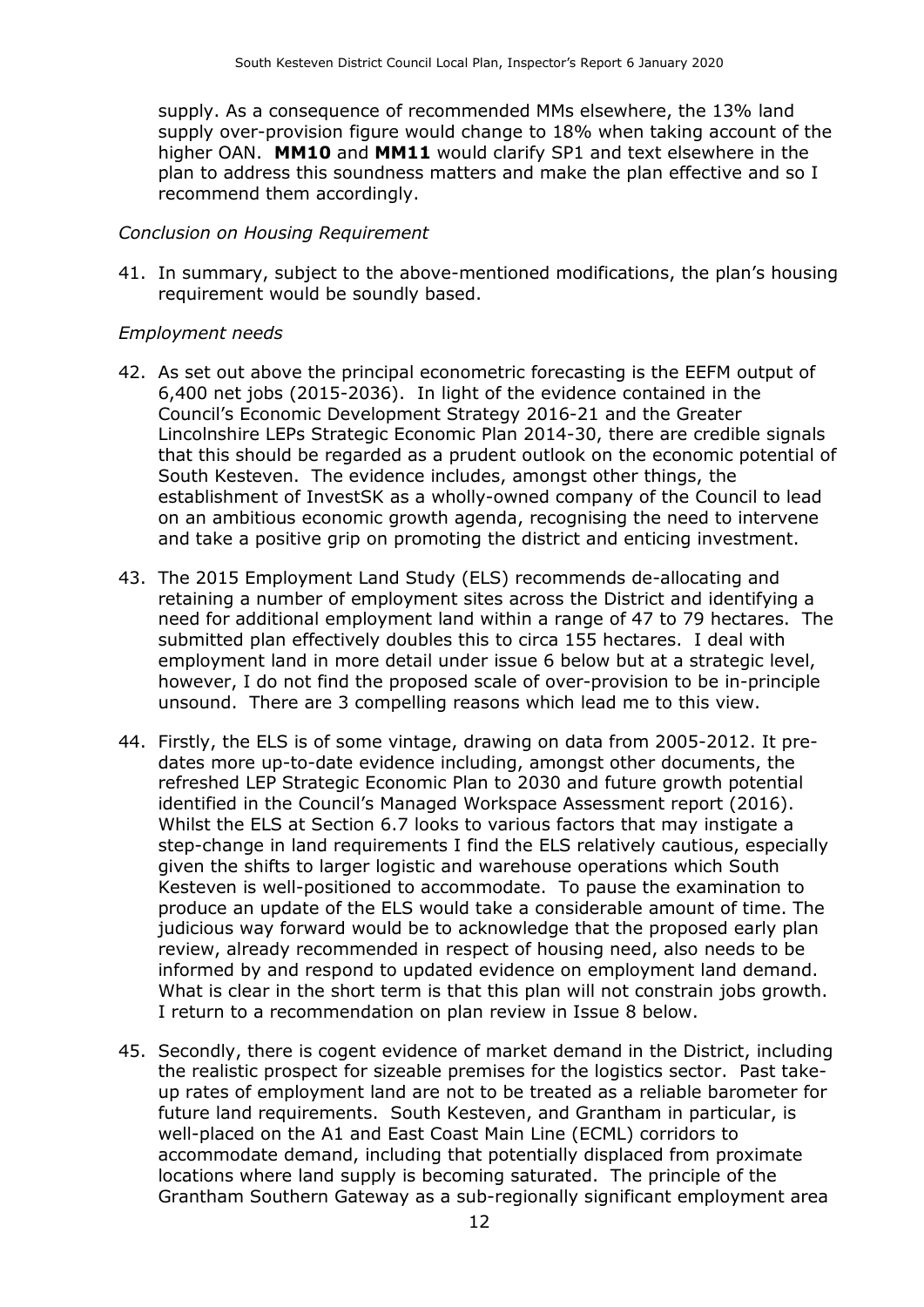supply. As a consequence of recommended MMs elsewhere, the 13% land supply over-provision figure would change to 18% when taking account of the higher OAN. **MM10** and **MM11** would clarify SP1 and text elsewhere in the plan to address this soundness matters and make the plan effective and so I recommend them accordingly.

#### *Conclusion on Housing Requirement*

41. In summary, subject to the above-mentioned modifications, the plan's housing requirement would be soundly based.

#### *Employment needs*

- 42. As set out above the principal econometric forecasting is the EEFM output of 6,400 net jobs (2015-2036). In light of the evidence contained in the Council's Economic Development Strategy 2016-21 and the Greater Lincolnshire LEPs Strategic Economic Plan 2014-30, there are credible signals that this should be regarded as a prudent outlook on the economic potential of South Kesteven. The evidence includes, amongst other things, the establishment of InvestSK as a wholly-owned company of the Council to lead on an ambitious economic growth agenda, recognising the need to intervene and take a positive grip on promoting the district and enticing investment.
- 43. The 2015 Employment Land Study (ELS) recommends de-allocating and retaining a number of employment sites across the District and identifying a need for additional employment land within a range of 47 to 79 hectares. The submitted plan effectively doubles this to circa 155 hectares. I deal with employment land in more detail under issue 6 below but at a strategic level, however, I do not find the proposed scale of over-provision to be in-principle unsound. There are 3 compelling reasons which lead me to this view.
- 44. Firstly, the ELS is of some vintage, drawing on data from 2005-2012. It predates more up-to-date evidence including, amongst other documents, the refreshed LEP Strategic Economic Plan to 2030 and future growth potential identified in the Council's Managed Workspace Assessment report (2016). Whilst the ELS at Section 6.7 looks to various factors that may instigate a step-change in land requirements I find the ELS relatively cautious, especially given the shifts to larger logistic and warehouse operations which South Kesteven is well-positioned to accommodate. To pause the examination to produce an update of the ELS would take a considerable amount of time. The judicious way forward would be to acknowledge that the proposed early plan review, already recommended in respect of housing need, also needs to be informed by and respond to updated evidence on employment land demand. What is clear in the short term is that this plan will not constrain jobs growth. I return to a recommendation on plan review in Issue 8 below.
- 45. Secondly, there is cogent evidence of market demand in the District, including the realistic prospect for sizeable premises for the logistics sector. Past takeup rates of employment land are not to be treated as a reliable barometer for future land requirements. South Kesteven, and Grantham in particular, is well-placed on the A1 and East Coast Main Line (ECML) corridors to accommodate demand, including that potentially displaced from proximate locations where land supply is becoming saturated. The principle of the Grantham Southern Gateway as a sub-regionally significant employment area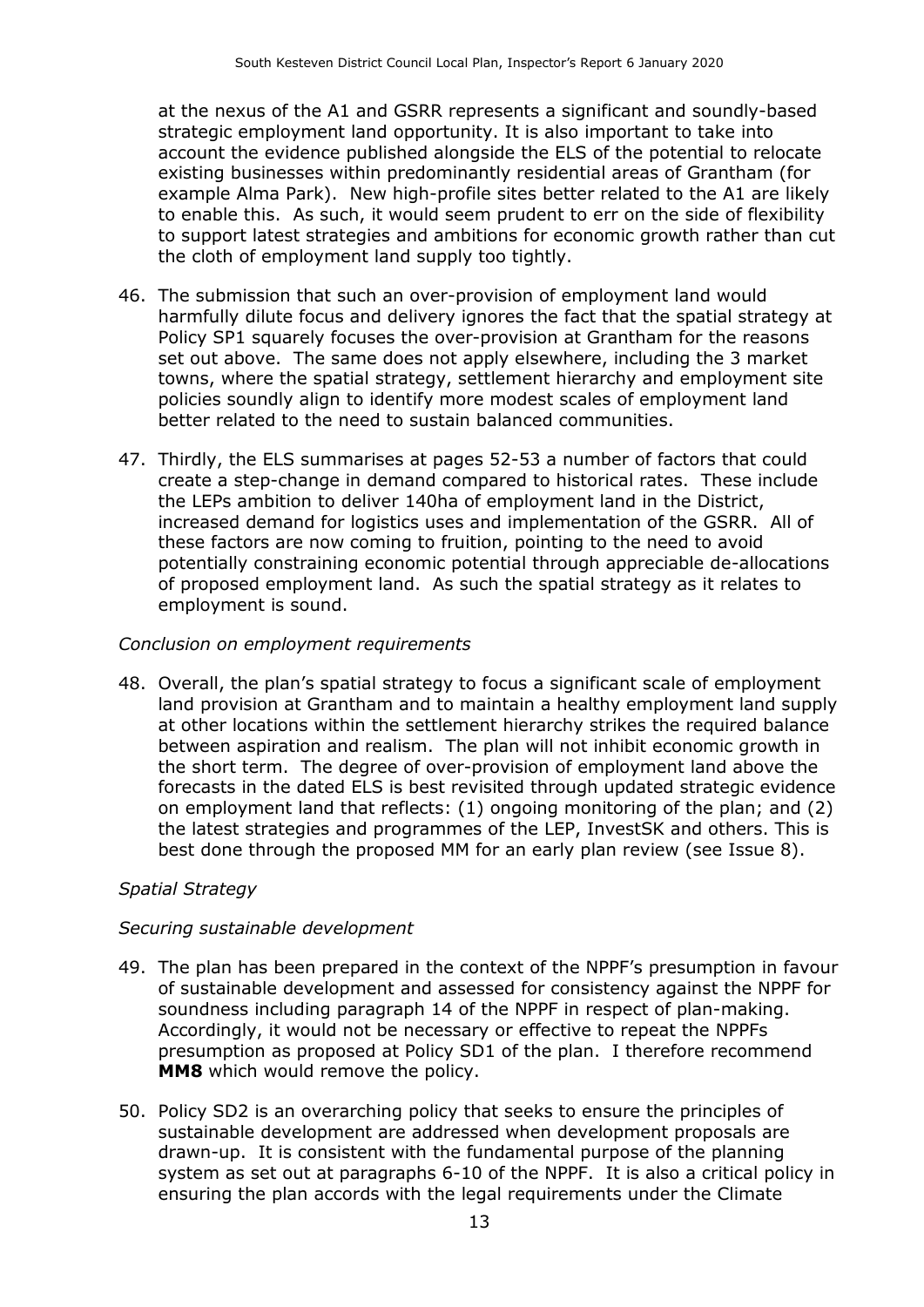at the nexus of the A1 and GSRR represents a significant and soundly-based strategic employment land opportunity. It is also important to take into account the evidence published alongside the ELS of the potential to relocate existing businesses within predominantly residential areas of Grantham (for example Alma Park). New high-profile sites better related to the A1 are likely to enable this. As such, it would seem prudent to err on the side of flexibility to support latest strategies and ambitions for economic growth rather than cut the cloth of employment land supply too tightly.

- 46. The submission that such an over-provision of employment land would harmfully dilute focus and delivery ignores the fact that the spatial strategy at Policy SP1 squarely focuses the over-provision at Grantham for the reasons set out above. The same does not apply elsewhere, including the 3 market towns, where the spatial strategy, settlement hierarchy and employment site policies soundly align to identify more modest scales of employment land better related to the need to sustain balanced communities.
- 47. Thirdly, the ELS summarises at pages 52-53 a number of factors that could create a step-change in demand compared to historical rates. These include the LEPs ambition to deliver 140ha of employment land in the District, increased demand for logistics uses and implementation of the GSRR. All of these factors are now coming to fruition, pointing to the need to avoid potentially constraining economic potential through appreciable de-allocations of proposed employment land. As such the spatial strategy as it relates to employment is sound.

#### *Conclusion on employment requirements*

48. Overall, the plan's spatial strategy to focus a significant scale of employment land provision at Grantham and to maintain a healthy employment land supply at other locations within the settlement hierarchy strikes the required balance between aspiration and realism. The plan will not inhibit economic growth in the short term. The degree of over-provision of employment land above the forecasts in the dated ELS is best revisited through updated strategic evidence on employment land that reflects: (1) ongoing monitoring of the plan; and (2) the latest strategies and programmes of the LEP, InvestSK and others. This is best done through the proposed MM for an early plan review (see Issue 8).

#### *Spatial Strategy*

#### *Securing sustainable development*

- 49. The plan has been prepared in the context of the NPPF's presumption in favour of sustainable development and assessed for consistency against the NPPF for soundness including paragraph 14 of the NPPF in respect of plan-making. Accordingly, it would not be necessary or effective to repeat the NPPFs presumption as proposed at Policy SD1 of the plan. I therefore recommend **MM8** which would remove the policy.
- 50. Policy SD2 is an overarching policy that seeks to ensure the principles of sustainable development are addressed when development proposals are drawn-up. It is consistent with the fundamental purpose of the planning system as set out at paragraphs 6-10 of the NPPF. It is also a critical policy in ensuring the plan accords with the legal requirements under the Climate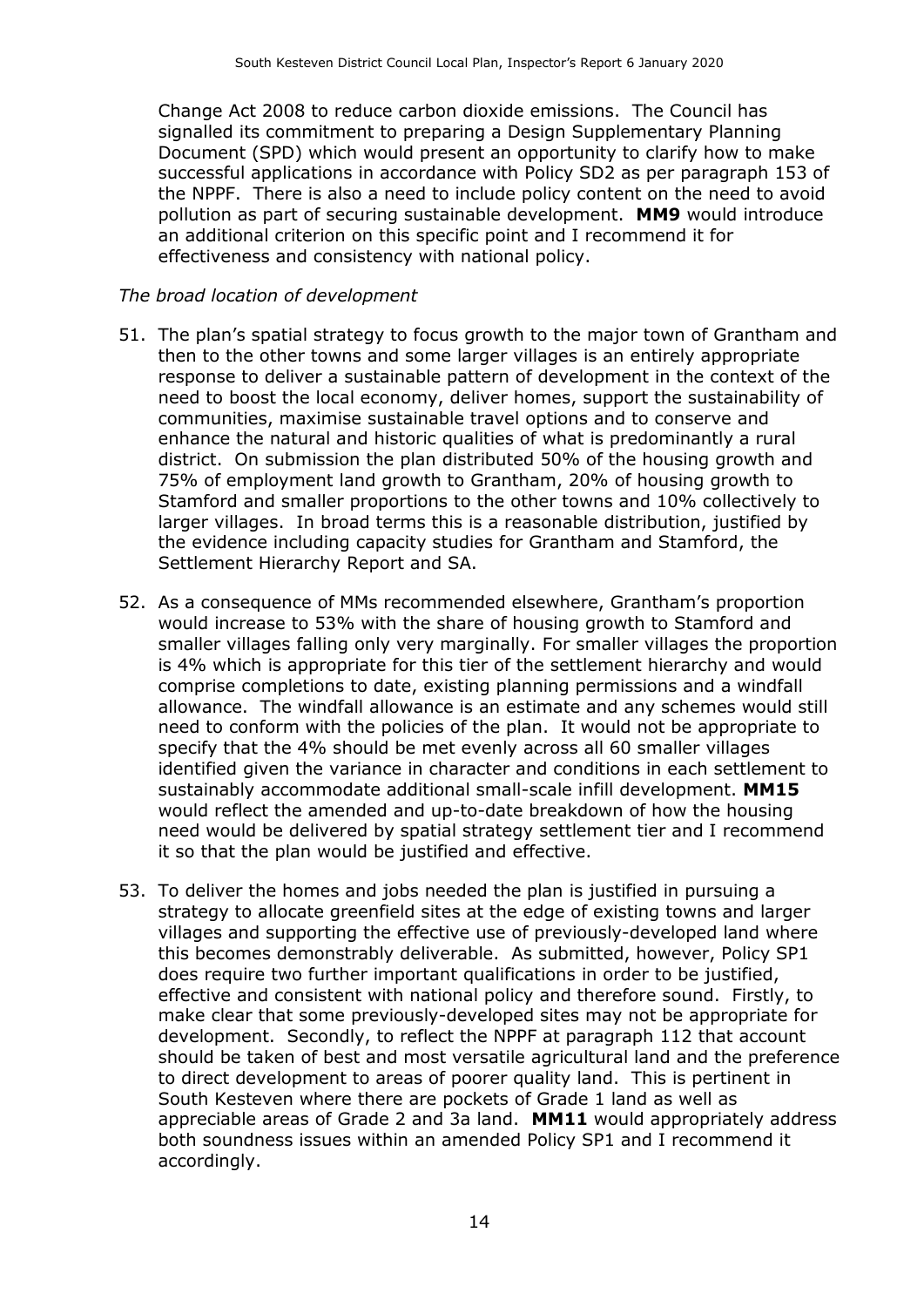Change Act 2008 to reduce carbon dioxide emissions. The Council has signalled its commitment to preparing a Design Supplementary Planning Document (SPD) which would present an opportunity to clarify how to make successful applications in accordance with Policy SD2 as per paragraph 153 of the NPPF. There is also a need to include policy content on the need to avoid pollution as part of securing sustainable development. **MM9** would introduce an additional criterion on this specific point and I recommend it for effectiveness and consistency with national policy.

#### *The broad location of development*

- 51. The plan's spatial strategy to focus growth to the major town of Grantham and then to the other towns and some larger villages is an entirely appropriate response to deliver a sustainable pattern of development in the context of the need to boost the local economy, deliver homes, support the sustainability of communities, maximise sustainable travel options and to conserve and enhance the natural and historic qualities of what is predominantly a rural district. On submission the plan distributed 50% of the housing growth and 75% of employment land growth to Grantham, 20% of housing growth to Stamford and smaller proportions to the other towns and 10% collectively to larger villages. In broad terms this is a reasonable distribution, justified by the evidence including capacity studies for Grantham and Stamford, the Settlement Hierarchy Report and SA.
- 52. As a consequence of MMs recommended elsewhere, Grantham's proportion would increase to 53% with the share of housing growth to Stamford and smaller villages falling only very marginally. For smaller villages the proportion is 4% which is appropriate for this tier of the settlement hierarchy and would comprise completions to date, existing planning permissions and a windfall allowance. The windfall allowance is an estimate and any schemes would still need to conform with the policies of the plan. It would not be appropriate to specify that the 4% should be met evenly across all 60 smaller villages identified given the variance in character and conditions in each settlement to sustainably accommodate additional small-scale infill development. **MM15** would reflect the amended and up-to-date breakdown of how the housing need would be delivered by spatial strategy settlement tier and I recommend it so that the plan would be justified and effective.
- 53. To deliver the homes and jobs needed the plan is justified in pursuing a strategy to allocate greenfield sites at the edge of existing towns and larger villages and supporting the effective use of previously-developed land where this becomes demonstrably deliverable. As submitted, however, Policy SP1 does require two further important qualifications in order to be justified, effective and consistent with national policy and therefore sound. Firstly, to make clear that some previously-developed sites may not be appropriate for development. Secondly, to reflect the NPPF at paragraph 112 that account should be taken of best and most versatile agricultural land and the preference to direct development to areas of poorer quality land. This is pertinent in South Kesteven where there are pockets of Grade 1 land as well as appreciable areas of Grade 2 and 3a land. **MM11** would appropriately address both soundness issues within an amended Policy SP1 and I recommend it accordingly.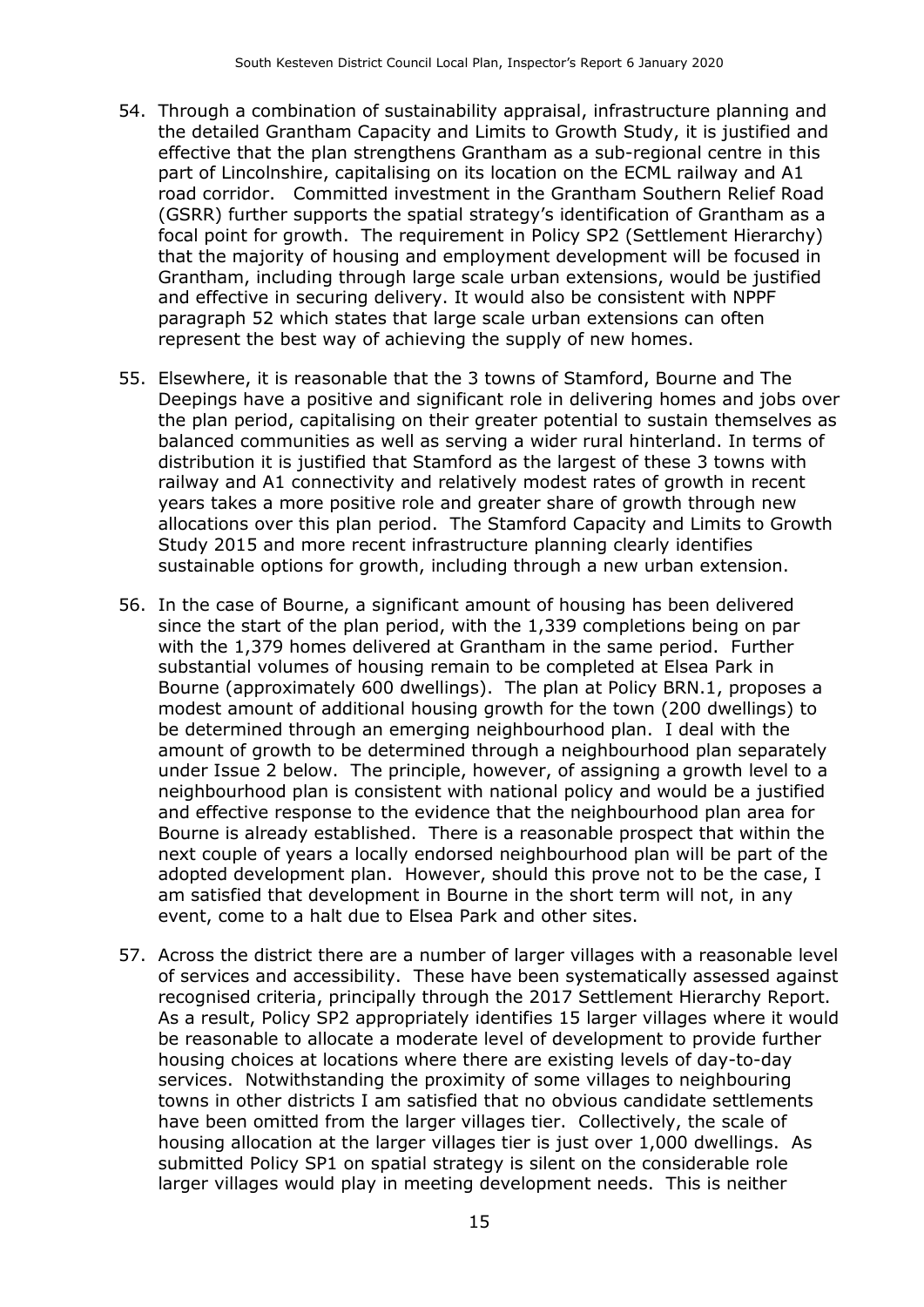- 54. Through a combination of sustainability appraisal, infrastructure planning and the detailed Grantham Capacity and Limits to Growth Study, it is justified and effective that the plan strengthens Grantham as a sub-regional centre in this part of Lincolnshire, capitalising on its location on the ECML railway and A1 road corridor. Committed investment in the Grantham Southern Relief Road (GSRR) further supports the spatial strategy's identification of Grantham as a focal point for growth. The requirement in Policy SP2 (Settlement Hierarchy) that the majority of housing and employment development will be focused in Grantham, including through large scale urban extensions, would be justified and effective in securing delivery. It would also be consistent with NPPF paragraph 52 which states that large scale urban extensions can often represent the best way of achieving the supply of new homes.
- 55. Elsewhere, it is reasonable that the 3 towns of Stamford, Bourne and The Deepings have a positive and significant role in delivering homes and jobs over the plan period, capitalising on their greater potential to sustain themselves as balanced communities as well as serving a wider rural hinterland. In terms of distribution it is justified that Stamford as the largest of these 3 towns with railway and A1 connectivity and relatively modest rates of growth in recent years takes a more positive role and greater share of growth through new allocations over this plan period. The Stamford Capacity and Limits to Growth Study 2015 and more recent infrastructure planning clearly identifies sustainable options for growth, including through a new urban extension.
- 56. In the case of Bourne, a significant amount of housing has been delivered since the start of the plan period, with the 1,339 completions being on par with the 1,379 homes delivered at Grantham in the same period. Further substantial volumes of housing remain to be completed at Elsea Park in Bourne (approximately 600 dwellings). The plan at Policy BRN.1, proposes a modest amount of additional housing growth for the town (200 dwellings) to be determined through an emerging neighbourhood plan. I deal with the amount of growth to be determined through a neighbourhood plan separately under Issue 2 below. The principle, however, of assigning a growth level to a neighbourhood plan is consistent with national policy and would be a justified and effective response to the evidence that the neighbourhood plan area for Bourne is already established. There is a reasonable prospect that within the next couple of years a locally endorsed neighbourhood plan will be part of the adopted development plan. However, should this prove not to be the case, I am satisfied that development in Bourne in the short term will not, in any event, come to a halt due to Elsea Park and other sites.
- 57. Across the district there are a number of larger villages with a reasonable level of services and accessibility. These have been systematically assessed against recognised criteria, principally through the 2017 Settlement Hierarchy Report. As a result, Policy SP2 appropriately identifies 15 larger villages where it would be reasonable to allocate a moderate level of development to provide further housing choices at locations where there are existing levels of day-to-day services. Notwithstanding the proximity of some villages to neighbouring towns in other districts I am satisfied that no obvious candidate settlements have been omitted from the larger villages tier. Collectively, the scale of housing allocation at the larger villages tier is just over 1,000 dwellings. As submitted Policy SP1 on spatial strategy is silent on the considerable role larger villages would play in meeting development needs. This is neither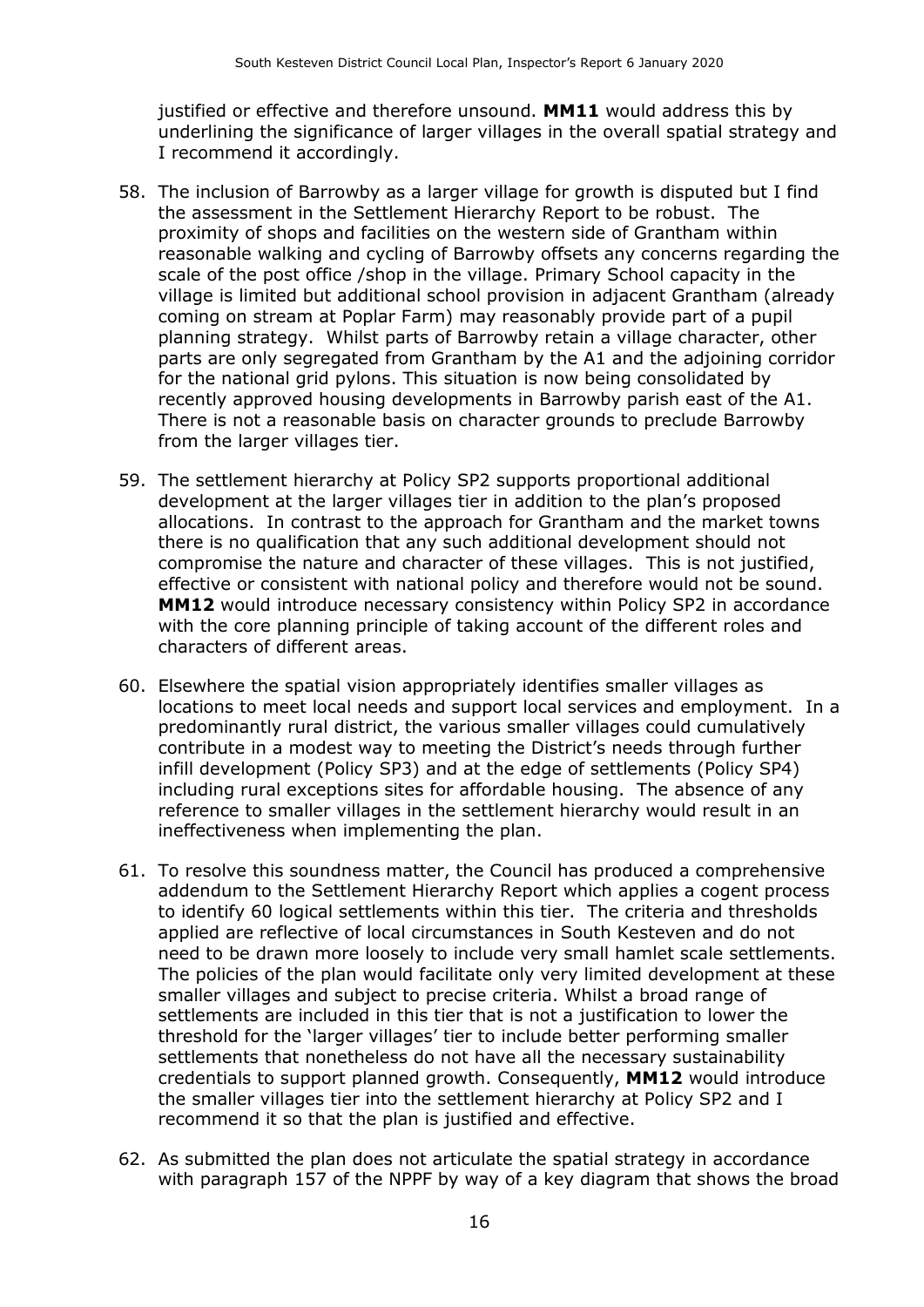justified or effective and therefore unsound. **MM11** would address this by underlining the significance of larger villages in the overall spatial strategy and I recommend it accordingly.

- 58. The inclusion of Barrowby as a larger village for growth is disputed but I find the assessment in the Settlement Hierarchy Report to be robust. The proximity of shops and facilities on the western side of Grantham within reasonable walking and cycling of Barrowby offsets any concerns regarding the scale of the post office /shop in the village. Primary School capacity in the village is limited but additional school provision in adjacent Grantham (already coming on stream at Poplar Farm) may reasonably provide part of a pupil planning strategy. Whilst parts of Barrowby retain a village character, other parts are only segregated from Grantham by the A1 and the adjoining corridor for the national grid pylons. This situation is now being consolidated by recently approved housing developments in Barrowby parish east of the A1. There is not a reasonable basis on character grounds to preclude Barrowby from the larger villages tier.
- 59. The settlement hierarchy at Policy SP2 supports proportional additional development at the larger villages tier in addition to the plan's proposed allocations. In contrast to the approach for Grantham and the market towns there is no qualification that any such additional development should not compromise the nature and character of these villages. This is not justified, effective or consistent with national policy and therefore would not be sound. **MM12** would introduce necessary consistency within Policy SP2 in accordance with the core planning principle of taking account of the different roles and characters of different areas.
- 60. Elsewhere the spatial vision appropriately identifies smaller villages as locations to meet local needs and support local services and employment. In a predominantly rural district, the various smaller villages could cumulatively contribute in a modest way to meeting the District's needs through further infill development (Policy SP3) and at the edge of settlements (Policy SP4) including rural exceptions sites for affordable housing. The absence of any reference to smaller villages in the settlement hierarchy would result in an ineffectiveness when implementing the plan.
- 61. To resolve this soundness matter, the Council has produced a comprehensive addendum to the Settlement Hierarchy Report which applies a cogent process to identify 60 logical settlements within this tier. The criteria and thresholds applied are reflective of local circumstances in South Kesteven and do not need to be drawn more loosely to include very small hamlet scale settlements. The policies of the plan would facilitate only very limited development at these smaller villages and subject to precise criteria. Whilst a broad range of settlements are included in this tier that is not a justification to lower the threshold for the 'larger villages' tier to include better performing smaller settlements that nonetheless do not have all the necessary sustainability credentials to support planned growth. Consequently, **MM12** would introduce the smaller villages tier into the settlement hierarchy at Policy SP2 and I recommend it so that the plan is justified and effective.
- 62. As submitted the plan does not articulate the spatial strategy in accordance with paragraph 157 of the NPPF by way of a key diagram that shows the broad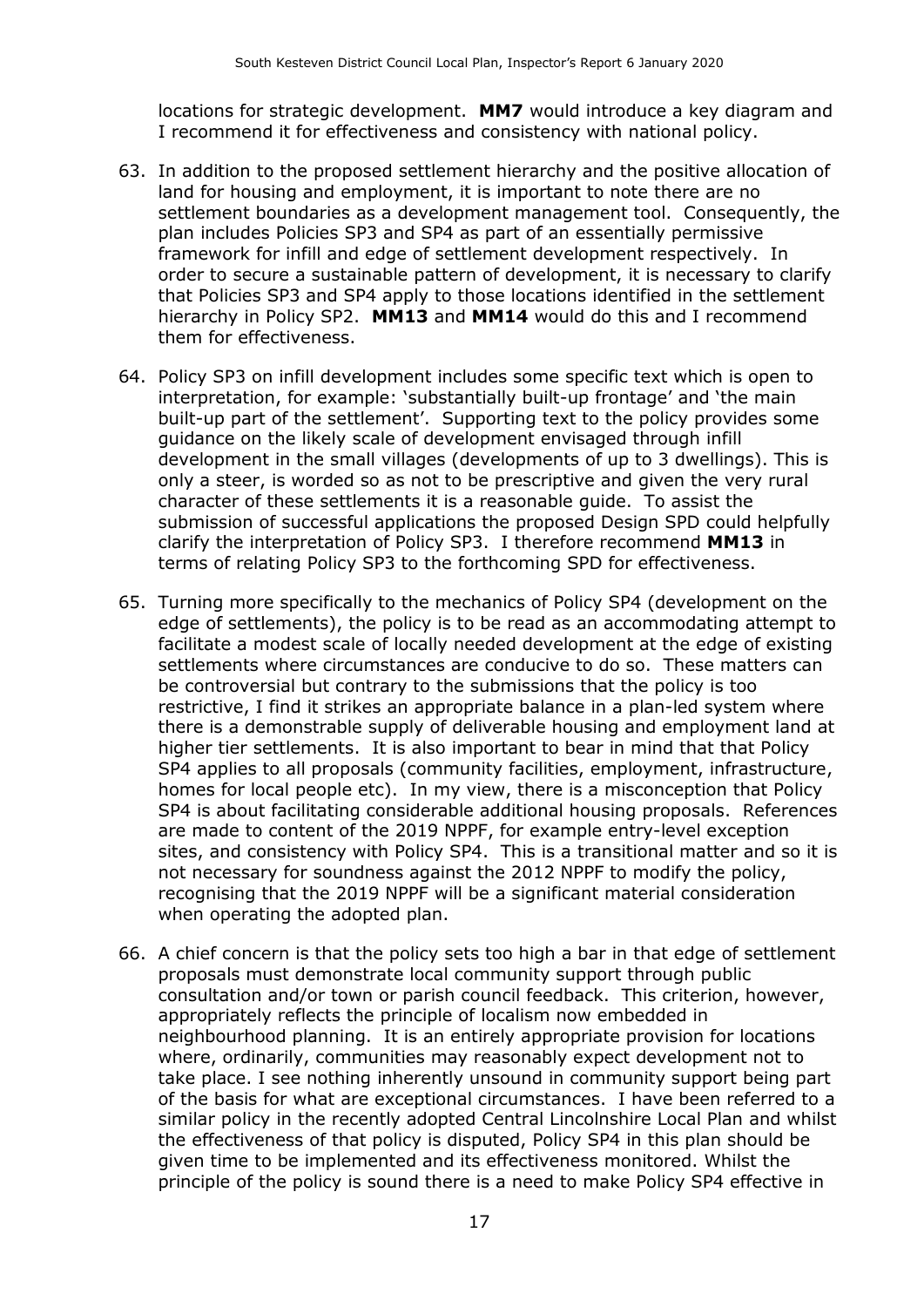locations for strategic development. **MM7** would introduce a key diagram and I recommend it for effectiveness and consistency with national policy.

- 63. In addition to the proposed settlement hierarchy and the positive allocation of land for housing and employment, it is important to note there are no settlement boundaries as a development management tool. Consequently, the plan includes Policies SP3 and SP4 as part of an essentially permissive framework for infill and edge of settlement development respectively. In order to secure a sustainable pattern of development, it is necessary to clarify that Policies SP3 and SP4 apply to those locations identified in the settlement hierarchy in Policy SP2. **MM13** and **MM14** would do this and I recommend them for effectiveness.
- 64. Policy SP3 on infill development includes some specific text which is open to interpretation, for example: 'substantially built-up frontage' and 'the main built-up part of the settlement'. Supporting text to the policy provides some guidance on the likely scale of development envisaged through infill development in the small villages (developments of up to 3 dwellings). This is only a steer, is worded so as not to be prescriptive and given the very rural character of these settlements it is a reasonable guide. To assist the submission of successful applications the proposed Design SPD could helpfully clarify the interpretation of Policy SP3. I therefore recommend **MM13** in terms of relating Policy SP3 to the forthcoming SPD for effectiveness.
- 65. Turning more specifically to the mechanics of Policy SP4 (development on the edge of settlements), the policy is to be read as an accommodating attempt to facilitate a modest scale of locally needed development at the edge of existing settlements where circumstances are conducive to do so. These matters can be controversial but contrary to the submissions that the policy is too restrictive, I find it strikes an appropriate balance in a plan-led system where there is a demonstrable supply of deliverable housing and employment land at higher tier settlements. It is also important to bear in mind that that Policy SP4 applies to all proposals (community facilities, employment, infrastructure, homes for local people etc). In my view, there is a misconception that Policy SP4 is about facilitating considerable additional housing proposals. References are made to content of the 2019 NPPF, for example entry-level exception sites, and consistency with Policy SP4. This is a transitional matter and so it is not necessary for soundness against the 2012 NPPF to modify the policy, recognising that the 2019 NPPF will be a significant material consideration when operating the adopted plan.
- 66. A chief concern is that the policy sets too high a bar in that edge of settlement proposals must demonstrate local community support through public consultation and/or town or parish council feedback. This criterion, however, appropriately reflects the principle of localism now embedded in neighbourhood planning. It is an entirely appropriate provision for locations where, ordinarily, communities may reasonably expect development not to take place. I see nothing inherently unsound in community support being part of the basis for what are exceptional circumstances. I have been referred to a similar policy in the recently adopted Central Lincolnshire Local Plan and whilst the effectiveness of that policy is disputed, Policy SP4 in this plan should be given time to be implemented and its effectiveness monitored. Whilst the principle of the policy is sound there is a need to make Policy SP4 effective in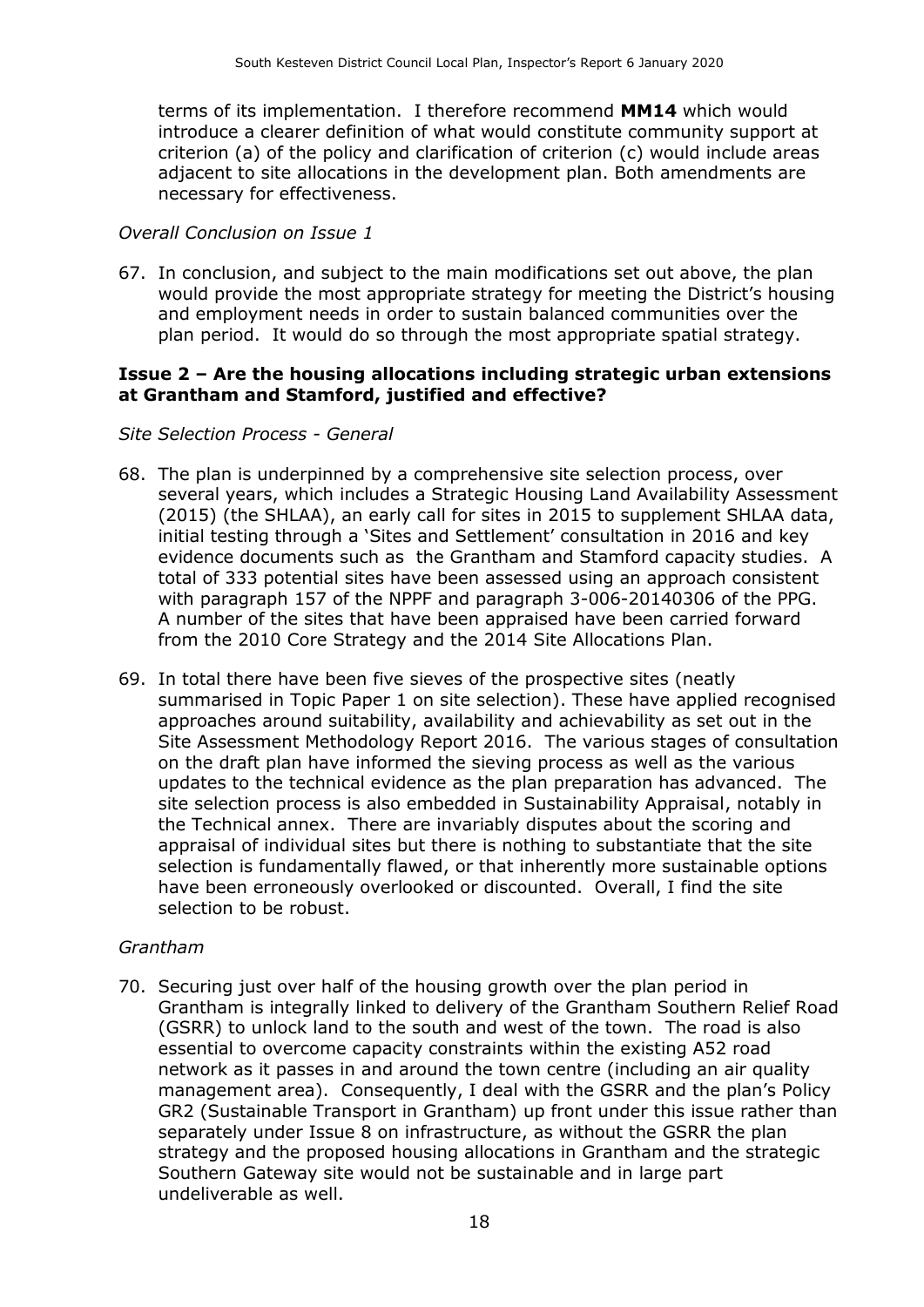terms of its implementation. I therefore recommend **MM14** which would introduce a clearer definition of what would constitute community support at criterion (a) of the policy and clarification of criterion (c) would include areas adjacent to site allocations in the development plan. Both amendments are necessary for effectiveness.

#### *Overall Conclusion on Issue 1*

67. In conclusion, and subject to the main modifications set out above, the plan would provide the most appropriate strategy for meeting the District's housing and employment needs in order to sustain balanced communities over the plan period. It would do so through the most appropriate spatial strategy.

#### **Issue 2 – Are the housing allocations including strategic urban extensions at Grantham and Stamford, justified and effective?**

#### *Site Selection Process - General*

- 68. The plan is underpinned by a comprehensive site selection process, over several years, which includes a Strategic Housing Land Availability Assessment (2015) (the SHLAA), an early call for sites in 2015 to supplement SHLAA data, initial testing through a 'Sites and Settlement' consultation in 2016 and key evidence documents such as the Grantham and Stamford capacity studies. A total of 333 potential sites have been assessed using an approach consistent with paragraph 157 of the NPPF and paragraph 3-006-20140306 of the PPG. A number of the sites that have been appraised have been carried forward from the 2010 Core Strategy and the 2014 Site Allocations Plan.
- 69. In total there have been five sieves of the prospective sites (neatly summarised in Topic Paper 1 on site selection). These have applied recognised approaches around suitability, availability and achievability as set out in the Site Assessment Methodology Report 2016. The various stages of consultation on the draft plan have informed the sieving process as well as the various updates to the technical evidence as the plan preparation has advanced. The site selection process is also embedded in Sustainability Appraisal, notably in the Technical annex. There are invariably disputes about the scoring and appraisal of individual sites but there is nothing to substantiate that the site selection is fundamentally flawed, or that inherently more sustainable options have been erroneously overlooked or discounted. Overall, I find the site selection to be robust.

#### *Grantham*

70. Securing just over half of the housing growth over the plan period in Grantham is integrally linked to delivery of the Grantham Southern Relief Road (GSRR) to unlock land to the south and west of the town. The road is also essential to overcome capacity constraints within the existing A52 road network as it passes in and around the town centre (including an air quality management area). Consequently, I deal with the GSRR and the plan's Policy GR2 (Sustainable Transport in Grantham) up front under this issue rather than separately under Issue 8 on infrastructure, as without the GSRR the plan strategy and the proposed housing allocations in Grantham and the strategic Southern Gateway site would not be sustainable and in large part undeliverable as well.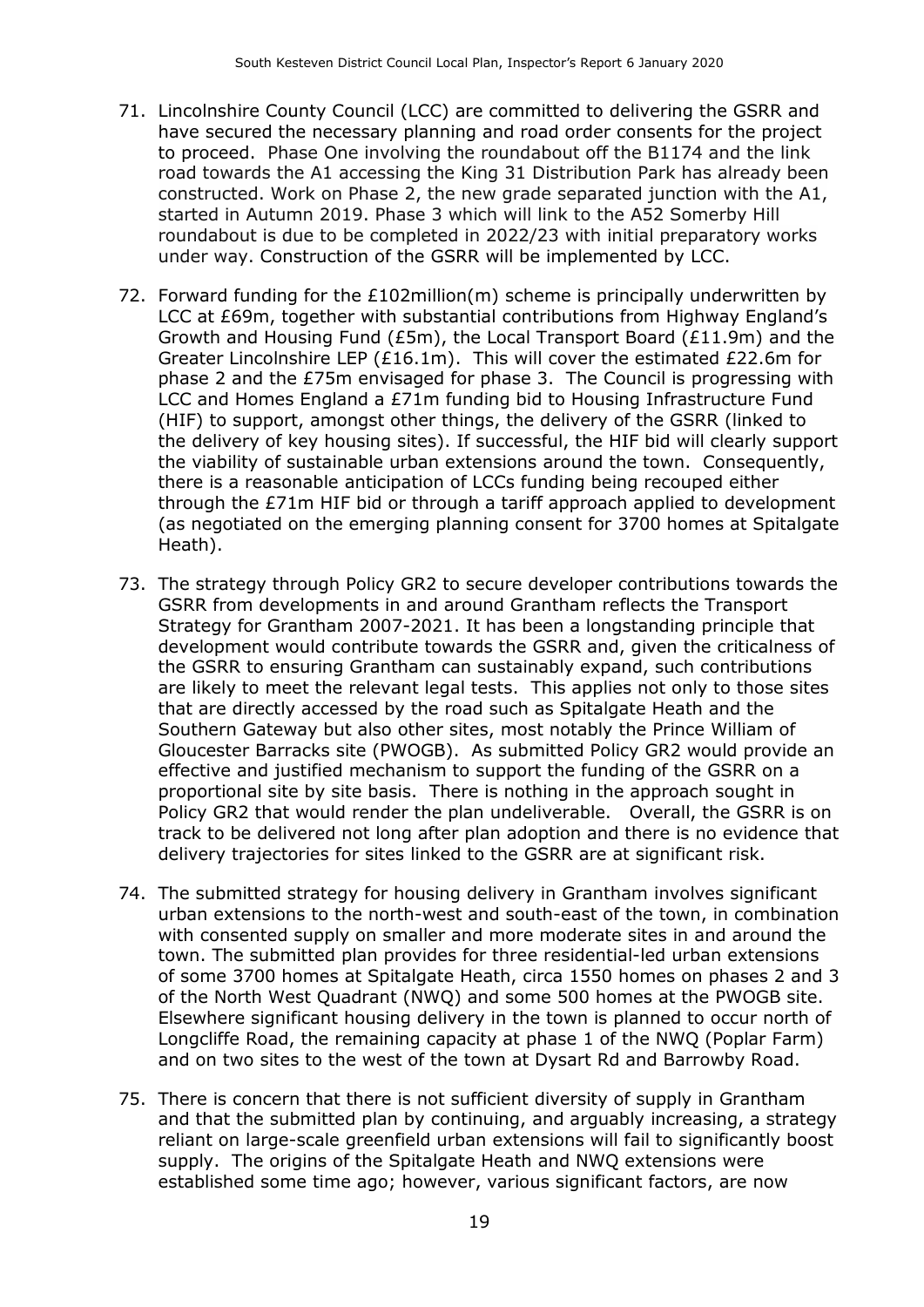- 71. Lincolnshire County Council (LCC) are committed to delivering the GSRR and have secured the necessary planning and road order consents for the project to proceed. Phase One involving the roundabout off the B1174 and the link road towards the A1 accessing the King 31 Distribution Park has already been constructed. Work on Phase 2, the new grade separated junction with the A1, started in Autumn 2019. Phase 3 which will link to the A52 Somerby Hill roundabout is due to be completed in 2022/23 with initial preparatory works under way. Construction of the GSRR will be implemented by LCC.
- 72. Forward funding for the £102million(m) scheme is principally underwritten by LCC at £69m, together with substantial contributions from Highway England's Growth and Housing Fund (£5m), the Local Transport Board (£11.9m) and the Greater Lincolnshire LEP (£16.1m). This will cover the estimated £22.6m for phase 2 and the £75m envisaged for phase 3. The Council is progressing with LCC and Homes England a £71m funding bid to Housing Infrastructure Fund (HIF) to support, amongst other things, the delivery of the GSRR (linked to the delivery of key housing sites). If successful, the HIF bid will clearly support the viability of sustainable urban extensions around the town. Consequently, there is a reasonable anticipation of LCCs funding being recouped either through the £71m HIF bid or through a tariff approach applied to development (as negotiated on the emerging planning consent for 3700 homes at Spitalgate Heath).
- 73. The strategy through Policy GR2 to secure developer contributions towards the GSRR from developments in and around Grantham reflects the Transport Strategy for Grantham 2007-2021. It has been a longstanding principle that development would contribute towards the GSRR and, given the criticalness of the GSRR to ensuring Grantham can sustainably expand, such contributions are likely to meet the relevant legal tests. This applies not only to those sites that are directly accessed by the road such as Spitalgate Heath and the Southern Gateway but also other sites, most notably the Prince William of Gloucester Barracks site (PWOGB). As submitted Policy GR2 would provide an effective and justified mechanism to support the funding of the GSRR on a proportional site by site basis. There is nothing in the approach sought in Policy GR2 that would render the plan undeliverable. Overall, the GSRR is on track to be delivered not long after plan adoption and there is no evidence that delivery trajectories for sites linked to the GSRR are at significant risk.
- 74. The submitted strategy for housing delivery in Grantham involves significant urban extensions to the north-west and south-east of the town, in combination with consented supply on smaller and more moderate sites in and around the town. The submitted plan provides for three residential-led urban extensions of some 3700 homes at Spitalgate Heath, circa 1550 homes on phases 2 and 3 of the North West Quadrant (NWQ) and some 500 homes at the PWOGB site. Elsewhere significant housing delivery in the town is planned to occur north of Longcliffe Road, the remaining capacity at phase 1 of the NWQ (Poplar Farm) and on two sites to the west of the town at Dysart Rd and Barrowby Road.
- 75. There is concern that there is not sufficient diversity of supply in Grantham and that the submitted plan by continuing, and arguably increasing, a strategy reliant on large-scale greenfield urban extensions will fail to significantly boost supply. The origins of the Spitalgate Heath and NWQ extensions were established some time ago; however, various significant factors, are now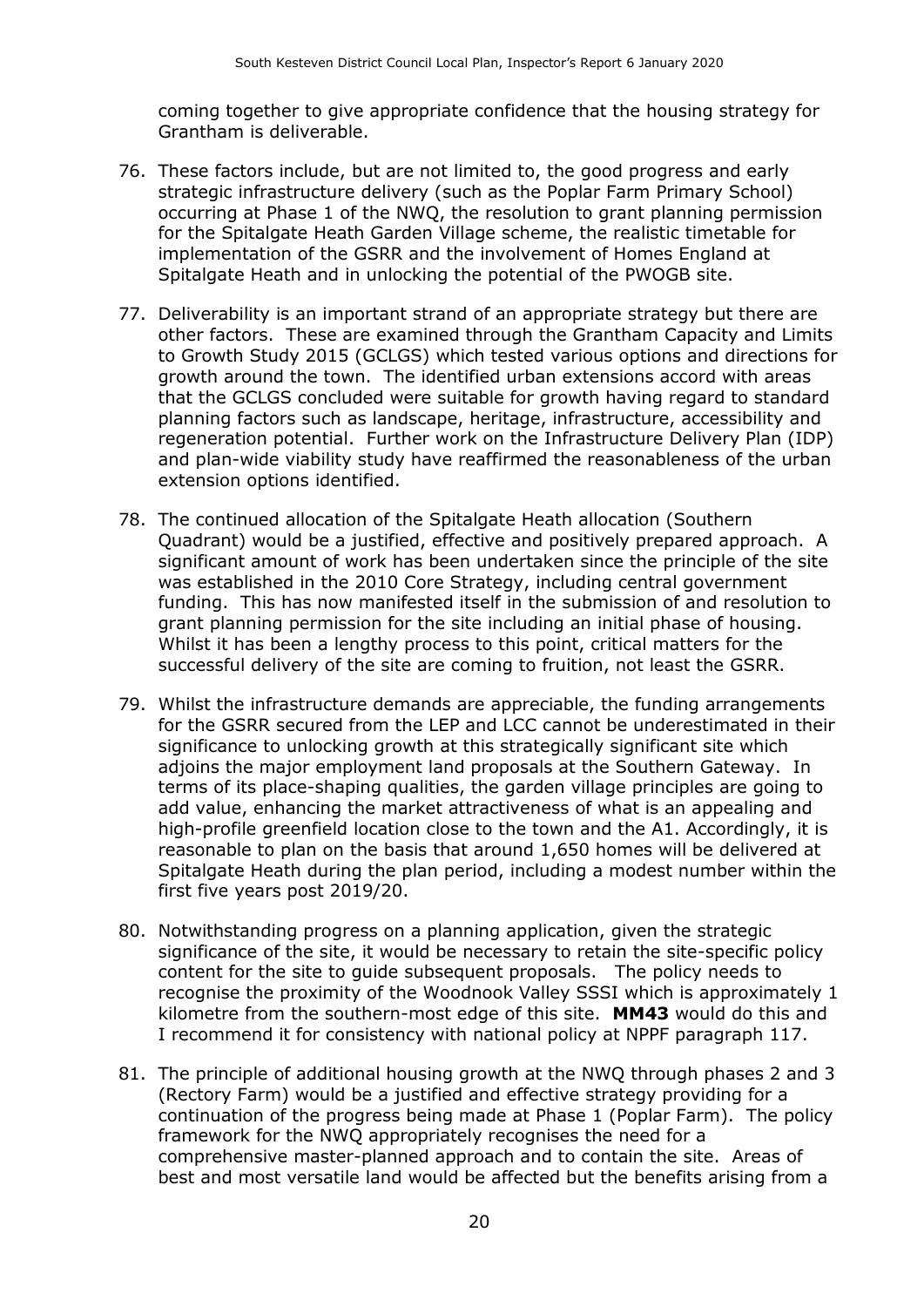coming together to give appropriate confidence that the housing strategy for Grantham is deliverable.

- 76. These factors include, but are not limited to, the good progress and early strategic infrastructure delivery (such as the Poplar Farm Primary School) occurring at Phase 1 of the NWQ, the resolution to grant planning permission for the Spitalgate Heath Garden Village scheme, the realistic timetable for implementation of the GSRR and the involvement of Homes England at Spitalgate Heath and in unlocking the potential of the PWOGB site.
- 77. Deliverability is an important strand of an appropriate strategy but there are other factors. These are examined through the Grantham Capacity and Limits to Growth Study 2015 (GCLGS) which tested various options and directions for growth around the town. The identified urban extensions accord with areas that the GCLGS concluded were suitable for growth having regard to standard planning factors such as landscape, heritage, infrastructure, accessibility and regeneration potential. Further work on the Infrastructure Delivery Plan (IDP) and plan-wide viability study have reaffirmed the reasonableness of the urban extension options identified.
- 78. The continued allocation of the Spitalgate Heath allocation (Southern Quadrant) would be a justified, effective and positively prepared approach. A significant amount of work has been undertaken since the principle of the site was established in the 2010 Core Strategy, including central government funding. This has now manifested itself in the submission of and resolution to grant planning permission for the site including an initial phase of housing. Whilst it has been a lengthy process to this point, critical matters for the successful delivery of the site are coming to fruition, not least the GSRR.
- 79. Whilst the infrastructure demands are appreciable, the funding arrangements for the GSRR secured from the LEP and LCC cannot be underestimated in their significance to unlocking growth at this strategically significant site which adjoins the major employment land proposals at the Southern Gateway. In terms of its place-shaping qualities, the garden village principles are going to add value, enhancing the market attractiveness of what is an appealing and high-profile greenfield location close to the town and the A1. Accordingly, it is reasonable to plan on the basis that around 1,650 homes will be delivered at Spitalgate Heath during the plan period, including a modest number within the first five years post 2019/20.
- 80. Notwithstanding progress on a planning application, given the strategic significance of the site, it would be necessary to retain the site-specific policy content for the site to guide subsequent proposals. The policy needs to recognise the proximity of the Woodnook Valley SSSI which is approximately 1 kilometre from the southern-most edge of this site. **MM43** would do this and I recommend it for consistency with national policy at NPPF paragraph 117.
- 81. The principle of additional housing growth at the NWQ through phases 2 and 3 (Rectory Farm) would be a justified and effective strategy providing for a continuation of the progress being made at Phase 1 (Poplar Farm). The policy framework for the NWQ appropriately recognises the need for a comprehensive master-planned approach and to contain the site. Areas of best and most versatile land would be affected but the benefits arising from a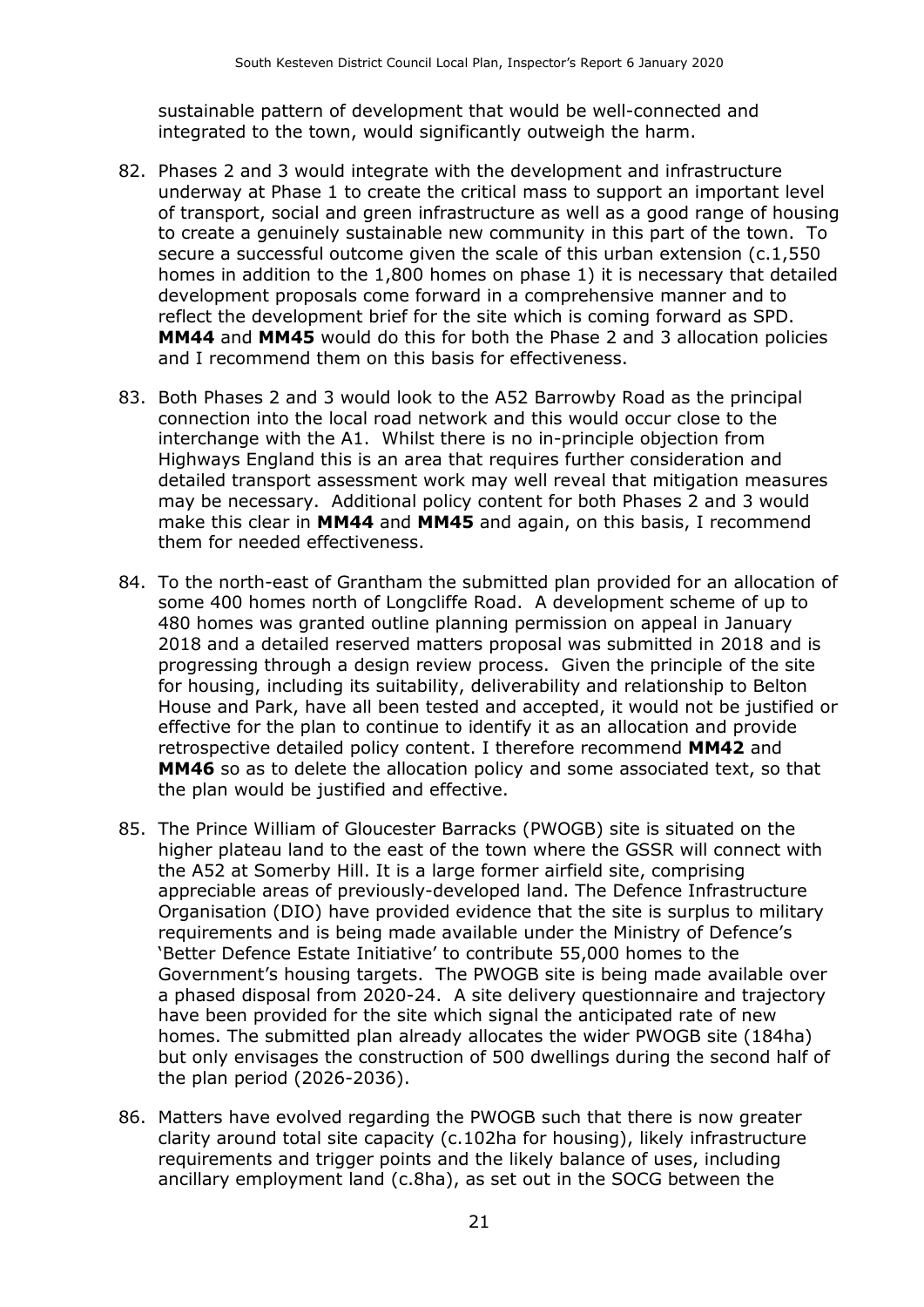sustainable pattern of development that would be well-connected and integrated to the town, would significantly outweigh the harm.

- 82. Phases 2 and 3 would integrate with the development and infrastructure underway at Phase 1 to create the critical mass to support an important level of transport, social and green infrastructure as well as a good range of housing to create a genuinely sustainable new community in this part of the town. To secure a successful outcome given the scale of this urban extension (c.1,550 homes in addition to the 1,800 homes on phase 1) it is necessary that detailed development proposals come forward in a comprehensive manner and to reflect the development brief for the site which is coming forward as SPD. **MM44** and **MM45** would do this for both the Phase 2 and 3 allocation policies and I recommend them on this basis for effectiveness.
- 83. Both Phases 2 and 3 would look to the A52 Barrowby Road as the principal connection into the local road network and this would occur close to the interchange with the A1. Whilst there is no in-principle objection from Highways England this is an area that requires further consideration and detailed transport assessment work may well reveal that mitigation measures may be necessary. Additional policy content for both Phases 2 and 3 would make this clear in **MM44** and **MM45** and again, on this basis, I recommend them for needed effectiveness.
- 84. To the north-east of Grantham the submitted plan provided for an allocation of some 400 homes north of Longcliffe Road. A development scheme of up to 480 homes was granted outline planning permission on appeal in January 2018 and a detailed reserved matters proposal was submitted in 2018 and is progressing through a design review process. Given the principle of the site for housing, including its suitability, deliverability and relationship to Belton House and Park, have all been tested and accepted, it would not be justified or effective for the plan to continue to identify it as an allocation and provide retrospective detailed policy content. I therefore recommend **MM42** and **MM46** so as to delete the allocation policy and some associated text, so that the plan would be justified and effective.
- 85. The Prince William of Gloucester Barracks (PWOGB) site is situated on the higher plateau land to the east of the town where the GSSR will connect with the A52 at Somerby Hill. It is a large former airfield site, comprising appreciable areas of previously-developed land. The Defence Infrastructure Organisation (DIO) have provided evidence that the site is surplus to military requirements and is being made available under the Ministry of Defence's 'Better Defence Estate Initiative' to contribute 55,000 homes to the Government's housing targets. The PWOGB site is being made available over a phased disposal from 2020-24. A site delivery questionnaire and trajectory have been provided for the site which signal the anticipated rate of new homes. The submitted plan already allocates the wider PWOGB site (184ha) but only envisages the construction of 500 dwellings during the second half of the plan period (2026-2036).
- 86. Matters have evolved regarding the PWOGB such that there is now greater clarity around total site capacity (c.102ha for housing), likely infrastructure requirements and trigger points and the likely balance of uses, including ancillary employment land (c.8ha), as set out in the SOCG between the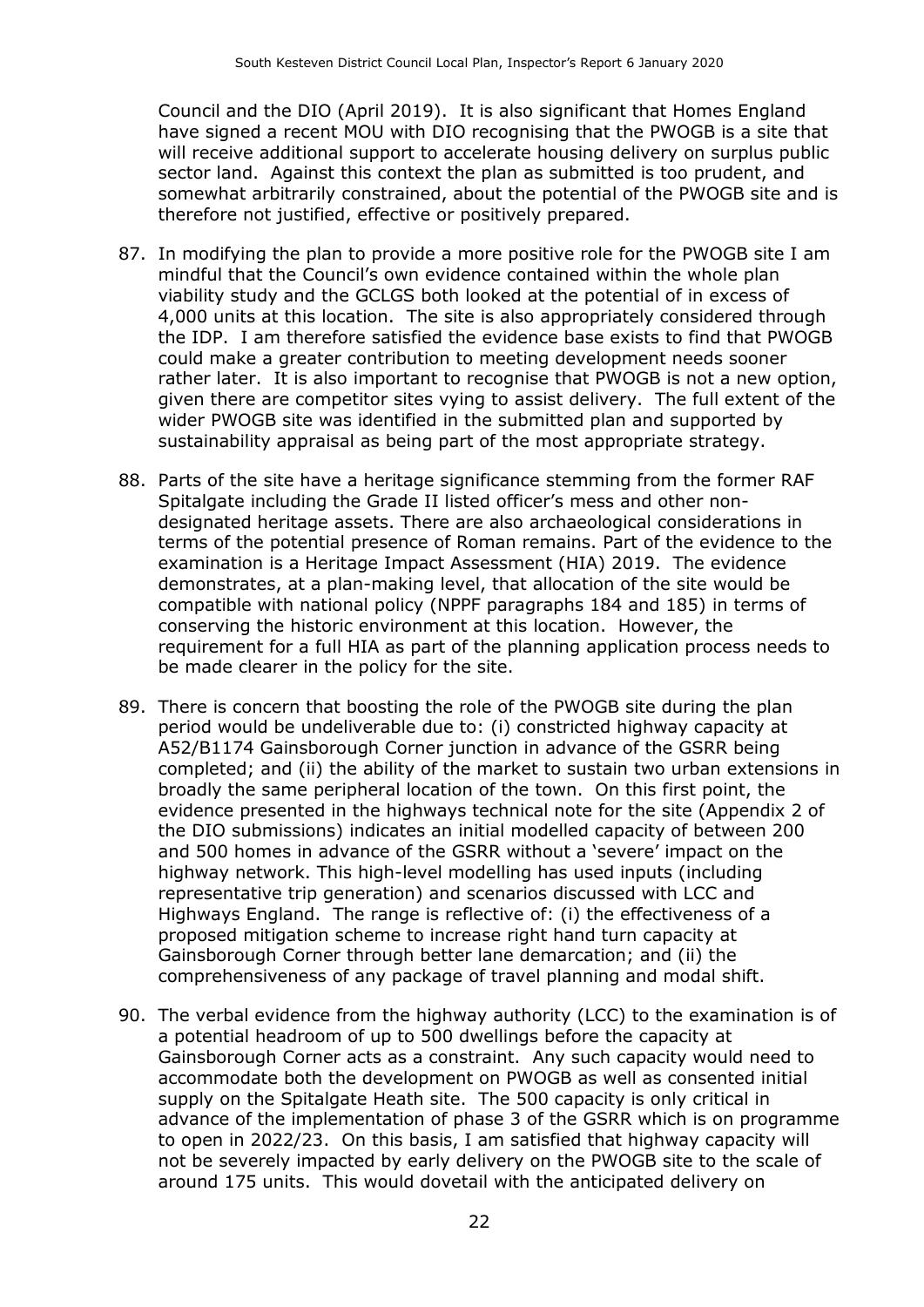Council and the DIO (April 2019). It is also significant that Homes England have signed a recent MOU with DIO recognising that the PWOGB is a site that will receive additional support to accelerate housing delivery on surplus public sector land. Against this context the plan as submitted is too prudent, and somewhat arbitrarily constrained, about the potential of the PWOGB site and is therefore not justified, effective or positively prepared.

- 87. In modifying the plan to provide a more positive role for the PWOGB site I am mindful that the Council's own evidence contained within the whole plan viability study and the GCLGS both looked at the potential of in excess of 4,000 units at this location. The site is also appropriately considered through the IDP. I am therefore satisfied the evidence base exists to find that PWOGB could make a greater contribution to meeting development needs sooner rather later. It is also important to recognise that PWOGB is not a new option, given there are competitor sites vying to assist delivery. The full extent of the wider PWOGB site was identified in the submitted plan and supported by sustainability appraisal as being part of the most appropriate strategy.
- 88. Parts of the site have a heritage significance stemming from the former RAF Spitalgate including the Grade II listed officer's mess and other nondesignated heritage assets. There are also archaeological considerations in terms of the potential presence of Roman remains. Part of the evidence to the examination is a Heritage Impact Assessment (HIA) 2019. The evidence demonstrates, at a plan-making level, that allocation of the site would be compatible with national policy (NPPF paragraphs 184 and 185) in terms of conserving the historic environment at this location. However, the requirement for a full HIA as part of the planning application process needs to be made clearer in the policy for the site.
- 89. There is concern that boosting the role of the PWOGB site during the plan period would be undeliverable due to: (i) constricted highway capacity at A52/B1174 Gainsborough Corner junction in advance of the GSRR being completed; and (ii) the ability of the market to sustain two urban extensions in broadly the same peripheral location of the town. On this first point, the evidence presented in the highways technical note for the site (Appendix 2 of the DIO submissions) indicates an initial modelled capacity of between 200 and 500 homes in advance of the GSRR without a 'severe' impact on the highway network. This high-level modelling has used inputs (including representative trip generation) and scenarios discussed with LCC and Highways England. The range is reflective of: (i) the effectiveness of a proposed mitigation scheme to increase right hand turn capacity at Gainsborough Corner through better lane demarcation; and (ii) the comprehensiveness of any package of travel planning and modal shift.
- 90. The verbal evidence from the highway authority (LCC) to the examination is of a potential headroom of up to 500 dwellings before the capacity at Gainsborough Corner acts as a constraint. Any such capacity would need to accommodate both the development on PWOGB as well as consented initial supply on the Spitalgate Heath site. The 500 capacity is only critical in advance of the implementation of phase 3 of the GSRR which is on programme to open in 2022/23. On this basis, I am satisfied that highway capacity will not be severely impacted by early delivery on the PWOGB site to the scale of around 175 units. This would dovetail with the anticipated delivery on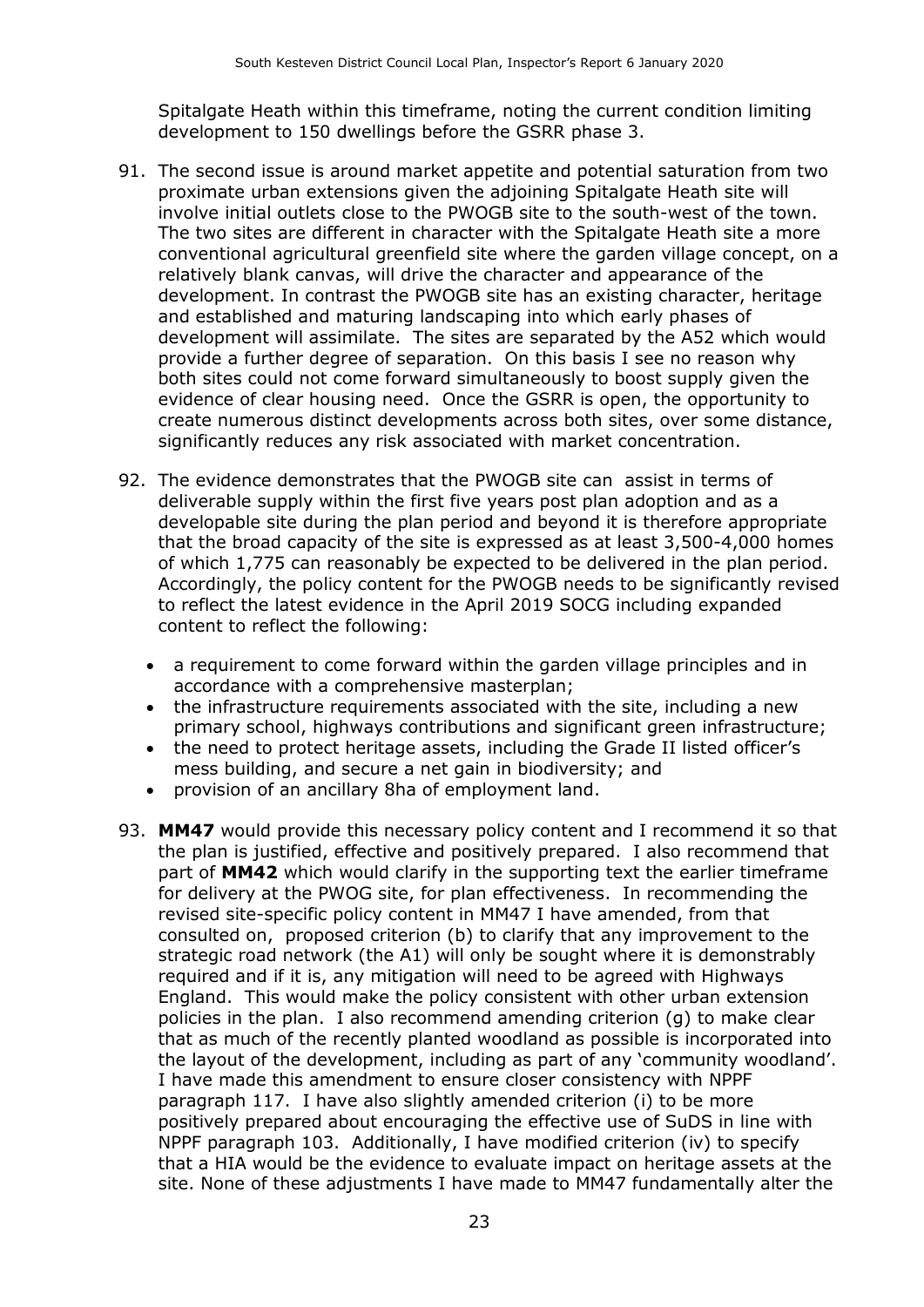Spitalgate Heath within this timeframe, noting the current condition limiting development to 150 dwellings before the GSRR phase 3.

- 91. The second issue is around market appetite and potential saturation from two proximate urban extensions given the adjoining Spitalgate Heath site will involve initial outlets close to the PWOGB site to the south-west of the town. The two sites are different in character with the Spitalgate Heath site a more conventional agricultural greenfield site where the garden village concept, on a relatively blank canvas, will drive the character and appearance of the development. In contrast the PWOGB site has an existing character, heritage and established and maturing landscaping into which early phases of development will assimilate. The sites are separated by the A52 which would provide a further degree of separation. On this basis I see no reason why both sites could not come forward simultaneously to boost supply given the evidence of clear housing need. Once the GSRR is open, the opportunity to create numerous distinct developments across both sites, over some distance, significantly reduces any risk associated with market concentration.
- 92. The evidence demonstrates that the PWOGB site can assist in terms of deliverable supply within the first five years post plan adoption and as a developable site during the plan period and beyond it is therefore appropriate that the broad capacity of the site is expressed as at least 3,500-4,000 homes of which 1,775 can reasonably be expected to be delivered in the plan period. Accordingly, the policy content for the PWOGB needs to be significantly revised to reflect the latest evidence in the April 2019 SOCG including expanded content to reflect the following:
	- a requirement to come forward within the garden village principles and in accordance with a comprehensive masterplan;
	- the infrastructure requirements associated with the site, including a new primary school, highways contributions and significant green infrastructure;
	- the need to protect heritage assets, including the Grade II listed officer's mess building, and secure a net gain in biodiversity; and
	- provision of an ancillary 8ha of employment land.
- 93. **MM47** would provide this necessary policy content and I recommend it so that the plan is justified, effective and positively prepared. I also recommend that part of **MM42** which would clarify in the supporting text the earlier timeframe for delivery at the PWOG site, for plan effectiveness. In recommending the revised site-specific policy content in MM47 I have amended, from that consulted on, proposed criterion (b) to clarify that any improvement to the strategic road network (the A1) will only be sought where it is demonstrably required and if it is, any mitigation will need to be agreed with Highways England. This would make the policy consistent with other urban extension policies in the plan. I also recommend amending criterion (g) to make clear that as much of the recently planted woodland as possible is incorporated into the layout of the development, including as part of any 'community woodland'. I have made this amendment to ensure closer consistency with NPPF paragraph 117. I have also slightly amended criterion (i) to be more positively prepared about encouraging the effective use of SuDS in line with NPPF paragraph 103. Additionally, I have modified criterion (iv) to specify that a HIA would be the evidence to evaluate impact on heritage assets at the site. None of these adjustments I have made to MM47 fundamentally alter the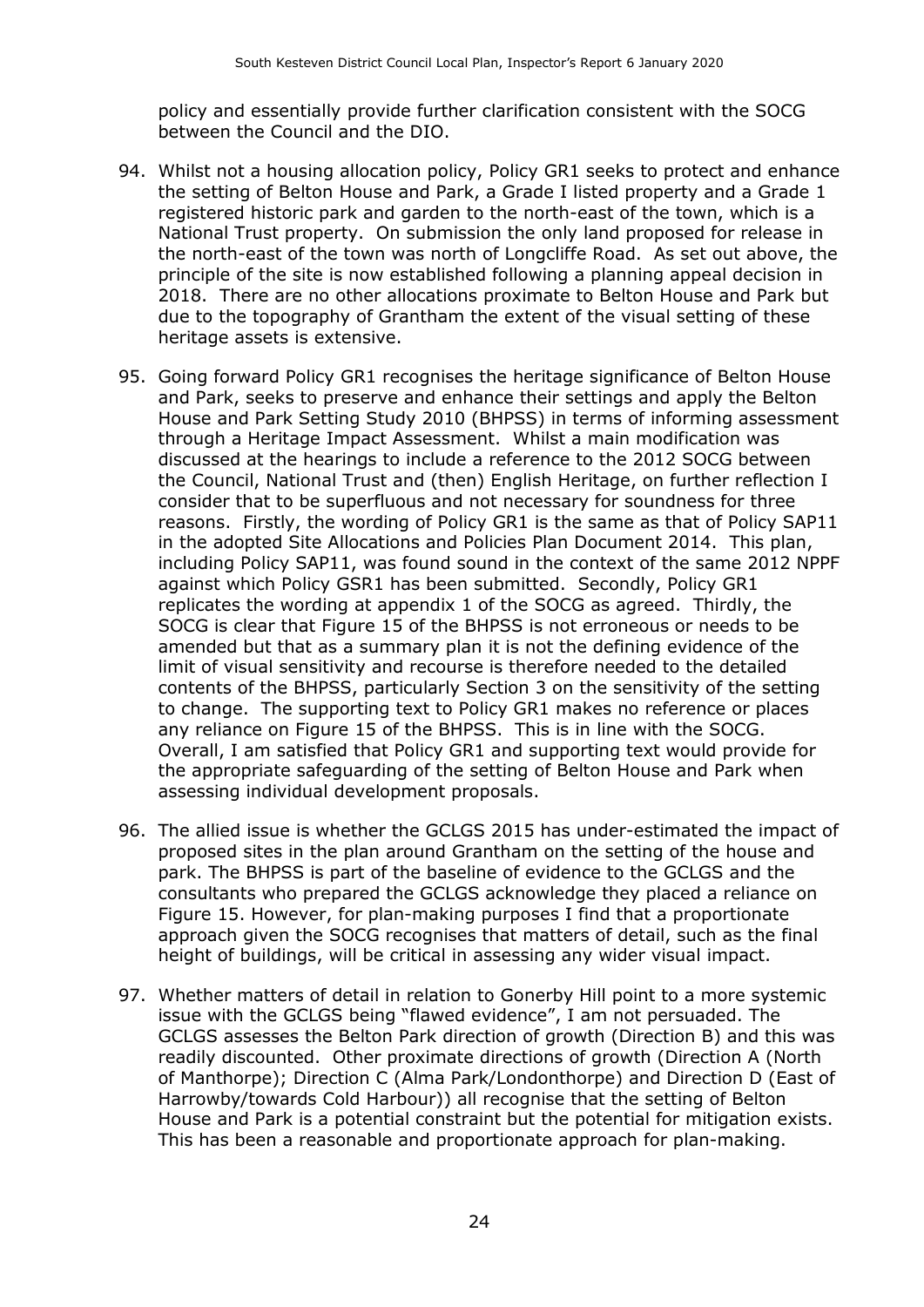policy and essentially provide further clarification consistent with the SOCG between the Council and the DIO.

- 94. Whilst not a housing allocation policy, Policy GR1 seeks to protect and enhance the setting of Belton House and Park, a Grade I listed property and a Grade 1 registered historic park and garden to the north-east of the town, which is a National Trust property. On submission the only land proposed for release in the north-east of the town was north of Longcliffe Road. As set out above, the principle of the site is now established following a planning appeal decision in 2018. There are no other allocations proximate to Belton House and Park but due to the topography of Grantham the extent of the visual setting of these heritage assets is extensive.
- 95. Going forward Policy GR1 recognises the heritage significance of Belton House and Park, seeks to preserve and enhance their settings and apply the Belton House and Park Setting Study 2010 (BHPSS) in terms of informing assessment through a Heritage Impact Assessment. Whilst a main modification was discussed at the hearings to include a reference to the 2012 SOCG between the Council, National Trust and (then) English Heritage, on further reflection I consider that to be superfluous and not necessary for soundness for three reasons. Firstly, the wording of Policy GR1 is the same as that of Policy SAP11 in the adopted Site Allocations and Policies Plan Document 2014. This plan, including Policy SAP11, was found sound in the context of the same 2012 NPPF against which Policy GSR1 has been submitted. Secondly, Policy GR1 replicates the wording at appendix 1 of the SOCG as agreed. Thirdly, the SOCG is clear that Figure 15 of the BHPSS is not erroneous or needs to be amended but that as a summary plan it is not the defining evidence of the limit of visual sensitivity and recourse is therefore needed to the detailed contents of the BHPSS, particularly Section 3 on the sensitivity of the setting to change. The supporting text to Policy GR1 makes no reference or places any reliance on Figure 15 of the BHPSS. This is in line with the SOCG. Overall, I am satisfied that Policy GR1 and supporting text would provide for the appropriate safeguarding of the setting of Belton House and Park when assessing individual development proposals.
- 96. The allied issue is whether the GCLGS 2015 has under-estimated the impact of proposed sites in the plan around Grantham on the setting of the house and park. The BHPSS is part of the baseline of evidence to the GCLGS and the consultants who prepared the GCLGS acknowledge they placed a reliance on Figure 15. However, for plan-making purposes I find that a proportionate approach given the SOCG recognises that matters of detail, such as the final height of buildings, will be critical in assessing any wider visual impact.
- 97. Whether matters of detail in relation to Gonerby Hill point to a more systemic issue with the GCLGS being "flawed evidence", I am not persuaded. The GCLGS assesses the Belton Park direction of growth (Direction B) and this was readily discounted. Other proximate directions of growth (Direction A (North of Manthorpe); Direction C (Alma Park/Londonthorpe) and Direction D (East of Harrowby/towards Cold Harbour)) all recognise that the setting of Belton House and Park is a potential constraint but the potential for mitigation exists. This has been a reasonable and proportionate approach for plan-making.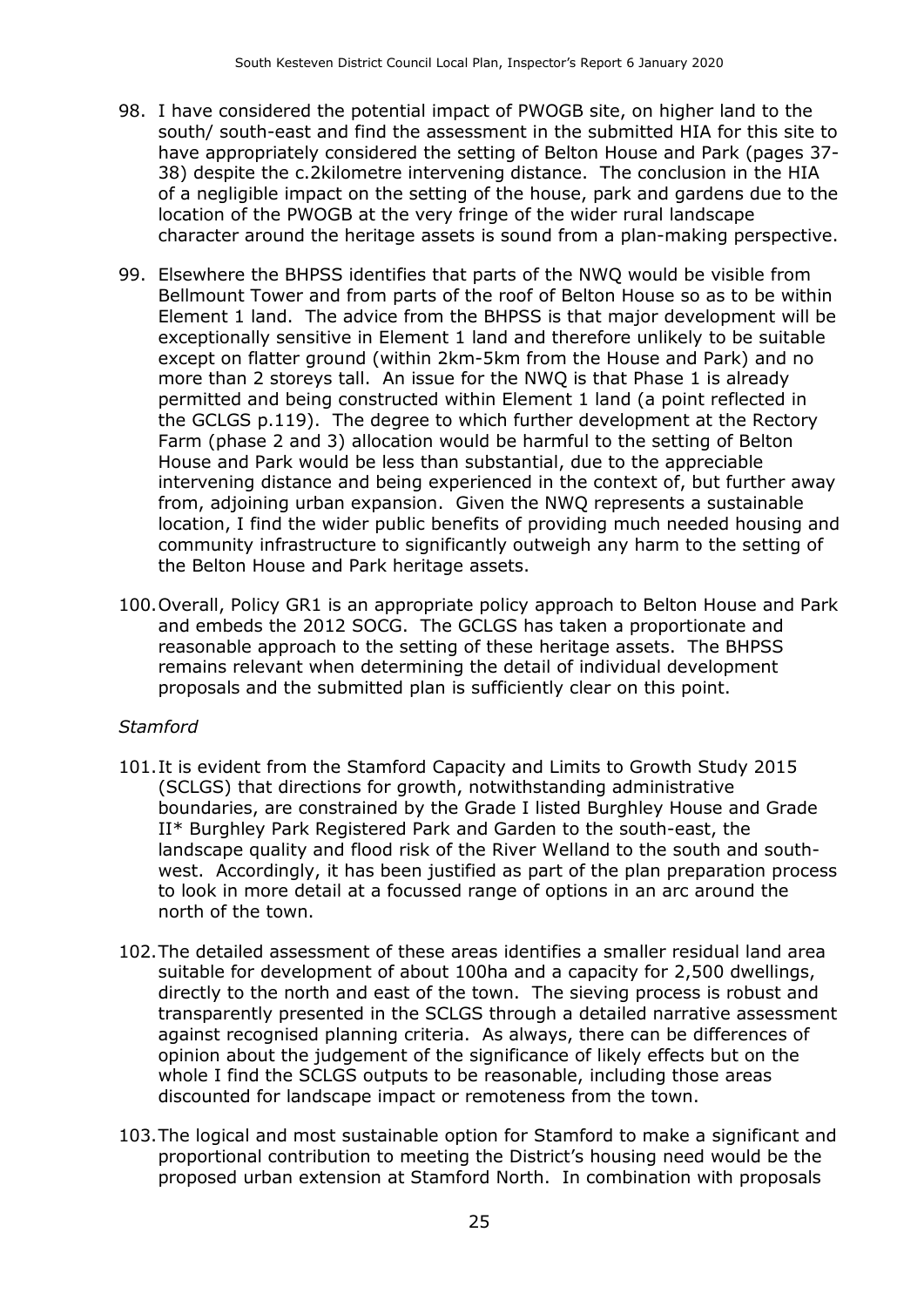- 98. I have considered the potential impact of PWOGB site, on higher land to the south/ south-east and find the assessment in the submitted HIA for this site to have appropriately considered the setting of Belton House and Park (pages 37- 38) despite the c.2kilometre intervening distance. The conclusion in the HIA of a negligible impact on the setting of the house, park and gardens due to the location of the PWOGB at the very fringe of the wider rural landscape character around the heritage assets is sound from a plan-making perspective.
- 99. Elsewhere the BHPSS identifies that parts of the NWQ would be visible from Bellmount Tower and from parts of the roof of Belton House so as to be within Element 1 land. The advice from the BHPSS is that major development will be exceptionally sensitive in Element 1 land and therefore unlikely to be suitable except on flatter ground (within 2km-5km from the House and Park) and no more than 2 storeys tall. An issue for the NWQ is that Phase 1 is already permitted and being constructed within Element 1 land (a point reflected in the GCLGS p.119). The degree to which further development at the Rectory Farm (phase 2 and 3) allocation would be harmful to the setting of Belton House and Park would be less than substantial, due to the appreciable intervening distance and being experienced in the context of, but further away from, adjoining urban expansion. Given the NWQ represents a sustainable location, I find the wider public benefits of providing much needed housing and community infrastructure to significantly outweigh any harm to the setting of the Belton House and Park heritage assets.
- 100.Overall, Policy GR1 is an appropriate policy approach to Belton House and Park and embeds the 2012 SOCG. The GCLGS has taken a proportionate and reasonable approach to the setting of these heritage assets. The BHPSS remains relevant when determining the detail of individual development proposals and the submitted plan is sufficiently clear on this point.

#### *Stamford*

- 101.It is evident from the Stamford Capacity and Limits to Growth Study 2015 (SCLGS) that directions for growth, notwithstanding administrative boundaries, are constrained by the Grade I listed Burghley House and Grade II\* Burghley Park Registered Park and Garden to the south-east, the landscape quality and flood risk of the River Welland to the south and southwest. Accordingly, it has been justified as part of the plan preparation process to look in more detail at a focussed range of options in an arc around the north of the town.
- 102.The detailed assessment of these areas identifies a smaller residual land area suitable for development of about 100ha and a capacity for 2,500 dwellings, directly to the north and east of the town. The sieving process is robust and transparently presented in the SCLGS through a detailed narrative assessment against recognised planning criteria. As always, there can be differences of opinion about the judgement of the significance of likely effects but on the whole I find the SCLGS outputs to be reasonable, including those areas discounted for landscape impact or remoteness from the town.
- 103.The logical and most sustainable option for Stamford to make a significant and proportional contribution to meeting the District's housing need would be the proposed urban extension at Stamford North. In combination with proposals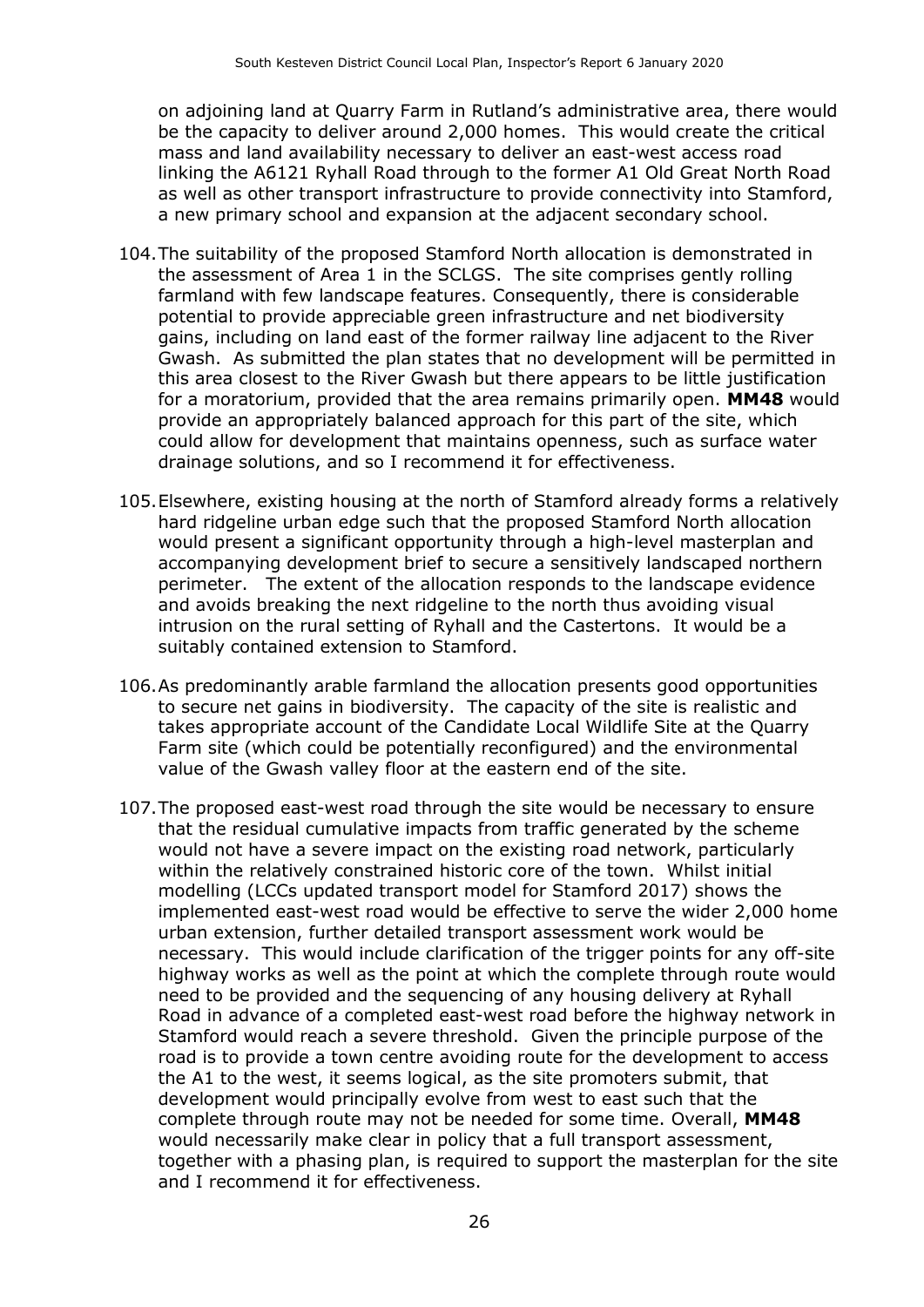on adjoining land at Quarry Farm in Rutland's administrative area, there would be the capacity to deliver around 2,000 homes. This would create the critical mass and land availability necessary to deliver an east-west access road linking the A6121 Ryhall Road through to the former A1 Old Great North Road as well as other transport infrastructure to provide connectivity into Stamford, a new primary school and expansion at the adjacent secondary school.

- 104.The suitability of the proposed Stamford North allocation is demonstrated in the assessment of Area 1 in the SCLGS. The site comprises gently rolling farmland with few landscape features. Consequently, there is considerable potential to provide appreciable green infrastructure and net biodiversity gains, including on land east of the former railway line adjacent to the River Gwash. As submitted the plan states that no development will be permitted in this area closest to the River Gwash but there appears to be little justification for a moratorium, provided that the area remains primarily open. **MM48** would provide an appropriately balanced approach for this part of the site, which could allow for development that maintains openness, such as surface water drainage solutions, and so I recommend it for effectiveness.
- 105.Elsewhere, existing housing at the north of Stamford already forms a relatively hard ridgeline urban edge such that the proposed Stamford North allocation would present a significant opportunity through a high-level masterplan and accompanying development brief to secure a sensitively landscaped northern perimeter. The extent of the allocation responds to the landscape evidence and avoids breaking the next ridgeline to the north thus avoiding visual intrusion on the rural setting of Ryhall and the Castertons. It would be a suitably contained extension to Stamford.
- 106.As predominantly arable farmland the allocation presents good opportunities to secure net gains in biodiversity. The capacity of the site is realistic and takes appropriate account of the Candidate Local Wildlife Site at the Quarry Farm site (which could be potentially reconfigured) and the environmental value of the Gwash valley floor at the eastern end of the site.
- 107.The proposed east-west road through the site would be necessary to ensure that the residual cumulative impacts from traffic generated by the scheme would not have a severe impact on the existing road network, particularly within the relatively constrained historic core of the town. Whilst initial modelling (LCCs updated transport model for Stamford 2017) shows the implemented east-west road would be effective to serve the wider 2,000 home urban extension, further detailed transport assessment work would be necessary. This would include clarification of the trigger points for any off-site highway works as well as the point at which the complete through route would need to be provided and the sequencing of any housing delivery at Ryhall Road in advance of a completed east-west road before the highway network in Stamford would reach a severe threshold. Given the principle purpose of the road is to provide a town centre avoiding route for the development to access the A1 to the west, it seems logical, as the site promoters submit, that development would principally evolve from west to east such that the complete through route may not be needed for some time. Overall, **MM48** would necessarily make clear in policy that a full transport assessment, together with a phasing plan, is required to support the masterplan for the site and I recommend it for effectiveness.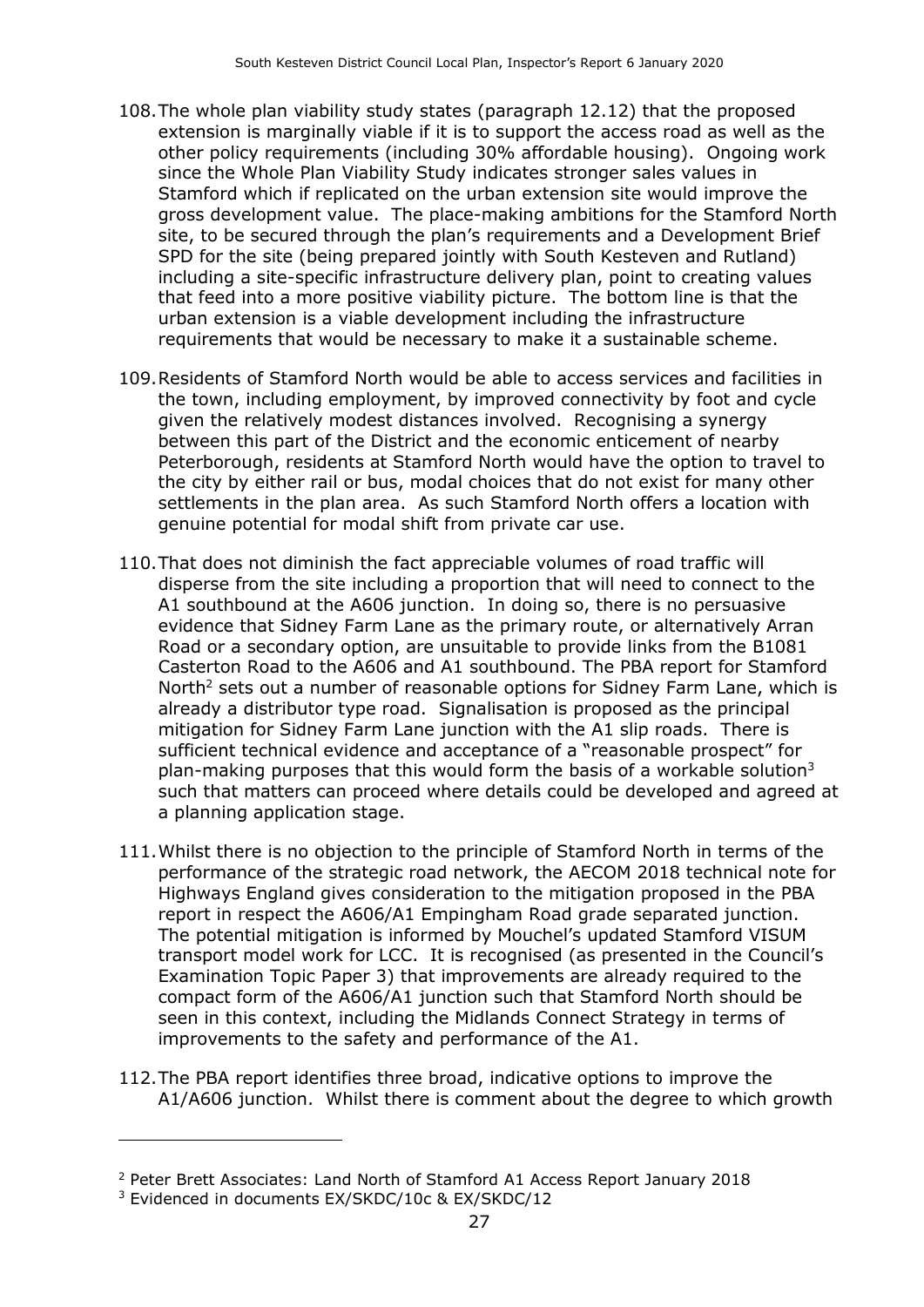- 108.The whole plan viability study states (paragraph 12.12) that the proposed extension is marginally viable if it is to support the access road as well as the other policy requirements (including 30% affordable housing). Ongoing work since the Whole Plan Viability Study indicates stronger sales values in Stamford which if replicated on the urban extension site would improve the gross development value. The place-making ambitions for the Stamford North site, to be secured through the plan's requirements and a Development Brief SPD for the site (being prepared jointly with South Kesteven and Rutland) including a site-specific infrastructure delivery plan, point to creating values that feed into a more positive viability picture. The bottom line is that the urban extension is a viable development including the infrastructure requirements that would be necessary to make it a sustainable scheme.
- 109.Residents of Stamford North would be able to access services and facilities in the town, including employment, by improved connectivity by foot and cycle given the relatively modest distances involved. Recognising a synergy between this part of the District and the economic enticement of nearby Peterborough, residents at Stamford North would have the option to travel to the city by either rail or bus, modal choices that do not exist for many other settlements in the plan area. As such Stamford North offers a location with genuine potential for modal shift from private car use.
- 110.That does not diminish the fact appreciable volumes of road traffic will disperse from the site including a proportion that will need to connect to the A1 southbound at the A606 junction. In doing so, there is no persuasive evidence that Sidney Farm Lane as the primary route, or alternatively Arran Road or a secondary option, are unsuitable to provide links from the B1081 Casterton Road to the A606 and A1 southbound. The PBA report for Stamford North<sup>2</sup> sets out a number of reasonable options for Sidney Farm Lane, which is already a distributor type road. Signalisation is proposed as the principal mitigation for Sidney Farm Lane junction with the A1 slip roads. There is sufficient technical evidence and acceptance of a "reasonable prospect" for plan-making purposes that this would form the basis of a workable solution<sup>3</sup> such that matters can proceed where details could be developed and agreed at a planning application stage.
- 111.Whilst there is no objection to the principle of Stamford North in terms of the performance of the strategic road network, the AECOM 2018 technical note for Highways England gives consideration to the mitigation proposed in the PBA report in respect the A606/A1 Empingham Road grade separated junction. The potential mitigation is informed by Mouchel's updated Stamford VISUM transport model work for LCC. It is recognised (as presented in the Council's Examination Topic Paper 3) that improvements are already required to the compact form of the A606/A1 junction such that Stamford North should be seen in this context, including the Midlands Connect Strategy in terms of improvements to the safety and performance of the A1.
- 112.The PBA report identifies three broad, indicative options to improve the A1/A606 junction. Whilst there is comment about the degree to which growth

-

<sup>2</sup> Peter Brett Associates: Land North of Stamford A1 Access Report January 2018

<sup>3</sup> Evidenced in documents EX/SKDC/10c & EX/SKDC/12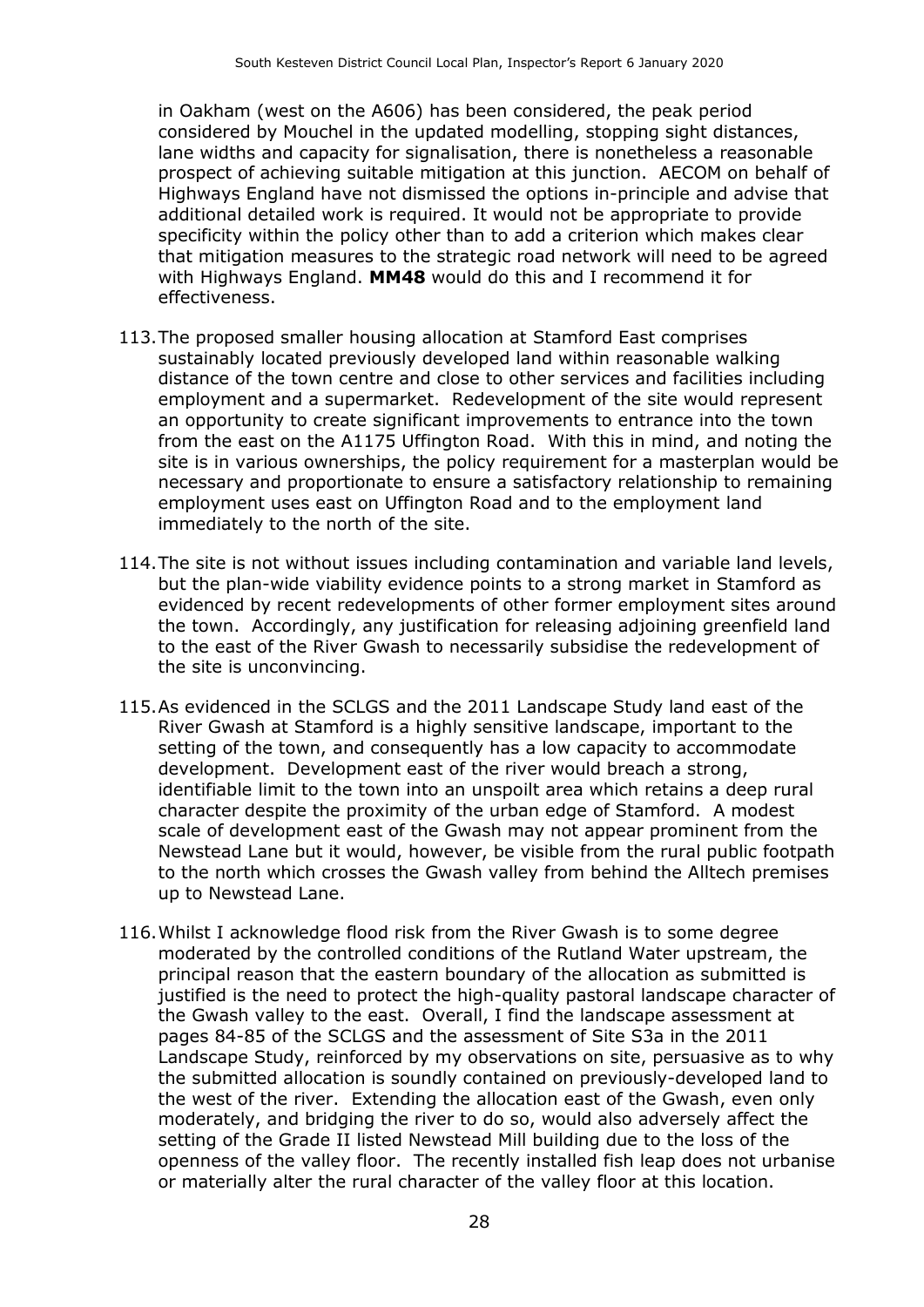in Oakham (west on the A606) has been considered, the peak period considered by Mouchel in the updated modelling, stopping sight distances, lane widths and capacity for signalisation, there is nonetheless a reasonable prospect of achieving suitable mitigation at this junction. AECOM on behalf of Highways England have not dismissed the options in-principle and advise that additional detailed work is required. It would not be appropriate to provide specificity within the policy other than to add a criterion which makes clear that mitigation measures to the strategic road network will need to be agreed with Highways England. **MM48** would do this and I recommend it for effectiveness.

- 113.The proposed smaller housing allocation at Stamford East comprises sustainably located previously developed land within reasonable walking distance of the town centre and close to other services and facilities including employment and a supermarket. Redevelopment of the site would represent an opportunity to create significant improvements to entrance into the town from the east on the A1175 Uffington Road. With this in mind, and noting the site is in various ownerships, the policy requirement for a masterplan would be necessary and proportionate to ensure a satisfactory relationship to remaining employment uses east on Uffington Road and to the employment land immediately to the north of the site.
- 114.The site is not without issues including contamination and variable land levels, but the plan-wide viability evidence points to a strong market in Stamford as evidenced by recent redevelopments of other former employment sites around the town. Accordingly, any justification for releasing adjoining greenfield land to the east of the River Gwash to necessarily subsidise the redevelopment of the site is unconvincing.
- 115.As evidenced in the SCLGS and the 2011 Landscape Study land east of the River Gwash at Stamford is a highly sensitive landscape, important to the setting of the town, and consequently has a low capacity to accommodate development. Development east of the river would breach a strong, identifiable limit to the town into an unspoilt area which retains a deep rural character despite the proximity of the urban edge of Stamford. A modest scale of development east of the Gwash may not appear prominent from the Newstead Lane but it would, however, be visible from the rural public footpath to the north which crosses the Gwash valley from behind the Alltech premises up to Newstead Lane.
- 116.Whilst I acknowledge flood risk from the River Gwash is to some degree moderated by the controlled conditions of the Rutland Water upstream, the principal reason that the eastern boundary of the allocation as submitted is justified is the need to protect the high-quality pastoral landscape character of the Gwash valley to the east. Overall, I find the landscape assessment at pages 84-85 of the SCLGS and the assessment of Site S3a in the 2011 Landscape Study, reinforced by my observations on site, persuasive as to why the submitted allocation is soundly contained on previously-developed land to the west of the river. Extending the allocation east of the Gwash, even only moderately, and bridging the river to do so, would also adversely affect the setting of the Grade II listed Newstead Mill building due to the loss of the openness of the valley floor. The recently installed fish leap does not urbanise or materially alter the rural character of the valley floor at this location.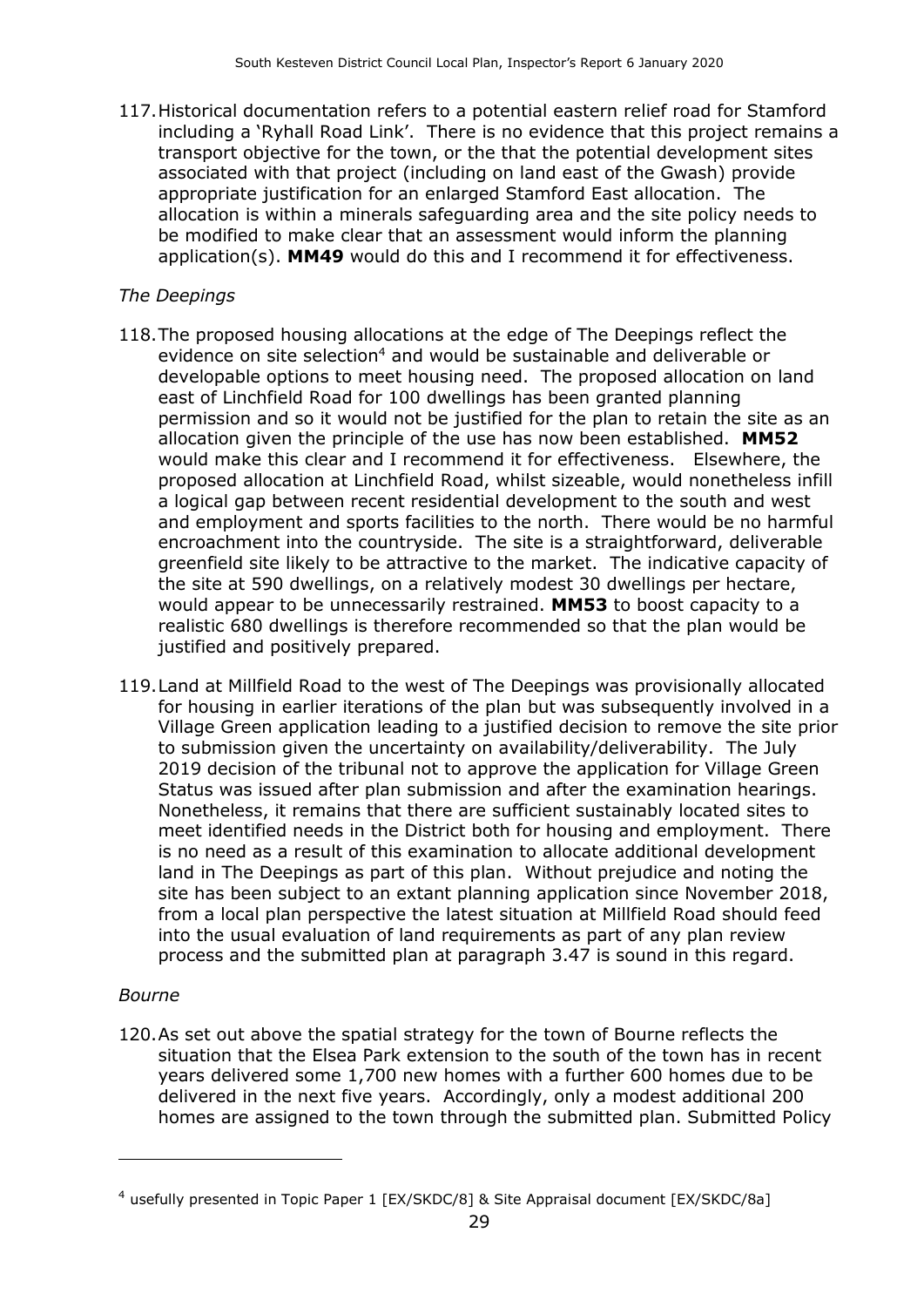117.Historical documentation refers to a potential eastern relief road for Stamford including a 'Ryhall Road Link'. There is no evidence that this project remains a transport objective for the town, or the that the potential development sites associated with that project (including on land east of the Gwash) provide appropriate justification for an enlarged Stamford East allocation. The allocation is within a minerals safeguarding area and the site policy needs to be modified to make clear that an assessment would inform the planning application(s). **MM49** would do this and I recommend it for effectiveness.

#### *The Deepings*

- 118.The proposed housing allocations at the edge of The Deepings reflect the evidence on site selection<sup>4</sup> and would be sustainable and deliverable or developable options to meet housing need. The proposed allocation on land east of Linchfield Road for 100 dwellings has been granted planning permission and so it would not be justified for the plan to retain the site as an allocation given the principle of the use has now been established. **MM52** would make this clear and I recommend it for effectiveness. Elsewhere, the proposed allocation at Linchfield Road, whilst sizeable, would nonetheless infill a logical gap between recent residential development to the south and west and employment and sports facilities to the north. There would be no harmful encroachment into the countryside. The site is a straightforward, deliverable greenfield site likely to be attractive to the market. The indicative capacity of the site at 590 dwellings, on a relatively modest 30 dwellings per hectare, would appear to be unnecessarily restrained. **MM53** to boost capacity to a realistic 680 dwellings is therefore recommended so that the plan would be justified and positively prepared.
- 119.Land at Millfield Road to the west of The Deepings was provisionally allocated for housing in earlier iterations of the plan but was subsequently involved in a Village Green application leading to a justified decision to remove the site prior to submission given the uncertainty on availability/deliverability. The July 2019 decision of the tribunal not to approve the application for Village Green Status was issued after plan submission and after the examination hearings. Nonetheless, it remains that there are sufficient sustainably located sites to meet identified needs in the District both for housing and employment. There is no need as a result of this examination to allocate additional development land in The Deepings as part of this plan. Without prejudice and noting the site has been subject to an extant planning application since November 2018, from a local plan perspective the latest situation at Millfield Road should feed into the usual evaluation of land requirements as part of any plan review process and the submitted plan at paragraph 3.47 is sound in this regard.

#### *Bourne*

 $\overline{a}$ 

120.As set out above the spatial strategy for the town of Bourne reflects the situation that the Elsea Park extension to the south of the town has in recent years delivered some 1,700 new homes with a further 600 homes due to be delivered in the next five years. Accordingly, only a modest additional 200 homes are assigned to the town through the submitted plan. Submitted Policy

<sup>4</sup> usefully presented in Topic Paper 1 [EX/SKDC/8] & Site Appraisal document [EX/SKDC/8a]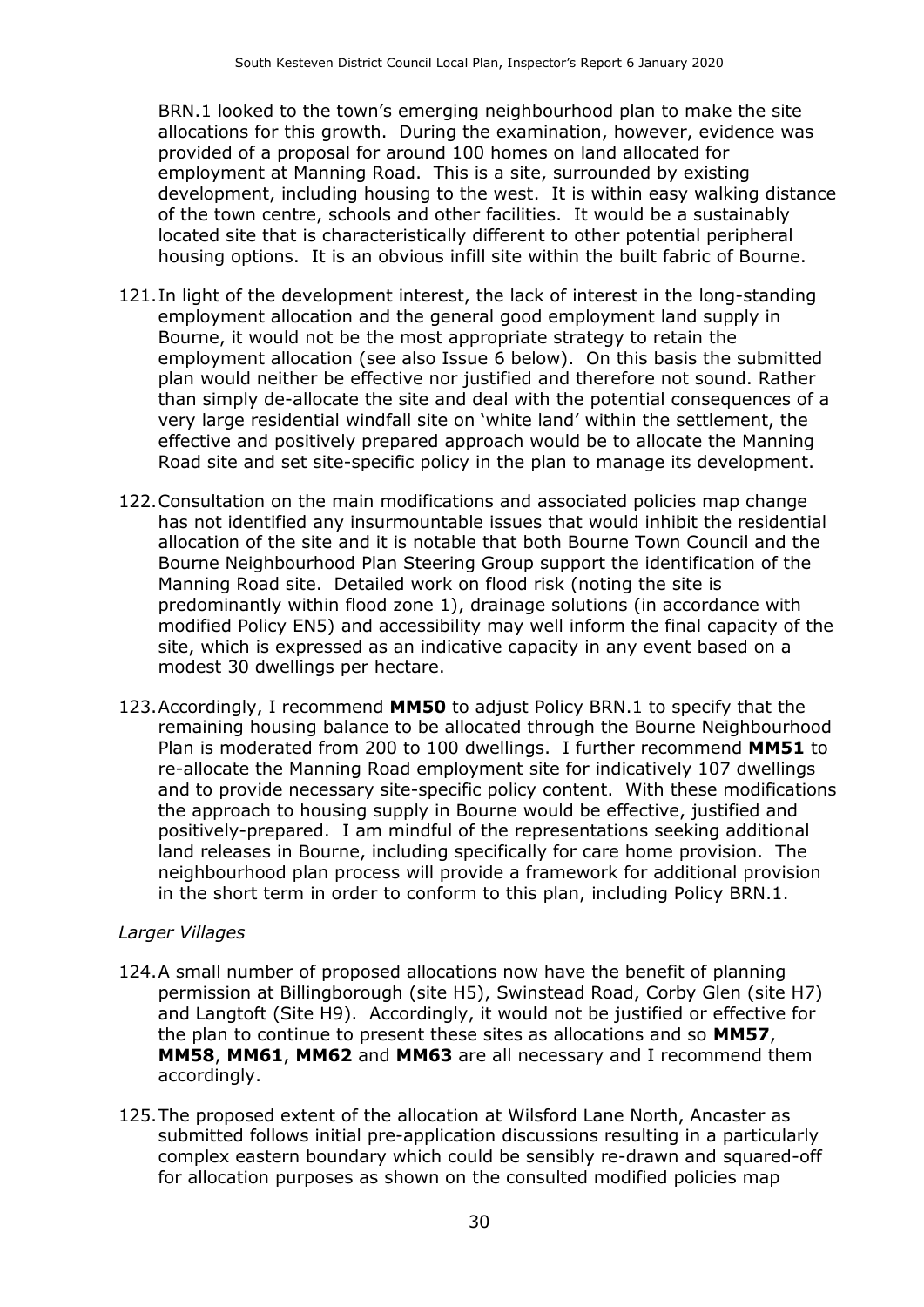BRN.1 looked to the town's emerging neighbourhood plan to make the site allocations for this growth. During the examination, however, evidence was provided of a proposal for around 100 homes on land allocated for employment at Manning Road. This is a site, surrounded by existing development, including housing to the west. It is within easy walking distance of the town centre, schools and other facilities. It would be a sustainably located site that is characteristically different to other potential peripheral housing options. It is an obvious infill site within the built fabric of Bourne.

- 121.In light of the development interest, the lack of interest in the long-standing employment allocation and the general good employment land supply in Bourne, it would not be the most appropriate strategy to retain the employment allocation (see also Issue 6 below). On this basis the submitted plan would neither be effective nor justified and therefore not sound. Rather than simply de-allocate the site and deal with the potential consequences of a very large residential windfall site on 'white land' within the settlement, the effective and positively prepared approach would be to allocate the Manning Road site and set site-specific policy in the plan to manage its development.
- 122.Consultation on the main modifications and associated policies map change has not identified any insurmountable issues that would inhibit the residential allocation of the site and it is notable that both Bourne Town Council and the Bourne Neighbourhood Plan Steering Group support the identification of the Manning Road site. Detailed work on flood risk (noting the site is predominantly within flood zone 1), drainage solutions (in accordance with modified Policy EN5) and accessibility may well inform the final capacity of the site, which is expressed as an indicative capacity in any event based on a modest 30 dwellings per hectare.
- 123.Accordingly, I recommend **MM50** to adjust Policy BRN.1 to specify that the remaining housing balance to be allocated through the Bourne Neighbourhood Plan is moderated from 200 to 100 dwellings. I further recommend **MM51** to re-allocate the Manning Road employment site for indicatively 107 dwellings and to provide necessary site-specific policy content. With these modifications the approach to housing supply in Bourne would be effective, justified and positively-prepared. I am mindful of the representations seeking additional land releases in Bourne, including specifically for care home provision. The neighbourhood plan process will provide a framework for additional provision in the short term in order to conform to this plan, including Policy BRN.1.

#### *Larger Villages*

- 124.A small number of proposed allocations now have the benefit of planning permission at Billingborough (site H5), Swinstead Road, Corby Glen (site H7) and Langtoft (Site H9). Accordingly, it would not be justified or effective for the plan to continue to present these sites as allocations and so **MM57**, **MM58**, **MM61**, **MM62** and **MM63** are all necessary and I recommend them accordingly.
- 125.The proposed extent of the allocation at Wilsford Lane North, Ancaster as submitted follows initial pre-application discussions resulting in a particularly complex eastern boundary which could be sensibly re-drawn and squared-off for allocation purposes as shown on the consulted modified policies map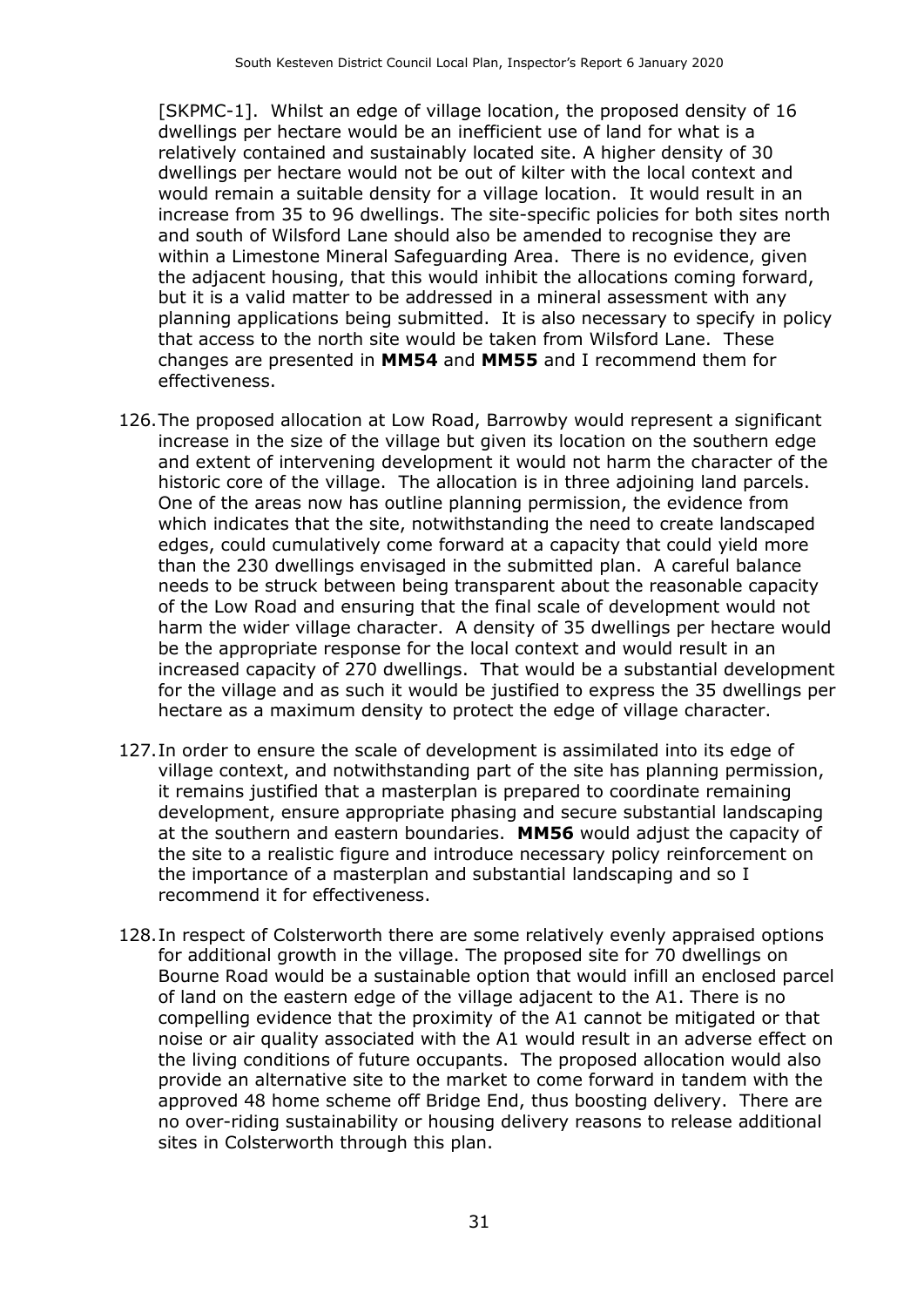[SKPMC-1]. Whilst an edge of village location, the proposed density of 16 dwellings per hectare would be an inefficient use of land for what is a relatively contained and sustainably located site. A higher density of 30 dwellings per hectare would not be out of kilter with the local context and would remain a suitable density for a village location. It would result in an increase from 35 to 96 dwellings. The site-specific policies for both sites north and south of Wilsford Lane should also be amended to recognise they are within a Limestone Mineral Safeguarding Area. There is no evidence, given the adjacent housing, that this would inhibit the allocations coming forward, but it is a valid matter to be addressed in a mineral assessment with any planning applications being submitted. It is also necessary to specify in policy that access to the north site would be taken from Wilsford Lane. These changes are presented in **MM54** and **MM55** and I recommend them for effectiveness.

- 126.The proposed allocation at Low Road, Barrowby would represent a significant increase in the size of the village but given its location on the southern edge and extent of intervening development it would not harm the character of the historic core of the village. The allocation is in three adjoining land parcels. One of the areas now has outline planning permission, the evidence from which indicates that the site, notwithstanding the need to create landscaped edges, could cumulatively come forward at a capacity that could yield more than the 230 dwellings envisaged in the submitted plan. A careful balance needs to be struck between being transparent about the reasonable capacity of the Low Road and ensuring that the final scale of development would not harm the wider village character. A density of 35 dwellings per hectare would be the appropriate response for the local context and would result in an increased capacity of 270 dwellings. That would be a substantial development for the village and as such it would be justified to express the 35 dwellings per hectare as a maximum density to protect the edge of village character.
- 127.In order to ensure the scale of development is assimilated into its edge of village context, and notwithstanding part of the site has planning permission, it remains justified that a masterplan is prepared to coordinate remaining development, ensure appropriate phasing and secure substantial landscaping at the southern and eastern boundaries. **MM56** would adjust the capacity of the site to a realistic figure and introduce necessary policy reinforcement on the importance of a masterplan and substantial landscaping and so I recommend it for effectiveness.
- 128.In respect of Colsterworth there are some relatively evenly appraised options for additional growth in the village. The proposed site for 70 dwellings on Bourne Road would be a sustainable option that would infill an enclosed parcel of land on the eastern edge of the village adjacent to the A1. There is no compelling evidence that the proximity of the A1 cannot be mitigated or that noise or air quality associated with the A1 would result in an adverse effect on the living conditions of future occupants. The proposed allocation would also provide an alternative site to the market to come forward in tandem with the approved 48 home scheme off Bridge End, thus boosting delivery. There are no over-riding sustainability or housing delivery reasons to release additional sites in Colsterworth through this plan.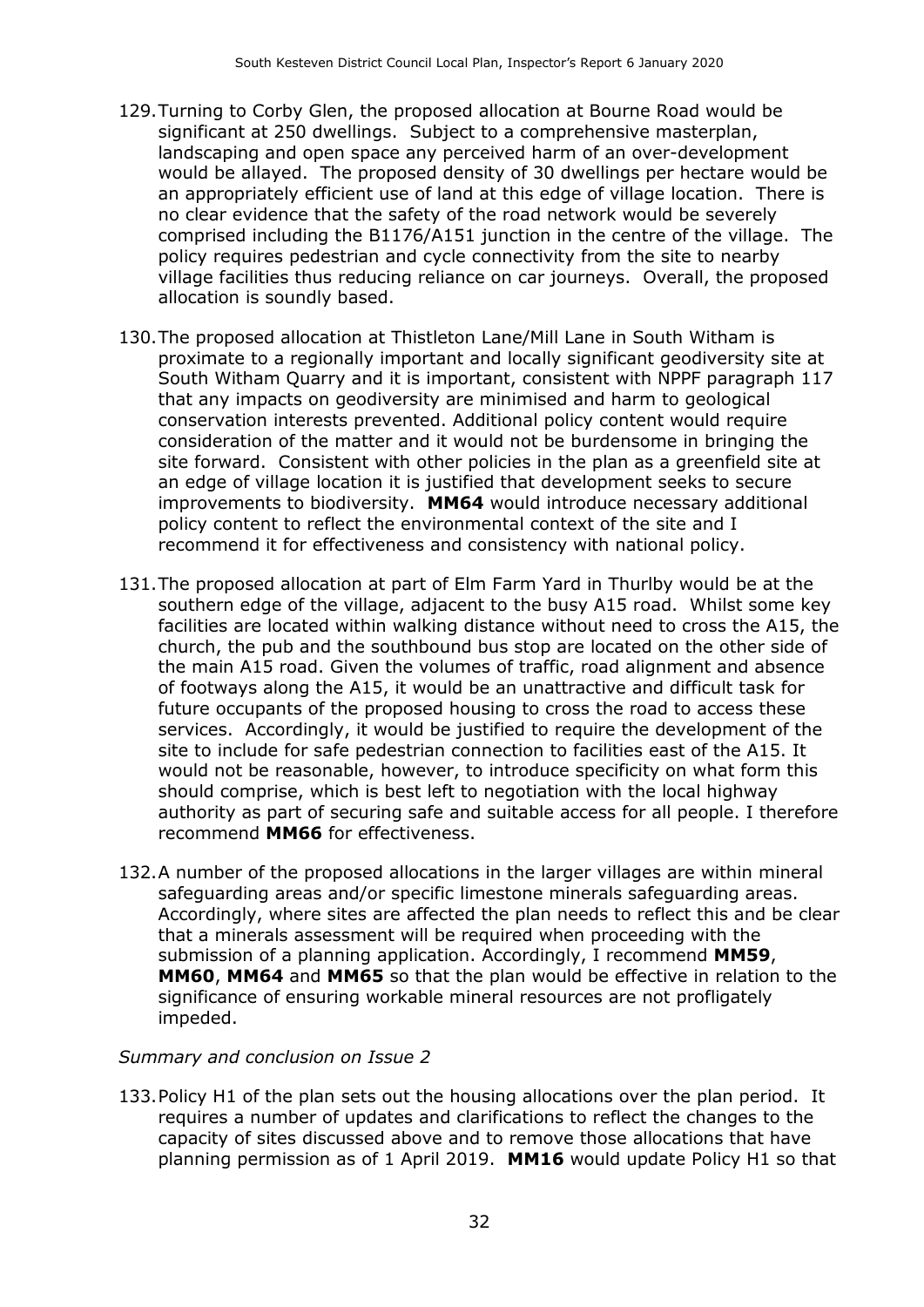- 129.Turning to Corby Glen, the proposed allocation at Bourne Road would be significant at 250 dwellings. Subject to a comprehensive masterplan, landscaping and open space any perceived harm of an over-development would be allayed. The proposed density of 30 dwellings per hectare would be an appropriately efficient use of land at this edge of village location. There is no clear evidence that the safety of the road network would be severely comprised including the B1176/A151 junction in the centre of the village. The policy requires pedestrian and cycle connectivity from the site to nearby village facilities thus reducing reliance on car journeys. Overall, the proposed allocation is soundly based.
- 130.The proposed allocation at Thistleton Lane/Mill Lane in South Witham is proximate to a regionally important and locally significant geodiversity site at South Witham Quarry and it is important, consistent with NPPF paragraph 117 that any impacts on geodiversity are minimised and harm to geological conservation interests prevented. Additional policy content would require consideration of the matter and it would not be burdensome in bringing the site forward. Consistent with other policies in the plan as a greenfield site at an edge of village location it is justified that development seeks to secure improvements to biodiversity. **MM64** would introduce necessary additional policy content to reflect the environmental context of the site and I recommend it for effectiveness and consistency with national policy.
- 131.The proposed allocation at part of Elm Farm Yard in Thurlby would be at the southern edge of the village, adjacent to the busy A15 road. Whilst some key facilities are located within walking distance without need to cross the A15, the church, the pub and the southbound bus stop are located on the other side of the main A15 road. Given the volumes of traffic, road alignment and absence of footways along the A15, it would be an unattractive and difficult task for future occupants of the proposed housing to cross the road to access these services. Accordingly, it would be justified to require the development of the site to include for safe pedestrian connection to facilities east of the A15. It would not be reasonable, however, to introduce specificity on what form this should comprise, which is best left to negotiation with the local highway authority as part of securing safe and suitable access for all people. I therefore recommend **MM66** for effectiveness.
- 132.A number of the proposed allocations in the larger villages are within mineral safeguarding areas and/or specific limestone minerals safeguarding areas. Accordingly, where sites are affected the plan needs to reflect this and be clear that a minerals assessment will be required when proceeding with the submission of a planning application. Accordingly, I recommend **MM59**, **MM60**, **MM64** and **MM65** so that the plan would be effective in relation to the significance of ensuring workable mineral resources are not profligately impeded.

#### *Summary and conclusion on Issue 2*

133.Policy H1 of the plan sets out the housing allocations over the plan period. It requires a number of updates and clarifications to reflect the changes to the capacity of sites discussed above and to remove those allocations that have planning permission as of 1 April 2019. **MM16** would update Policy H1 so that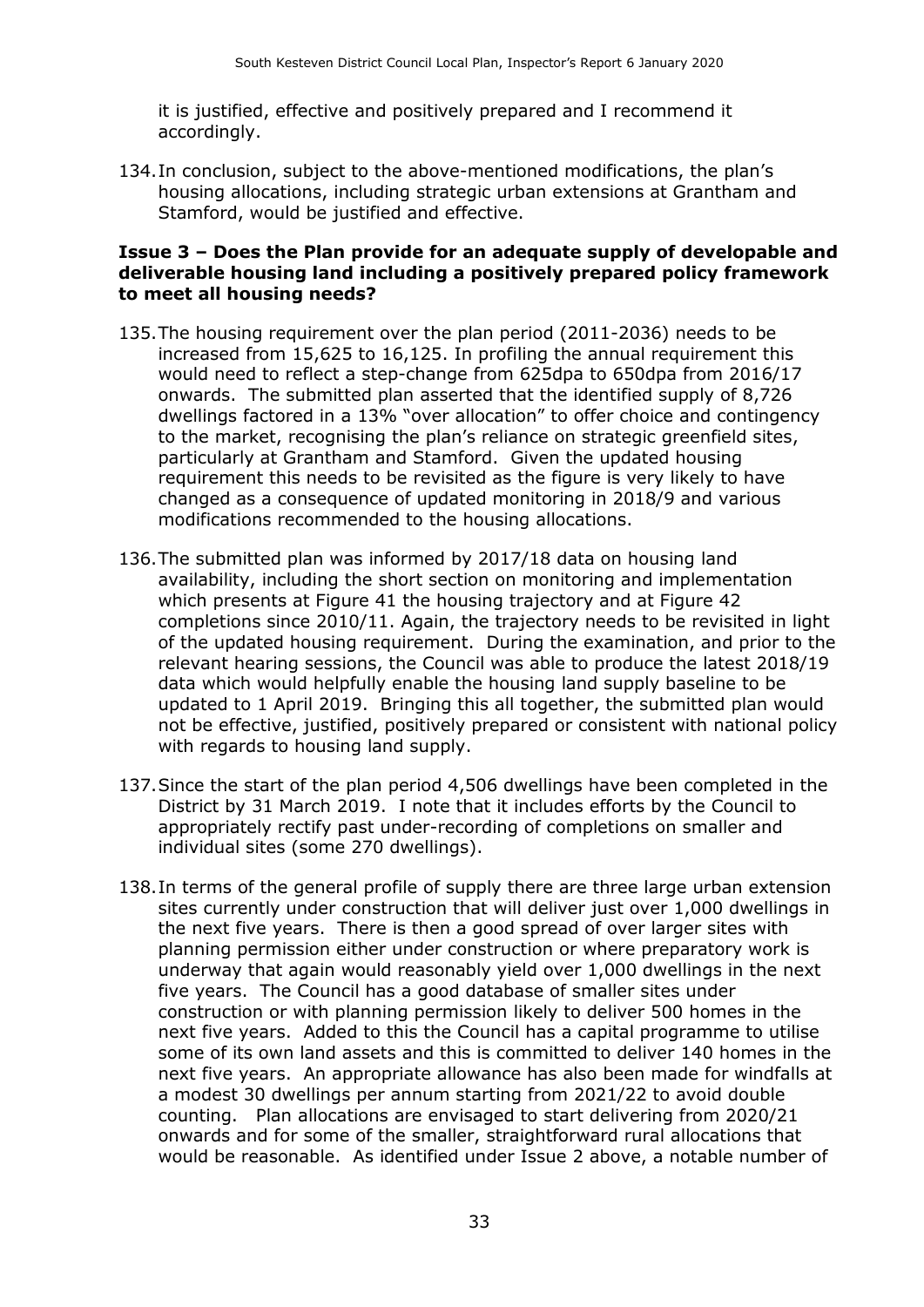it is justified, effective and positively prepared and I recommend it accordingly.

134.In conclusion, subject to the above-mentioned modifications, the plan's housing allocations, including strategic urban extensions at Grantham and Stamford, would be justified and effective.

#### **Issue 3 – Does the Plan provide for an adequate supply of developable and deliverable housing land including a positively prepared policy framework to meet all housing needs?**

- 135.The housing requirement over the plan period (2011-2036) needs to be increased from 15,625 to 16,125. In profiling the annual requirement this would need to reflect a step-change from 625dpa to 650dpa from 2016/17 onwards. The submitted plan asserted that the identified supply of 8,726 dwellings factored in a 13% "over allocation" to offer choice and contingency to the market, recognising the plan's reliance on strategic greenfield sites, particularly at Grantham and Stamford. Given the updated housing requirement this needs to be revisited as the figure is very likely to have changed as a consequence of updated monitoring in 2018/9 and various modifications recommended to the housing allocations.
- 136.The submitted plan was informed by 2017/18 data on housing land availability, including the short section on monitoring and implementation which presents at Figure 41 the housing trajectory and at Figure 42 completions since 2010/11. Again, the trajectory needs to be revisited in light of the updated housing requirement. During the examination, and prior to the relevant hearing sessions, the Council was able to produce the latest 2018/19 data which would helpfully enable the housing land supply baseline to be updated to 1 April 2019. Bringing this all together, the submitted plan would not be effective, justified, positively prepared or consistent with national policy with regards to housing land supply.
- 137.Since the start of the plan period 4,506 dwellings have been completed in the District by 31 March 2019. I note that it includes efforts by the Council to appropriately rectify past under-recording of completions on smaller and individual sites (some 270 dwellings).
- 138.In terms of the general profile of supply there are three large urban extension sites currently under construction that will deliver just over 1,000 dwellings in the next five years. There is then a good spread of over larger sites with planning permission either under construction or where preparatory work is underway that again would reasonably yield over 1,000 dwellings in the next five years. The Council has a good database of smaller sites under construction or with planning permission likely to deliver 500 homes in the next five years. Added to this the Council has a capital programme to utilise some of its own land assets and this is committed to deliver 140 homes in the next five years. An appropriate allowance has also been made for windfalls at a modest 30 dwellings per annum starting from 2021/22 to avoid double counting. Plan allocations are envisaged to start delivering from 2020/21 onwards and for some of the smaller, straightforward rural allocations that would be reasonable. As identified under Issue 2 above, a notable number of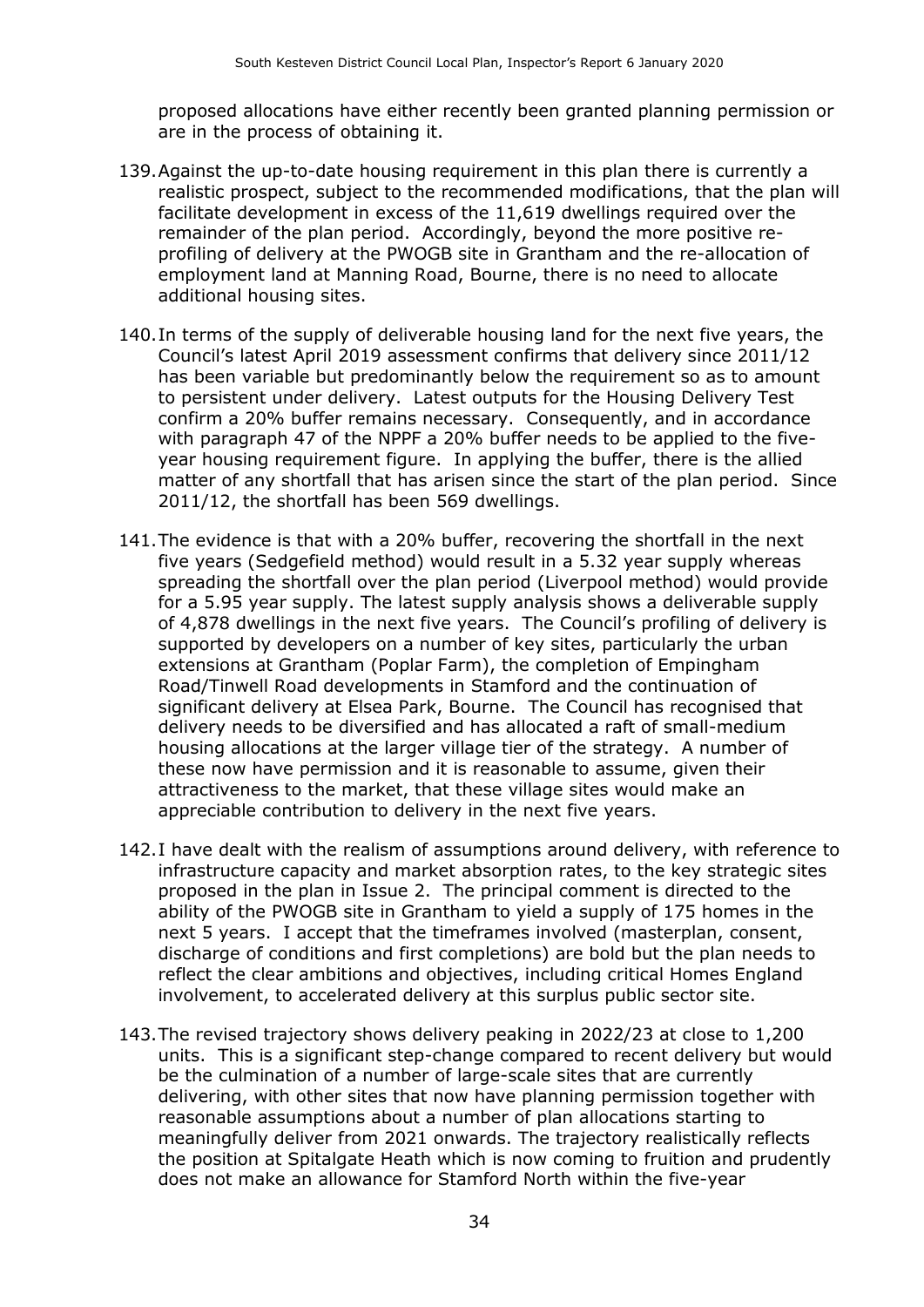proposed allocations have either recently been granted planning permission or are in the process of obtaining it.

- 139.Against the up-to-date housing requirement in this plan there is currently a realistic prospect, subject to the recommended modifications, that the plan will facilitate development in excess of the 11,619 dwellings required over the remainder of the plan period. Accordingly, beyond the more positive reprofiling of delivery at the PWOGB site in Grantham and the re-allocation of employment land at Manning Road, Bourne, there is no need to allocate additional housing sites.
- 140.In terms of the supply of deliverable housing land for the next five years, the Council's latest April 2019 assessment confirms that delivery since 2011/12 has been variable but predominantly below the requirement so as to amount to persistent under delivery. Latest outputs for the Housing Delivery Test confirm a 20% buffer remains necessary. Consequently, and in accordance with paragraph 47 of the NPPF a 20% buffer needs to be applied to the fiveyear housing requirement figure. In applying the buffer, there is the allied matter of any shortfall that has arisen since the start of the plan period. Since 2011/12, the shortfall has been 569 dwellings.
- 141.The evidence is that with a 20% buffer, recovering the shortfall in the next five years (Sedgefield method) would result in a 5.32 year supply whereas spreading the shortfall over the plan period (Liverpool method) would provide for a 5.95 year supply. The latest supply analysis shows a deliverable supply of 4,878 dwellings in the next five years. The Council's profiling of delivery is supported by developers on a number of key sites, particularly the urban extensions at Grantham (Poplar Farm), the completion of Empingham Road/Tinwell Road developments in Stamford and the continuation of significant delivery at Elsea Park, Bourne. The Council has recognised that delivery needs to be diversified and has allocated a raft of small-medium housing allocations at the larger village tier of the strategy. A number of these now have permission and it is reasonable to assume, given their attractiveness to the market, that these village sites would make an appreciable contribution to delivery in the next five years.
- 142.I have dealt with the realism of assumptions around delivery, with reference to infrastructure capacity and market absorption rates, to the key strategic sites proposed in the plan in Issue 2. The principal comment is directed to the ability of the PWOGB site in Grantham to yield a supply of 175 homes in the next 5 years. I accept that the timeframes involved (masterplan, consent, discharge of conditions and first completions) are bold but the plan needs to reflect the clear ambitions and objectives, including critical Homes England involvement, to accelerated delivery at this surplus public sector site.
- 143.The revised trajectory shows delivery peaking in 2022/23 at close to 1,200 units. This is a significant step-change compared to recent delivery but would be the culmination of a number of large-scale sites that are currently delivering, with other sites that now have planning permission together with reasonable assumptions about a number of plan allocations starting to meaningfully deliver from 2021 onwards. The trajectory realistically reflects the position at Spitalgate Heath which is now coming to fruition and prudently does not make an allowance for Stamford North within the five-year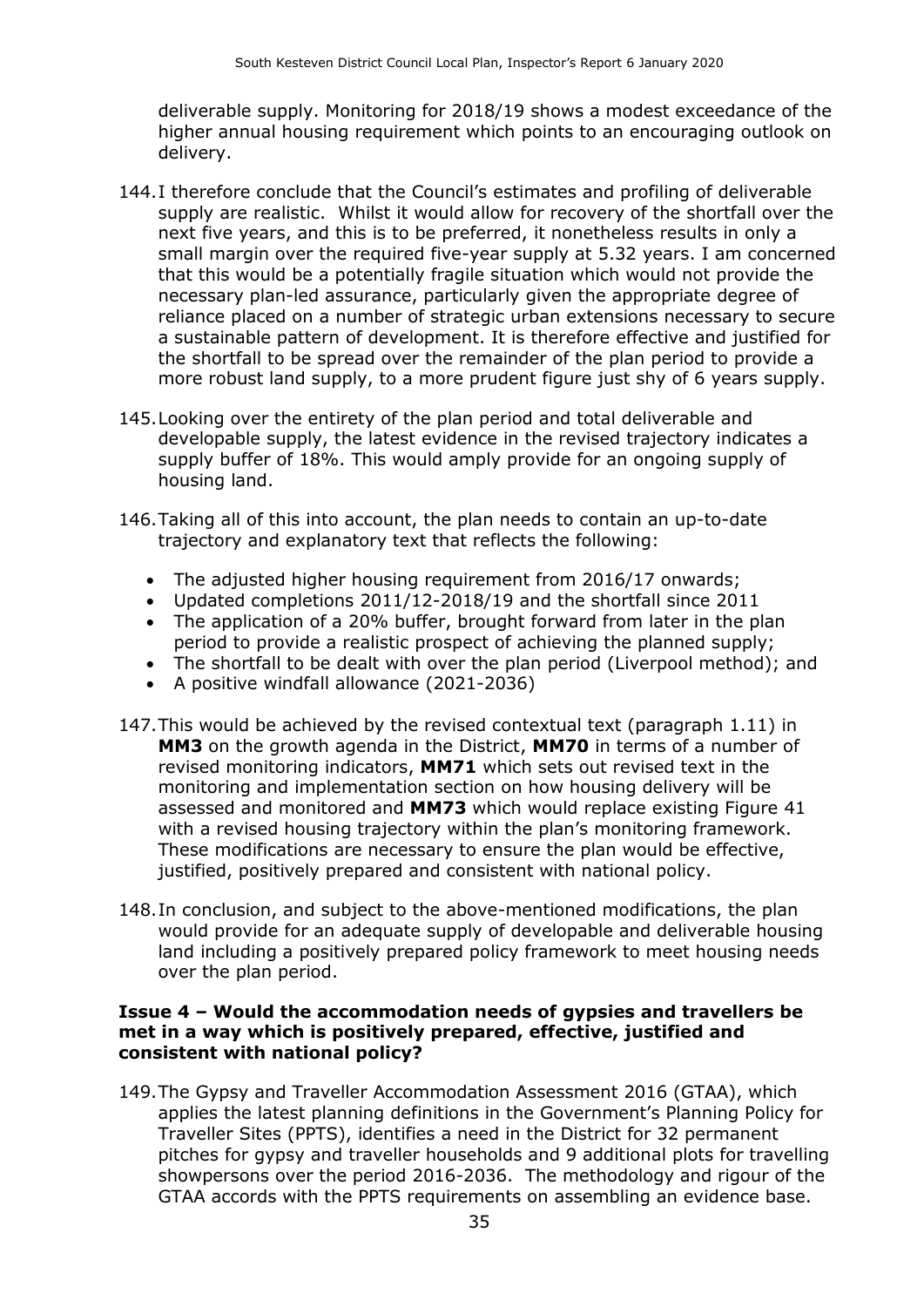deliverable supply. Monitoring for 2018/19 shows a modest exceedance of the higher annual housing requirement which points to an encouraging outlook on delivery.

- 144.I therefore conclude that the Council's estimates and profiling of deliverable supply are realistic. Whilst it would allow for recovery of the shortfall over the next five years, and this is to be preferred, it nonetheless results in only a small margin over the required five-year supply at 5.32 years. I am concerned that this would be a potentially fragile situation which would not provide the necessary plan-led assurance, particularly given the appropriate degree of reliance placed on a number of strategic urban extensions necessary to secure a sustainable pattern of development. It is therefore effective and justified for the shortfall to be spread over the remainder of the plan period to provide a more robust land supply, to a more prudent figure just shy of 6 years supply.
- 145.Looking over the entirety of the plan period and total deliverable and developable supply, the latest evidence in the revised trajectory indicates a supply buffer of 18%. This would amply provide for an ongoing supply of housing land.
- 146.Taking all of this into account, the plan needs to contain an up-to-date trajectory and explanatory text that reflects the following:
	- The adjusted higher housing requirement from 2016/17 onwards;
	- Updated completions 2011/12-2018/19 and the shortfall since 2011
	- The application of a 20% buffer, brought forward from later in the plan period to provide a realistic prospect of achieving the planned supply;
	- The shortfall to be dealt with over the plan period (Liverpool method); and
	- A positive windfall allowance (2021-2036)
- 147.This would be achieved by the revised contextual text (paragraph 1.11) in **MM3** on the growth agenda in the District, **MM70** in terms of a number of revised monitoring indicators, **MM71** which sets out revised text in the monitoring and implementation section on how housing delivery will be assessed and monitored and **MM73** which would replace existing Figure 41 with a revised housing trajectory within the plan's monitoring framework. These modifications are necessary to ensure the plan would be effective, justified, positively prepared and consistent with national policy.
- 148.In conclusion, and subject to the above-mentioned modifications, the plan would provide for an adequate supply of developable and deliverable housing land including a positively prepared policy framework to meet housing needs over the plan period.

#### **Issue 4 – Would the accommodation needs of gypsies and travellers be met in a way which is positively prepared, effective, justified and consistent with national policy?**

149.The Gypsy and Traveller Accommodation Assessment 2016 (GTAA), which applies the latest planning definitions in the Government's Planning Policy for Traveller Sites (PPTS), identifies a need in the District for 32 permanent pitches for gypsy and traveller households and 9 additional plots for travelling showpersons over the period 2016-2036. The methodology and rigour of the GTAA accords with the PPTS requirements on assembling an evidence base.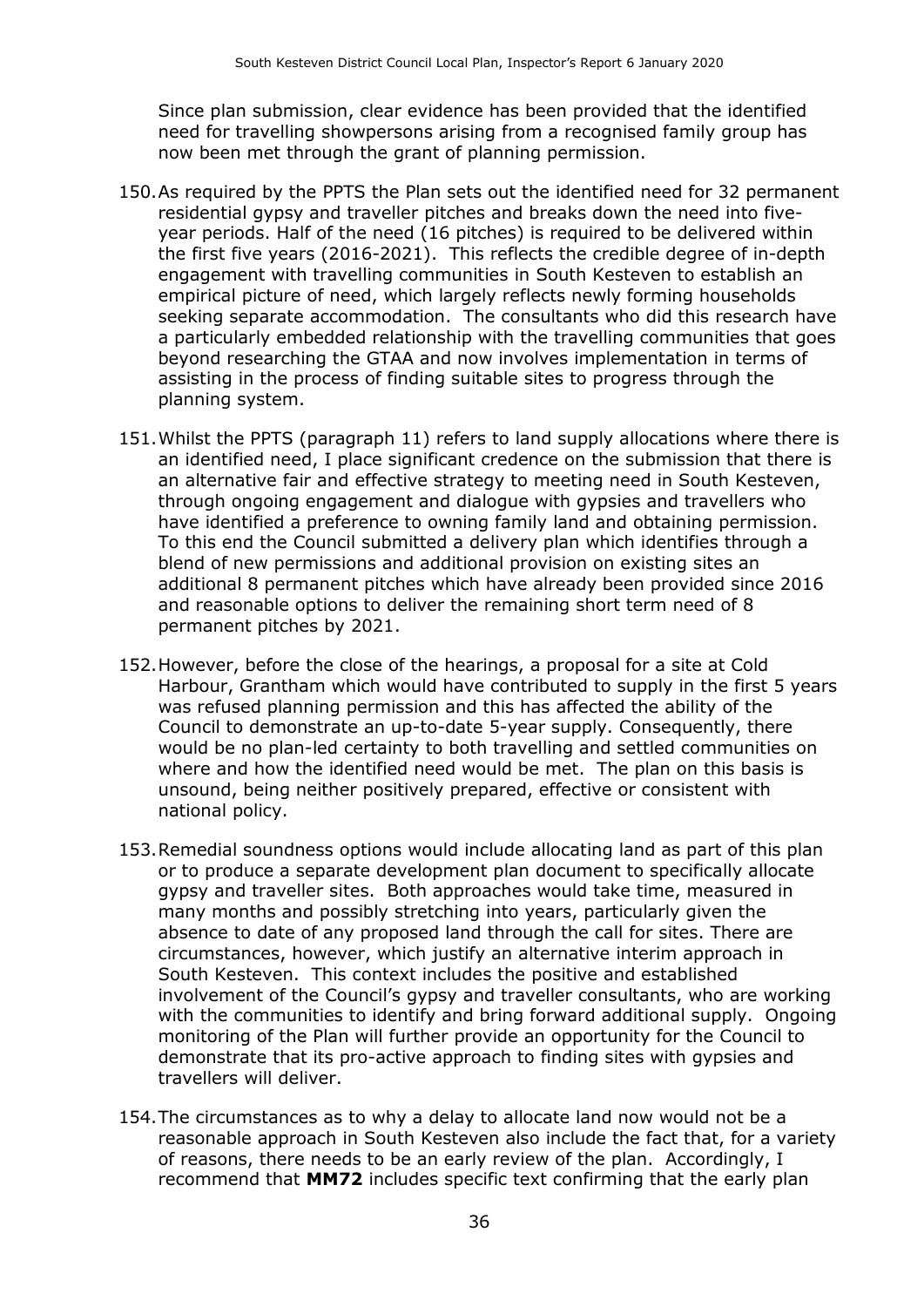Since plan submission, clear evidence has been provided that the identified need for travelling showpersons arising from a recognised family group has now been met through the grant of planning permission.

- 150.As required by the PPTS the Plan sets out the identified need for 32 permanent residential gypsy and traveller pitches and breaks down the need into fiveyear periods. Half of the need (16 pitches) is required to be delivered within the first five years (2016-2021). This reflects the credible degree of in-depth engagement with travelling communities in South Kesteven to establish an empirical picture of need, which largely reflects newly forming households seeking separate accommodation. The consultants who did this research have a particularly embedded relationship with the travelling communities that goes beyond researching the GTAA and now involves implementation in terms of assisting in the process of finding suitable sites to progress through the planning system.
- 151.Whilst the PPTS (paragraph 11) refers to land supply allocations where there is an identified need, I place significant credence on the submission that there is an alternative fair and effective strategy to meeting need in South Kesteven, through ongoing engagement and dialogue with gypsies and travellers who have identified a preference to owning family land and obtaining permission. To this end the Council submitted a delivery plan which identifies through a blend of new permissions and additional provision on existing sites an additional 8 permanent pitches which have already been provided since 2016 and reasonable options to deliver the remaining short term need of 8 permanent pitches by 2021.
- 152.However, before the close of the hearings, a proposal for a site at Cold Harbour, Grantham which would have contributed to supply in the first 5 years was refused planning permission and this has affected the ability of the Council to demonstrate an up-to-date 5-year supply. Consequently, there would be no plan-led certainty to both travelling and settled communities on where and how the identified need would be met. The plan on this basis is unsound, being neither positively prepared, effective or consistent with national policy.
- 153.Remedial soundness options would include allocating land as part of this plan or to produce a separate development plan document to specifically allocate gypsy and traveller sites. Both approaches would take time, measured in many months and possibly stretching into years, particularly given the absence to date of any proposed land through the call for sites. There are circumstances, however, which justify an alternative interim approach in South Kesteven. This context includes the positive and established involvement of the Council's gypsy and traveller consultants, who are working with the communities to identify and bring forward additional supply. Ongoing monitoring of the Plan will further provide an opportunity for the Council to demonstrate that its pro-active approach to finding sites with gypsies and travellers will deliver.
- 154.The circumstances as to why a delay to allocate land now would not be a reasonable approach in South Kesteven also include the fact that, for a variety of reasons, there needs to be an early review of the plan. Accordingly, I recommend that **MM72** includes specific text confirming that the early plan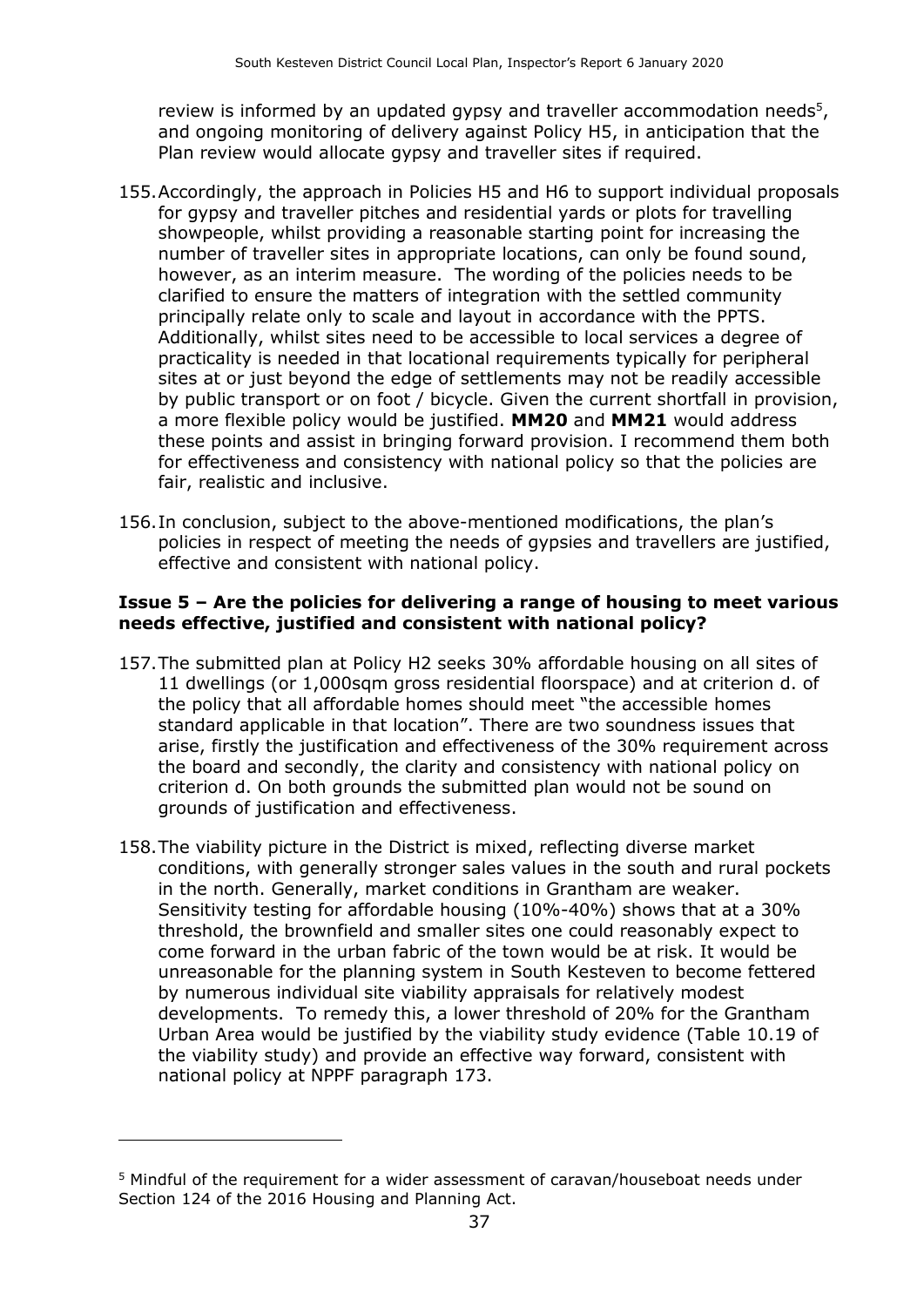review is informed by an updated gypsy and traveller accommodation needs<sup>5</sup>, and ongoing monitoring of delivery against Policy H5, in anticipation that the Plan review would allocate gypsy and traveller sites if required.

- 155.Accordingly, the approach in Policies H5 and H6 to support individual proposals for gypsy and traveller pitches and residential yards or plots for travelling showpeople, whilst providing a reasonable starting point for increasing the number of traveller sites in appropriate locations, can only be found sound, however, as an interim measure. The wording of the policies needs to be clarified to ensure the matters of integration with the settled community principally relate only to scale and layout in accordance with the PPTS. Additionally, whilst sites need to be accessible to local services a degree of practicality is needed in that locational requirements typically for peripheral sites at or just beyond the edge of settlements may not be readily accessible by public transport or on foot / bicycle. Given the current shortfall in provision, a more flexible policy would be justified. **MM20** and **MM21** would address these points and assist in bringing forward provision. I recommend them both for effectiveness and consistency with national policy so that the policies are fair, realistic and inclusive.
- 156.In conclusion, subject to the above-mentioned modifications, the plan's policies in respect of meeting the needs of gypsies and travellers are justified, effective and consistent with national policy.

#### **Issue 5 – Are the policies for delivering a range of housing to meet various needs effective, justified and consistent with national policy?**

- 157.The submitted plan at Policy H2 seeks 30% affordable housing on all sites of 11 dwellings (or 1,000sqm gross residential floorspace) and at criterion d. of the policy that all affordable homes should meet "the accessible homes standard applicable in that location". There are two soundness issues that arise, firstly the justification and effectiveness of the 30% requirement across the board and secondly, the clarity and consistency with national policy on criterion d. On both grounds the submitted plan would not be sound on grounds of justification and effectiveness.
- 158.The viability picture in the District is mixed, reflecting diverse market conditions, with generally stronger sales values in the south and rural pockets in the north. Generally, market conditions in Grantham are weaker. Sensitivity testing for affordable housing (10%-40%) shows that at a 30% threshold, the brownfield and smaller sites one could reasonably expect to come forward in the urban fabric of the town would be at risk. It would be unreasonable for the planning system in South Kesteven to become fettered by numerous individual site viability appraisals for relatively modest developments. To remedy this, a lower threshold of 20% for the Grantham Urban Area would be justified by the viability study evidence (Table 10.19 of the viability study) and provide an effective way forward, consistent with national policy at NPPF paragraph 173.

-

<sup>5</sup> Mindful of the requirement for a wider assessment of caravan/houseboat needs under Section 124 of the 2016 Housing and Planning Act.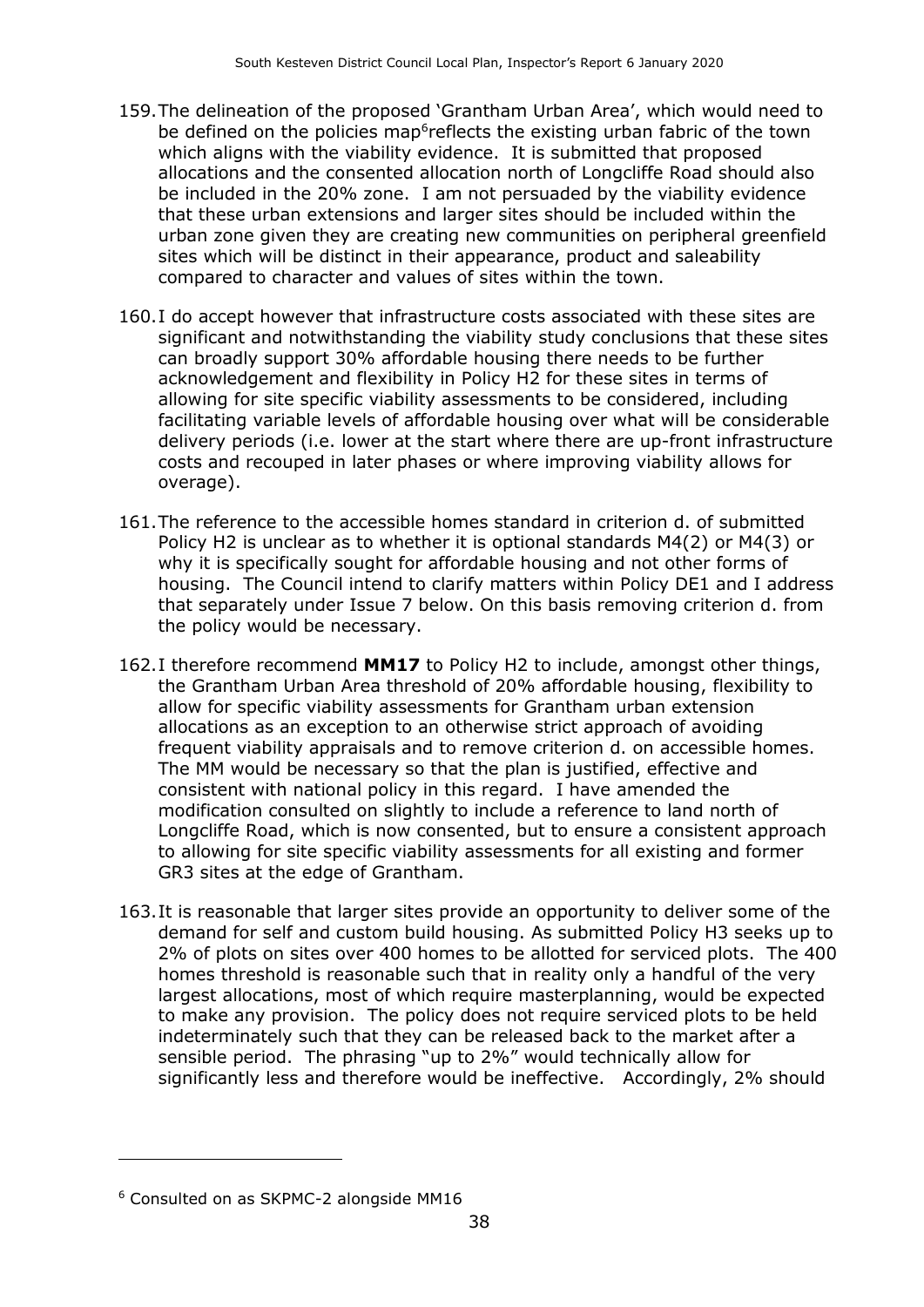- 159.The delineation of the proposed 'Grantham Urban Area', which would need to be defined on the policies map<sup>6</sup>reflects the existing urban fabric of the town which aligns with the viability evidence. It is submitted that proposed allocations and the consented allocation north of Longcliffe Road should also be included in the 20% zone. I am not persuaded by the viability evidence that these urban extensions and larger sites should be included within the urban zone given they are creating new communities on peripheral greenfield sites which will be distinct in their appearance, product and saleability compared to character and values of sites within the town.
- 160.I do accept however that infrastructure costs associated with these sites are significant and notwithstanding the viability study conclusions that these sites can broadly support 30% affordable housing there needs to be further acknowledgement and flexibility in Policy H2 for these sites in terms of allowing for site specific viability assessments to be considered, including facilitating variable levels of affordable housing over what will be considerable delivery periods (i.e. lower at the start where there are up-front infrastructure costs and recouped in later phases or where improving viability allows for overage).
- 161.The reference to the accessible homes standard in criterion d. of submitted Policy H2 is unclear as to whether it is optional standards M4(2) or M4(3) or why it is specifically sought for affordable housing and not other forms of housing. The Council intend to clarify matters within Policy DE1 and I address that separately under Issue 7 below. On this basis removing criterion d. from the policy would be necessary.
- 162.I therefore recommend **MM17** to Policy H2 to include, amongst other things, the Grantham Urban Area threshold of 20% affordable housing, flexibility to allow for specific viability assessments for Grantham urban extension allocations as an exception to an otherwise strict approach of avoiding frequent viability appraisals and to remove criterion d. on accessible homes. The MM would be necessary so that the plan is justified, effective and consistent with national policy in this regard. I have amended the modification consulted on slightly to include a reference to land north of Longcliffe Road, which is now consented, but to ensure a consistent approach to allowing for site specific viability assessments for all existing and former GR3 sites at the edge of Grantham.
- 163.It is reasonable that larger sites provide an opportunity to deliver some of the demand for self and custom build housing. As submitted Policy H3 seeks up to 2% of plots on sites over 400 homes to be allotted for serviced plots. The 400 homes threshold is reasonable such that in reality only a handful of the very largest allocations, most of which require masterplanning, would be expected to make any provision. The policy does not require serviced plots to be held indeterminately such that they can be released back to the market after a sensible period. The phrasing "up to 2%" would technically allow for significantly less and therefore would be ineffective. Accordingly, 2% should

 $\overline{a}$ 

<sup>6</sup> Consulted on as SKPMC-2 alongside MM16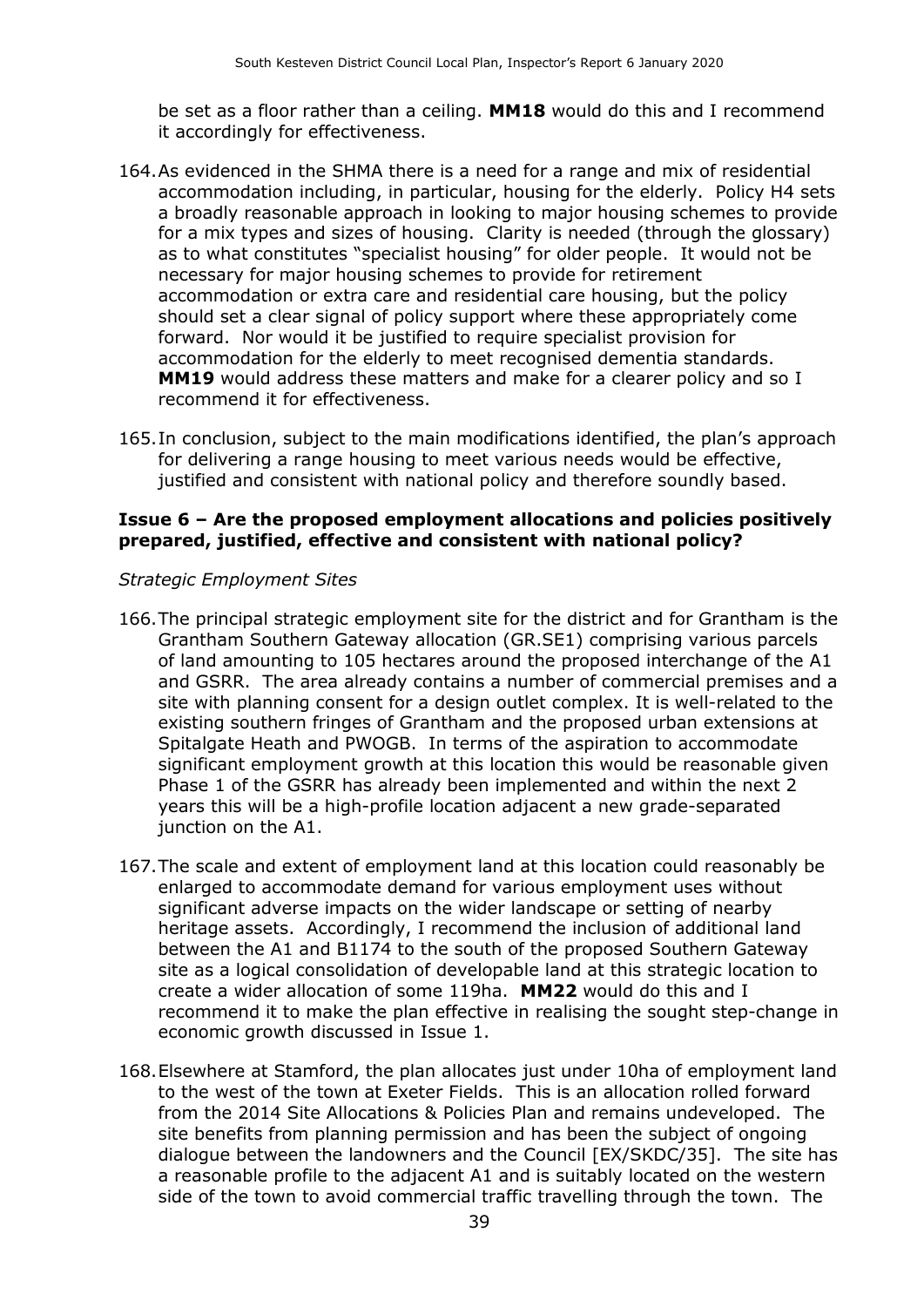be set as a floor rather than a ceiling. **MM18** would do this and I recommend it accordingly for effectiveness.

- 164.As evidenced in the SHMA there is a need for a range and mix of residential accommodation including, in particular, housing for the elderly. Policy H4 sets a broadly reasonable approach in looking to major housing schemes to provide for a mix types and sizes of housing. Clarity is needed (through the glossary) as to what constitutes "specialist housing" for older people. It would not be necessary for major housing schemes to provide for retirement accommodation or extra care and residential care housing, but the policy should set a clear signal of policy support where these appropriately come forward. Nor would it be justified to require specialist provision for accommodation for the elderly to meet recognised dementia standards. **MM19** would address these matters and make for a clearer policy and so I recommend it for effectiveness.
- 165.In conclusion, subject to the main modifications identified, the plan's approach for delivering a range housing to meet various needs would be effective, justified and consistent with national policy and therefore soundly based.

#### **Issue 6 – Are the proposed employment allocations and policies positively prepared, justified, effective and consistent with national policy?**

#### *Strategic Employment Sites*

- 166.The principal strategic employment site for the district and for Grantham is the Grantham Southern Gateway allocation (GR.SE1) comprising various parcels of land amounting to 105 hectares around the proposed interchange of the A1 and GSRR. The area already contains a number of commercial premises and a site with planning consent for a design outlet complex. It is well-related to the existing southern fringes of Grantham and the proposed urban extensions at Spitalgate Heath and PWOGB. In terms of the aspiration to accommodate significant employment growth at this location this would be reasonable given Phase 1 of the GSRR has already been implemented and within the next 2 years this will be a high-profile location adjacent a new grade-separated junction on the A1.
- 167.The scale and extent of employment land at this location could reasonably be enlarged to accommodate demand for various employment uses without significant adverse impacts on the wider landscape or setting of nearby heritage assets. Accordingly, I recommend the inclusion of additional land between the A1 and B1174 to the south of the proposed Southern Gateway site as a logical consolidation of developable land at this strategic location to create a wider allocation of some 119ha. **MM22** would do this and I recommend it to make the plan effective in realising the sought step-change in economic growth discussed in Issue 1.
- 168.Elsewhere at Stamford, the plan allocates just under 10ha of employment land to the west of the town at Exeter Fields. This is an allocation rolled forward from the 2014 Site Allocations & Policies Plan and remains undeveloped. The site benefits from planning permission and has been the subject of ongoing dialogue between the landowners and the Council [EX/SKDC/35]. The site has a reasonable profile to the adjacent A1 and is suitably located on the western side of the town to avoid commercial traffic travelling through the town. The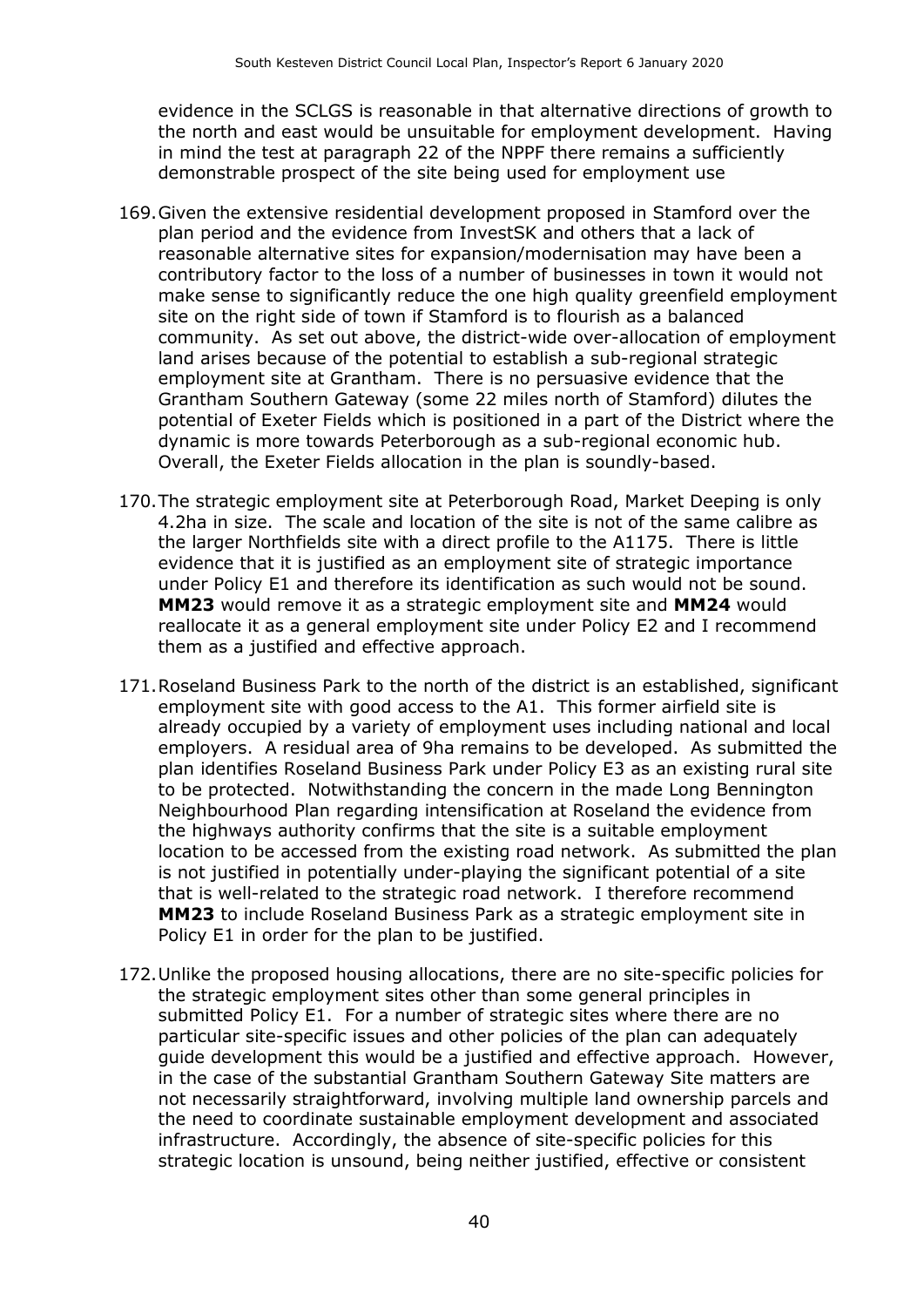evidence in the SCLGS is reasonable in that alternative directions of growth to the north and east would be unsuitable for employment development. Having in mind the test at paragraph 22 of the NPPF there remains a sufficiently demonstrable prospect of the site being used for employment use

- 169.Given the extensive residential development proposed in Stamford over the plan period and the evidence from InvestSK and others that a lack of reasonable alternative sites for expansion/modernisation may have been a contributory factor to the loss of a number of businesses in town it would not make sense to significantly reduce the one high quality greenfield employment site on the right side of town if Stamford is to flourish as a balanced community. As set out above, the district-wide over-allocation of employment land arises because of the potential to establish a sub-regional strategic employment site at Grantham. There is no persuasive evidence that the Grantham Southern Gateway (some 22 miles north of Stamford) dilutes the potential of Exeter Fields which is positioned in a part of the District where the dynamic is more towards Peterborough as a sub-regional economic hub. Overall, the Exeter Fields allocation in the plan is soundly-based.
- 170.The strategic employment site at Peterborough Road, Market Deeping is only 4.2ha in size. The scale and location of the site is not of the same calibre as the larger Northfields site with a direct profile to the A1175. There is little evidence that it is justified as an employment site of strategic importance under Policy E1 and therefore its identification as such would not be sound. **MM23** would remove it as a strategic employment site and **MM24** would reallocate it as a general employment site under Policy E2 and I recommend them as a justified and effective approach.
- 171.Roseland Business Park to the north of the district is an established, significant employment site with good access to the A1. This former airfield site is already occupied by a variety of employment uses including national and local employers. A residual area of 9ha remains to be developed. As submitted the plan identifies Roseland Business Park under Policy E3 as an existing rural site to be protected. Notwithstanding the concern in the made Long Bennington Neighbourhood Plan regarding intensification at Roseland the evidence from the highways authority confirms that the site is a suitable employment location to be accessed from the existing road network. As submitted the plan is not justified in potentially under-playing the significant potential of a site that is well-related to the strategic road network. I therefore recommend **MM23** to include Roseland Business Park as a strategic employment site in Policy E1 in order for the plan to be justified.
- 172.Unlike the proposed housing allocations, there are no site-specific policies for the strategic employment sites other than some general principles in submitted Policy E1. For a number of strategic sites where there are no particular site-specific issues and other policies of the plan can adequately guide development this would be a justified and effective approach. However, in the case of the substantial Grantham Southern Gateway Site matters are not necessarily straightforward, involving multiple land ownership parcels and the need to coordinate sustainable employment development and associated infrastructure. Accordingly, the absence of site-specific policies for this strategic location is unsound, being neither justified, effective or consistent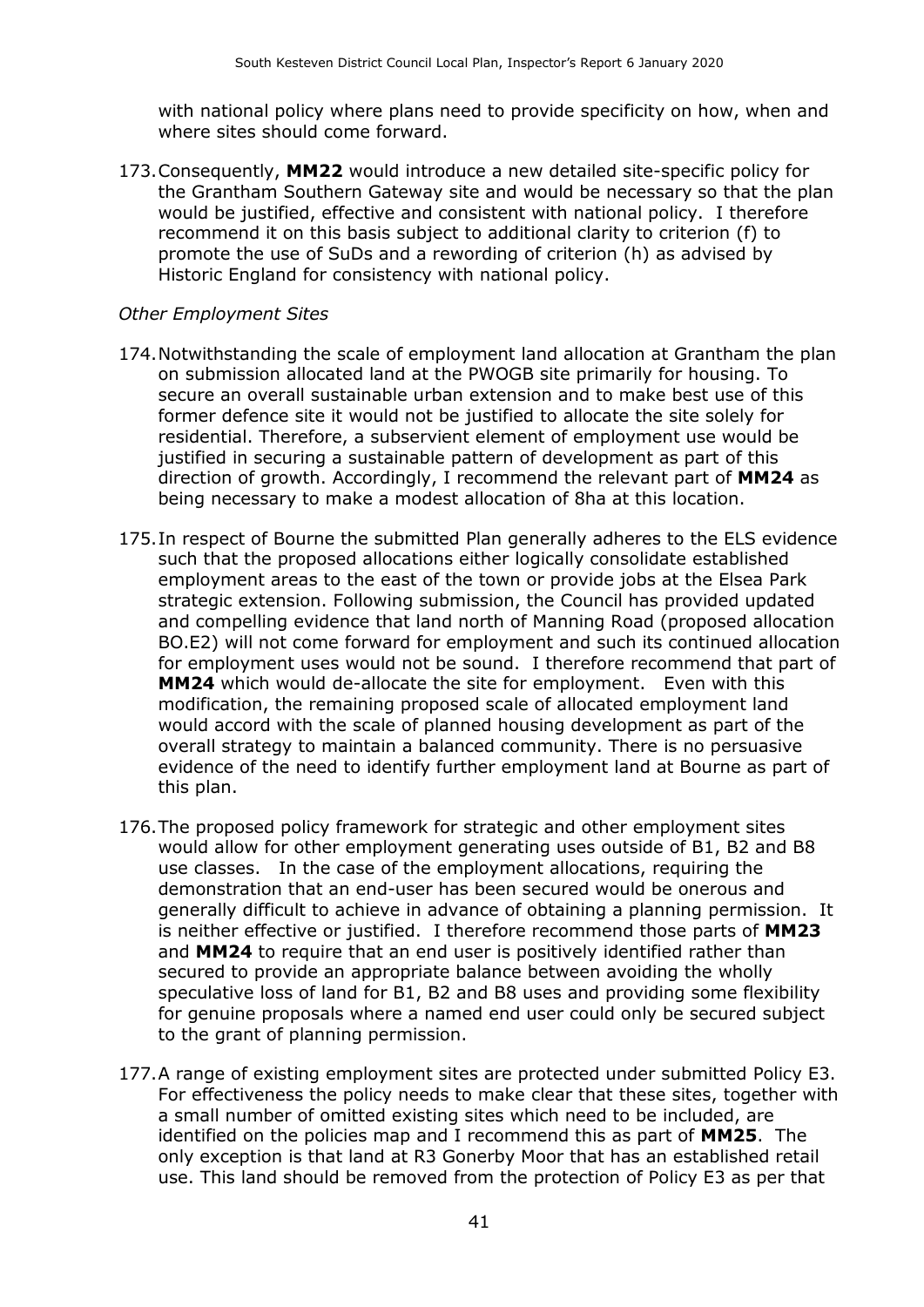with national policy where plans need to provide specificity on how, when and where sites should come forward.

173.Consequently, **MM22** would introduce a new detailed site-specific policy for the Grantham Southern Gateway site and would be necessary so that the plan would be justified, effective and consistent with national policy. I therefore recommend it on this basis subject to additional clarity to criterion (f) to promote the use of SuDs and a rewording of criterion (h) as advised by Historic England for consistency with national policy.

#### *Other Employment Sites*

- 174.Notwithstanding the scale of employment land allocation at Grantham the plan on submission allocated land at the PWOGB site primarily for housing. To secure an overall sustainable urban extension and to make best use of this former defence site it would not be justified to allocate the site solely for residential. Therefore, a subservient element of employment use would be justified in securing a sustainable pattern of development as part of this direction of growth. Accordingly, I recommend the relevant part of **MM24** as being necessary to make a modest allocation of 8ha at this location.
- 175.In respect of Bourne the submitted Plan generally adheres to the ELS evidence such that the proposed allocations either logically consolidate established employment areas to the east of the town or provide jobs at the Elsea Park strategic extension. Following submission, the Council has provided updated and compelling evidence that land north of Manning Road (proposed allocation BO.E2) will not come forward for employment and such its continued allocation for employment uses would not be sound. I therefore recommend that part of **MM24** which would de-allocate the site for employment. Even with this modification, the remaining proposed scale of allocated employment land would accord with the scale of planned housing development as part of the overall strategy to maintain a balanced community. There is no persuasive evidence of the need to identify further employment land at Bourne as part of this plan.
- 176.The proposed policy framework for strategic and other employment sites would allow for other employment generating uses outside of B1, B2 and B8 use classes. In the case of the employment allocations, requiring the demonstration that an end-user has been secured would be onerous and generally difficult to achieve in advance of obtaining a planning permission. It is neither effective or justified. I therefore recommend those parts of **MM23** and **MM24** to require that an end user is positively identified rather than secured to provide an appropriate balance between avoiding the wholly speculative loss of land for B1, B2 and B8 uses and providing some flexibility for genuine proposals where a named end user could only be secured subject to the grant of planning permission.
- 177.A range of existing employment sites are protected under submitted Policy E3. For effectiveness the policy needs to make clear that these sites, together with a small number of omitted existing sites which need to be included, are identified on the policies map and I recommend this as part of **MM25**. The only exception is that land at R3 Gonerby Moor that has an established retail use. This land should be removed from the protection of Policy E3 as per that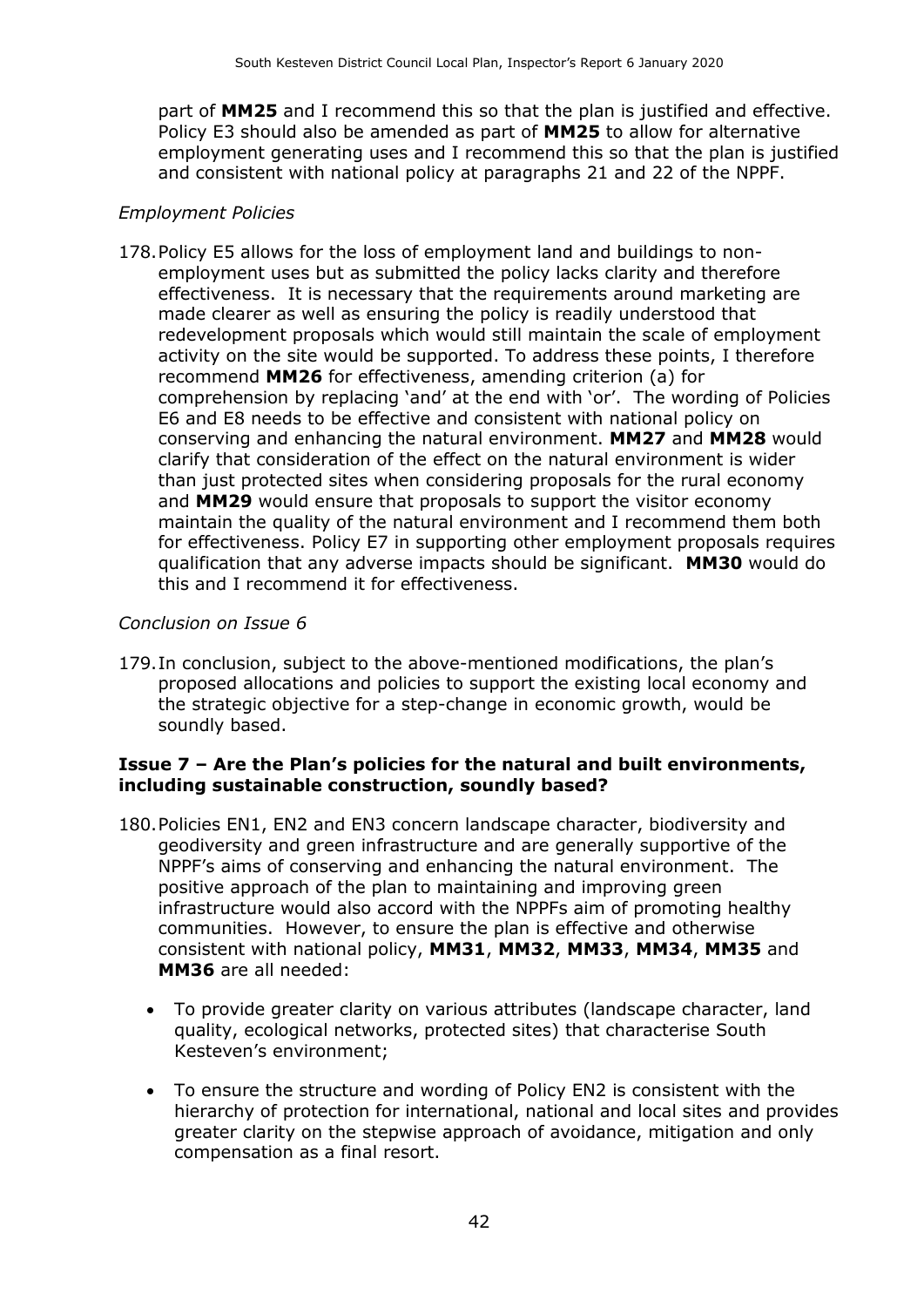part of **MM25** and I recommend this so that the plan is justified and effective. Policy E3 should also be amended as part of **MM25** to allow for alternative employment generating uses and I recommend this so that the plan is justified and consistent with national policy at paragraphs 21 and 22 of the NPPF.

#### *Employment Policies*

178.Policy E5 allows for the loss of employment land and buildings to nonemployment uses but as submitted the policy lacks clarity and therefore effectiveness. It is necessary that the requirements around marketing are made clearer as well as ensuring the policy is readily understood that redevelopment proposals which would still maintain the scale of employment activity on the site would be supported. To address these points, I therefore recommend **MM26** for effectiveness, amending criterion (a) for comprehension by replacing 'and' at the end with 'or'. The wording of Policies E6 and E8 needs to be effective and consistent with national policy on conserving and enhancing the natural environment. **MM27** and **MM28** would clarify that consideration of the effect on the natural environment is wider than just protected sites when considering proposals for the rural economy and **MM29** would ensure that proposals to support the visitor economy maintain the quality of the natural environment and I recommend them both for effectiveness. Policy E7 in supporting other employment proposals requires qualification that any adverse impacts should be significant. **MM30** would do this and I recommend it for effectiveness.

#### *Conclusion on Issue 6*

179.In conclusion, subject to the above-mentioned modifications, the plan's proposed allocations and policies to support the existing local economy and the strategic objective for a step-change in economic growth, would be soundly based.

#### **Issue 7 – Are the Plan's policies for the natural and built environments, including sustainable construction, soundly based?**

- 180.Policies EN1, EN2 and EN3 concern landscape character, biodiversity and geodiversity and green infrastructure and are generally supportive of the NPPF's aims of conserving and enhancing the natural environment. The positive approach of the plan to maintaining and improving green infrastructure would also accord with the NPPFs aim of promoting healthy communities. However, to ensure the plan is effective and otherwise consistent with national policy, **MM31**, **MM32**, **MM33**, **MM34**, **MM35** and **MM36** are all needed:
	- To provide greater clarity on various attributes (landscape character, land quality, ecological networks, protected sites) that characterise South Kesteven's environment;
	- To ensure the structure and wording of Policy EN2 is consistent with the hierarchy of protection for international, national and local sites and provides greater clarity on the stepwise approach of avoidance, mitigation and only compensation as a final resort.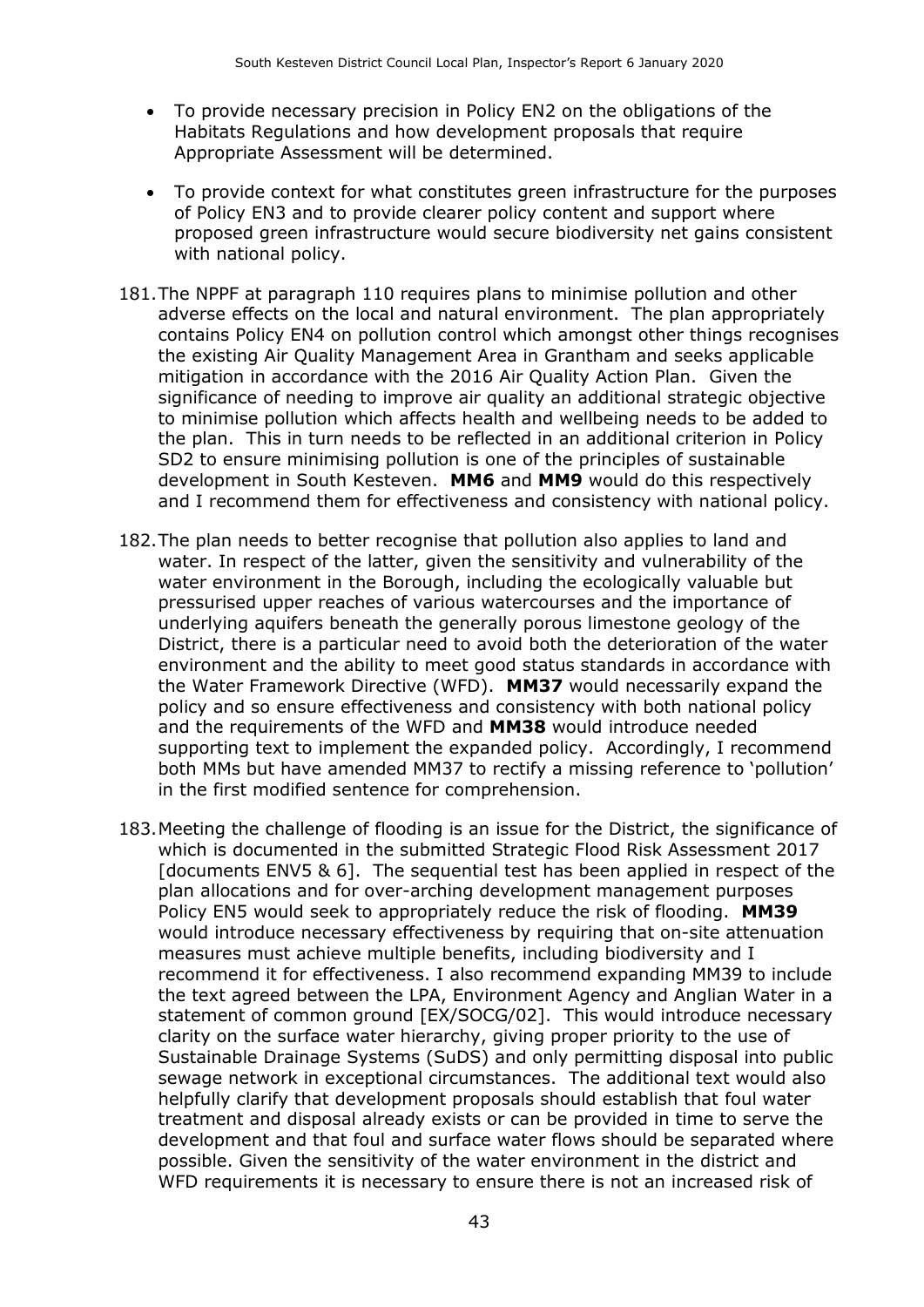- To provide necessary precision in Policy EN2 on the obligations of the Habitats Regulations and how development proposals that require Appropriate Assessment will be determined.
- To provide context for what constitutes green infrastructure for the purposes of Policy EN3 and to provide clearer policy content and support where proposed green infrastructure would secure biodiversity net gains consistent with national policy.
- 181.The NPPF at paragraph 110 requires plans to minimise pollution and other adverse effects on the local and natural environment. The plan appropriately contains Policy EN4 on pollution control which amongst other things recognises the existing Air Quality Management Area in Grantham and seeks applicable mitigation in accordance with the 2016 Air Quality Action Plan. Given the significance of needing to improve air quality an additional strategic objective to minimise pollution which affects health and wellbeing needs to be added to the plan. This in turn needs to be reflected in an additional criterion in Policy SD2 to ensure minimising pollution is one of the principles of sustainable development in South Kesteven. **MM6** and **MM9** would do this respectively and I recommend them for effectiveness and consistency with national policy.
- 182.The plan needs to better recognise that pollution also applies to land and water. In respect of the latter, given the sensitivity and vulnerability of the water environment in the Borough, including the ecologically valuable but pressurised upper reaches of various watercourses and the importance of underlying aquifers beneath the generally porous limestone geology of the District, there is a particular need to avoid both the deterioration of the water environment and the ability to meet good status standards in accordance with the Water Framework Directive (WFD). **MM37** would necessarily expand the policy and so ensure effectiveness and consistency with both national policy and the requirements of the WFD and **MM38** would introduce needed supporting text to implement the expanded policy. Accordingly, I recommend both MMs but have amended MM37 to rectify a missing reference to 'pollution' in the first modified sentence for comprehension.
- 183.Meeting the challenge of flooding is an issue for the District, the significance of which is documented in the submitted Strategic Flood Risk Assessment 2017 [documents ENV5 & 6]. The sequential test has been applied in respect of the plan allocations and for over-arching development management purposes Policy EN5 would seek to appropriately reduce the risk of flooding. **MM39** would introduce necessary effectiveness by requiring that on-site attenuation measures must achieve multiple benefits, including biodiversity and I recommend it for effectiveness. I also recommend expanding MM39 to include the text agreed between the LPA, Environment Agency and Anglian Water in a statement of common ground [EX/SOCG/02]. This would introduce necessary clarity on the surface water hierarchy, giving proper priority to the use of Sustainable Drainage Systems (SuDS) and only permitting disposal into public sewage network in exceptional circumstances. The additional text would also helpfully clarify that development proposals should establish that foul water treatment and disposal already exists or can be provided in time to serve the development and that foul and surface water flows should be separated where possible. Given the sensitivity of the water environment in the district and WFD requirements it is necessary to ensure there is not an increased risk of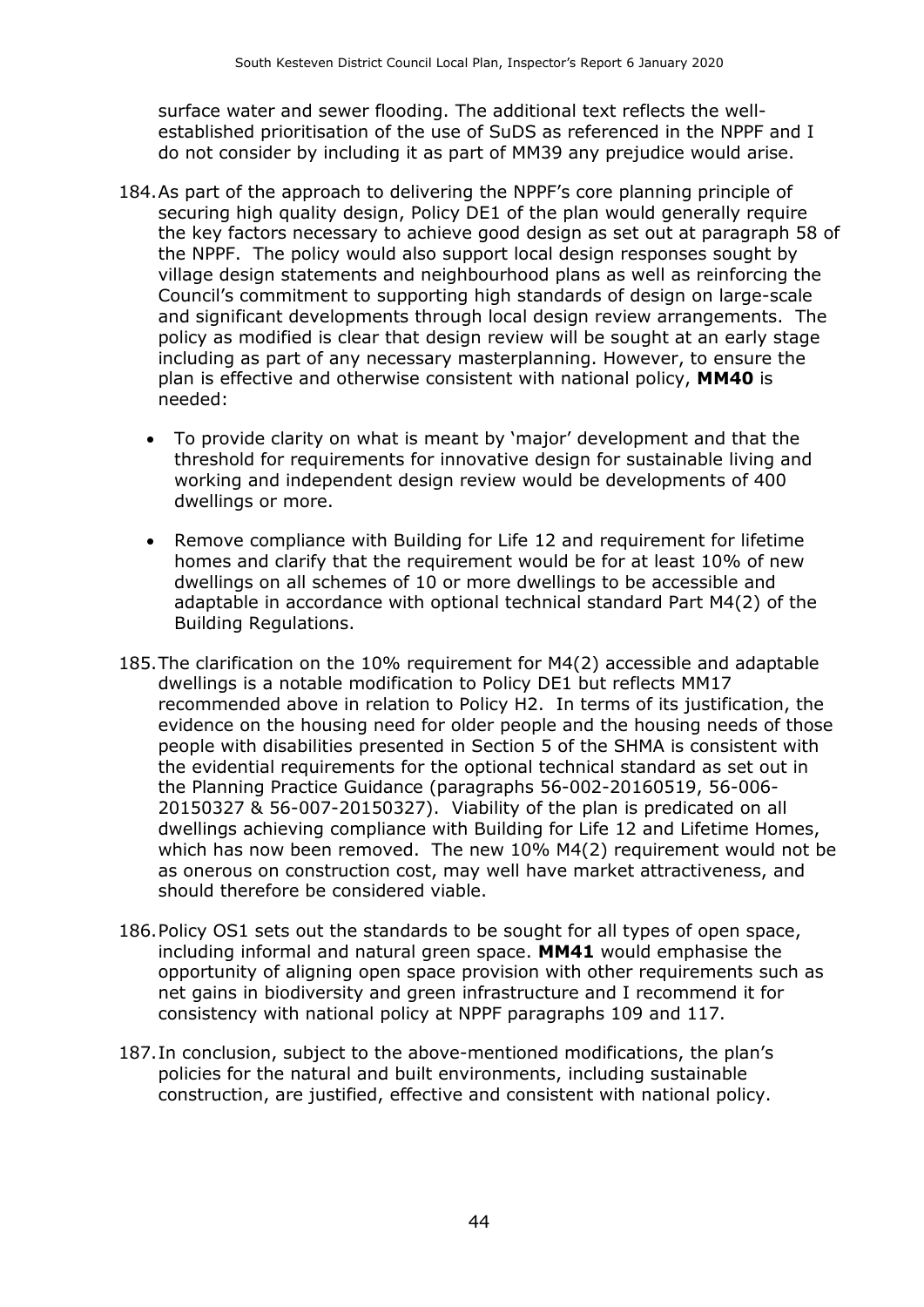surface water and sewer flooding. The additional text reflects the wellestablished prioritisation of the use of SuDS as referenced in the NPPF and I do not consider by including it as part of MM39 any prejudice would arise.

- 184.As part of the approach to delivering the NPPF's core planning principle of securing high quality design, Policy DE1 of the plan would generally require the key factors necessary to achieve good design as set out at paragraph 58 of the NPPF. The policy would also support local design responses sought by village design statements and neighbourhood plans as well as reinforcing the Council's commitment to supporting high standards of design on large-scale and significant developments through local design review arrangements. The policy as modified is clear that design review will be sought at an early stage including as part of any necessary masterplanning. However, to ensure the plan is effective and otherwise consistent with national policy, **MM40** is needed:
	- To provide clarity on what is meant by 'major' development and that the threshold for requirements for innovative design for sustainable living and working and independent design review would be developments of 400 dwellings or more.
	- Remove compliance with Building for Life 12 and requirement for lifetime homes and clarify that the requirement would be for at least 10% of new dwellings on all schemes of 10 or more dwellings to be accessible and adaptable in accordance with optional technical standard Part M4(2) of the Building Regulations.
- 185.The clarification on the 10% requirement for M4(2) accessible and adaptable dwellings is a notable modification to Policy DE1 but reflects MM17 recommended above in relation to Policy H2. In terms of its justification, the evidence on the housing need for older people and the housing needs of those people with disabilities presented in Section 5 of the SHMA is consistent with the evidential requirements for the optional technical standard as set out in the Planning Practice Guidance (paragraphs 56-002-20160519, 56-006- 20150327 & 56-007-20150327). Viability of the plan is predicated on all dwellings achieving compliance with Building for Life 12 and Lifetime Homes, which has now been removed. The new 10% M4(2) requirement would not be as onerous on construction cost, may well have market attractiveness, and should therefore be considered viable.
- 186.Policy OS1 sets out the standards to be sought for all types of open space, including informal and natural green space. **MM41** would emphasise the opportunity of aligning open space provision with other requirements such as net gains in biodiversity and green infrastructure and I recommend it for consistency with national policy at NPPF paragraphs 109 and 117.
- 187.In conclusion, subject to the above-mentioned modifications, the plan's policies for the natural and built environments, including sustainable construction, are justified, effective and consistent with national policy.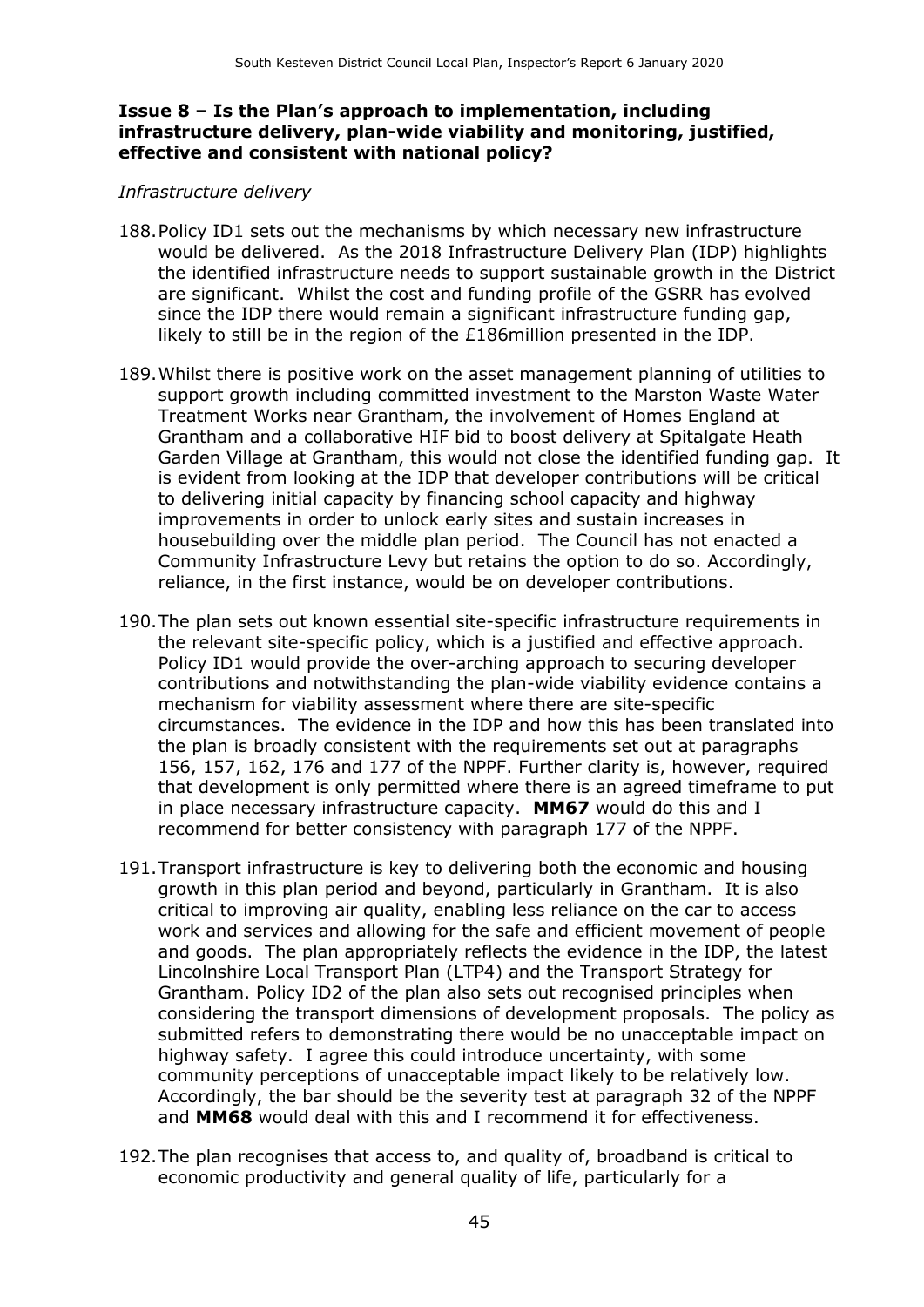#### **Issue 8 – Is the Plan's approach to implementation, including infrastructure delivery, plan-wide viability and monitoring, justified, effective and consistent with national policy?**

#### *Infrastructure delivery*

- 188.Policy ID1 sets out the mechanisms by which necessary new infrastructure would be delivered. As the 2018 Infrastructure Delivery Plan (IDP) highlights the identified infrastructure needs to support sustainable growth in the District are significant. Whilst the cost and funding profile of the GSRR has evolved since the IDP there would remain a significant infrastructure funding gap, likely to still be in the region of the £186million presented in the IDP.
- 189.Whilst there is positive work on the asset management planning of utilities to support growth including committed investment to the Marston Waste Water Treatment Works near Grantham, the involvement of Homes England at Grantham and a collaborative HIF bid to boost delivery at Spitalgate Heath Garden Village at Grantham, this would not close the identified funding gap. It is evident from looking at the IDP that developer contributions will be critical to delivering initial capacity by financing school capacity and highway improvements in order to unlock early sites and sustain increases in housebuilding over the middle plan period. The Council has not enacted a Community Infrastructure Levy but retains the option to do so. Accordingly, reliance, in the first instance, would be on developer contributions.
- 190.The plan sets out known essential site-specific infrastructure requirements in the relevant site-specific policy, which is a justified and effective approach. Policy ID1 would provide the over-arching approach to securing developer contributions and notwithstanding the plan-wide viability evidence contains a mechanism for viability assessment where there are site-specific circumstances. The evidence in the IDP and how this has been translated into the plan is broadly consistent with the requirements set out at paragraphs 156, 157, 162, 176 and 177 of the NPPF. Further clarity is, however, required that development is only permitted where there is an agreed timeframe to put in place necessary infrastructure capacity. **MM67** would do this and I recommend for better consistency with paragraph 177 of the NPPF.
- 191.Transport infrastructure is key to delivering both the economic and housing growth in this plan period and beyond, particularly in Grantham. It is also critical to improving air quality, enabling less reliance on the car to access work and services and allowing for the safe and efficient movement of people and goods. The plan appropriately reflects the evidence in the IDP, the latest Lincolnshire Local Transport Plan (LTP4) and the Transport Strategy for Grantham. Policy ID2 of the plan also sets out recognised principles when considering the transport dimensions of development proposals. The policy as submitted refers to demonstrating there would be no unacceptable impact on highway safety. I agree this could introduce uncertainty, with some community perceptions of unacceptable impact likely to be relatively low. Accordingly, the bar should be the severity test at paragraph 32 of the NPPF and **MM68** would deal with this and I recommend it for effectiveness.
- 192.The plan recognises that access to, and quality of, broadband is critical to economic productivity and general quality of life, particularly for a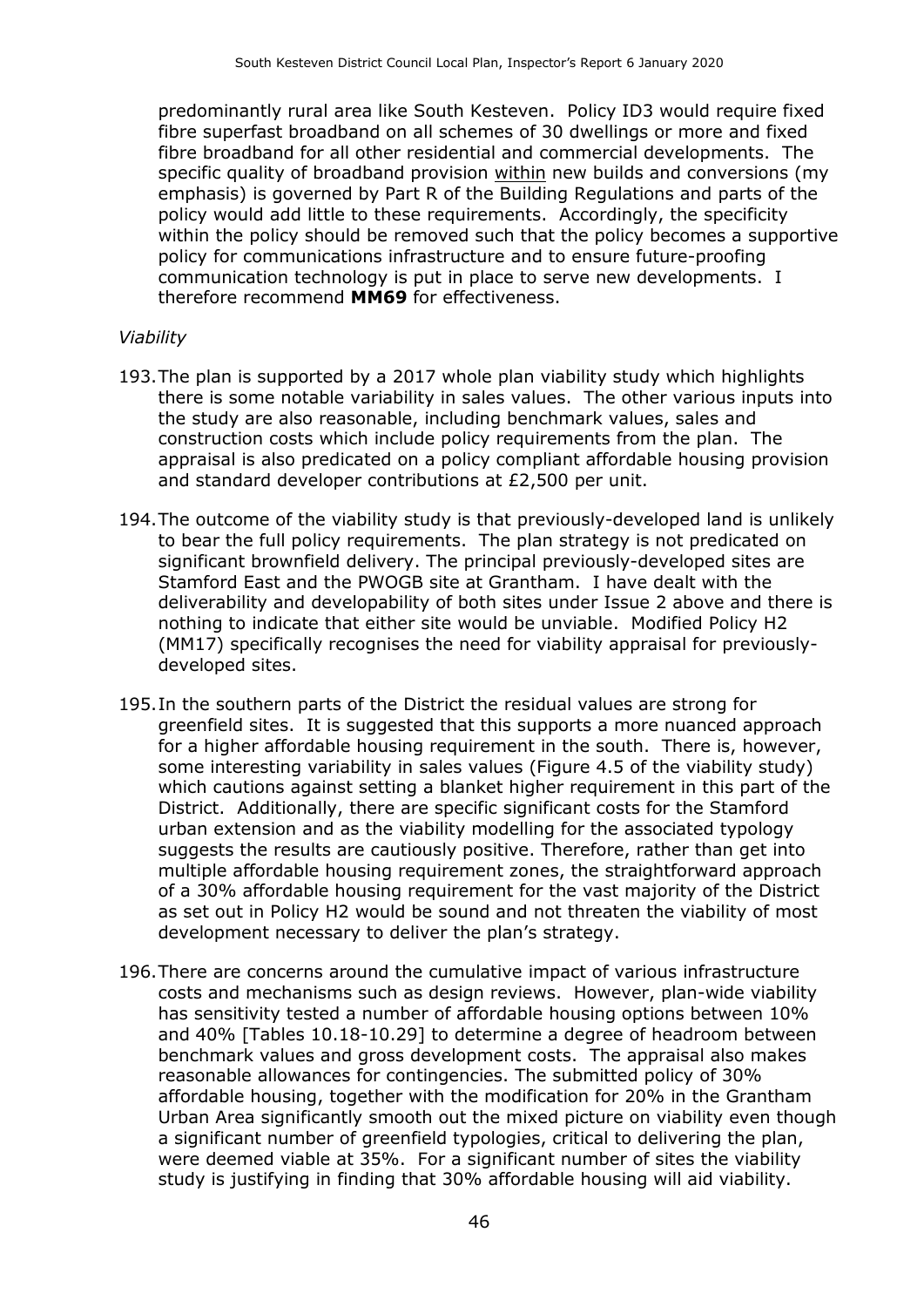predominantly rural area like South Kesteven. Policy ID3 would require fixed fibre superfast broadband on all schemes of 30 dwellings or more and fixed fibre broadband for all other residential and commercial developments. The specific quality of broadband provision within new builds and conversions (my emphasis) is governed by Part R of the Building Regulations and parts of the policy would add little to these requirements. Accordingly, the specificity within the policy should be removed such that the policy becomes a supportive policy for communications infrastructure and to ensure future-proofing communication technology is put in place to serve new developments. I therefore recommend **MM69** for effectiveness.

#### *Viability*

- 193.The plan is supported by a 2017 whole plan viability study which highlights there is some notable variability in sales values. The other various inputs into the study are also reasonable, including benchmark values, sales and construction costs which include policy requirements from the plan. The appraisal is also predicated on a policy compliant affordable housing provision and standard developer contributions at £2,500 per unit.
- 194.The outcome of the viability study is that previously-developed land is unlikely to bear the full policy requirements. The plan strategy is not predicated on significant brownfield delivery. The principal previously-developed sites are Stamford East and the PWOGB site at Grantham. I have dealt with the deliverability and developability of both sites under Issue 2 above and there is nothing to indicate that either site would be unviable. Modified Policy H2 (MM17) specifically recognises the need for viability appraisal for previouslydeveloped sites.
- 195.In the southern parts of the District the residual values are strong for greenfield sites. It is suggested that this supports a more nuanced approach for a higher affordable housing requirement in the south. There is, however, some interesting variability in sales values (Figure 4.5 of the viability study) which cautions against setting a blanket higher requirement in this part of the District. Additionally, there are specific significant costs for the Stamford urban extension and as the viability modelling for the associated typology suggests the results are cautiously positive. Therefore, rather than get into multiple affordable housing requirement zones, the straightforward approach of a 30% affordable housing requirement for the vast majority of the District as set out in Policy H2 would be sound and not threaten the viability of most development necessary to deliver the plan's strategy.
- 196.There are concerns around the cumulative impact of various infrastructure costs and mechanisms such as design reviews. However, plan-wide viability has sensitivity tested a number of affordable housing options between 10% and 40% [Tables 10.18-10.29] to determine a degree of headroom between benchmark values and gross development costs. The appraisal also makes reasonable allowances for contingencies. The submitted policy of 30% affordable housing, together with the modification for 20% in the Grantham Urban Area significantly smooth out the mixed picture on viability even though a significant number of greenfield typologies, critical to delivering the plan, were deemed viable at 35%. For a significant number of sites the viability study is justifying in finding that 30% affordable housing will aid viability.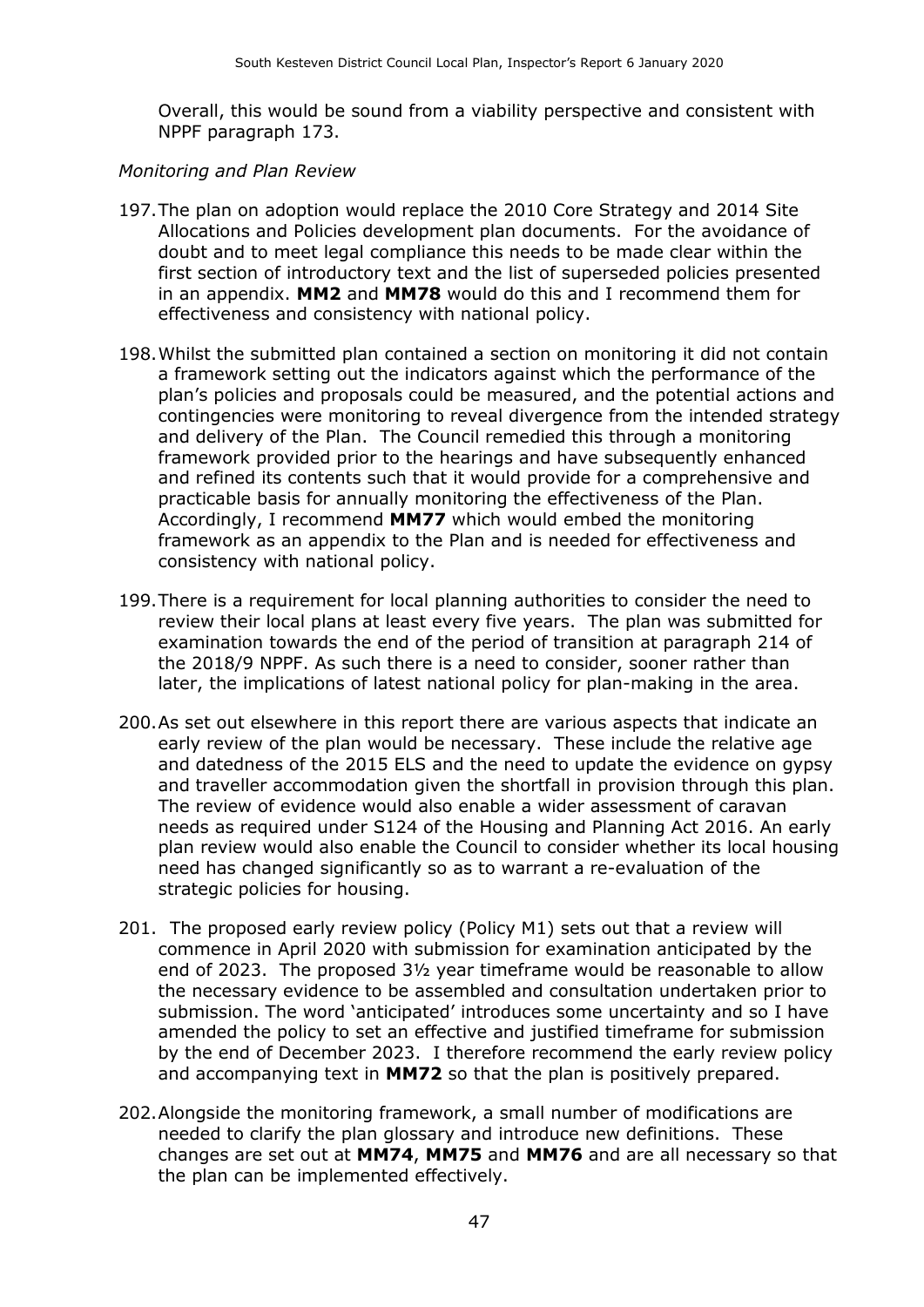Overall, this would be sound from a viability perspective and consistent with NPPF paragraph 173.

#### *Monitoring and Plan Review*

- 197.The plan on adoption would replace the 2010 Core Strategy and 2014 Site Allocations and Policies development plan documents. For the avoidance of doubt and to meet legal compliance this needs to be made clear within the first section of introductory text and the list of superseded policies presented in an appendix. **MM2** and **MM78** would do this and I recommend them for effectiveness and consistency with national policy.
- 198.Whilst the submitted plan contained a section on monitoring it did not contain a framework setting out the indicators against which the performance of the plan's policies and proposals could be measured, and the potential actions and contingencies were monitoring to reveal divergence from the intended strategy and delivery of the Plan. The Council remedied this through a monitoring framework provided prior to the hearings and have subsequently enhanced and refined its contents such that it would provide for a comprehensive and practicable basis for annually monitoring the effectiveness of the Plan. Accordingly, I recommend **MM77** which would embed the monitoring framework as an appendix to the Plan and is needed for effectiveness and consistency with national policy.
- 199.There is a requirement for local planning authorities to consider the need to review their local plans at least every five years. The plan was submitted for examination towards the end of the period of transition at paragraph 214 of the 2018/9 NPPF. As such there is a need to consider, sooner rather than later, the implications of latest national policy for plan-making in the area.
- 200.As set out elsewhere in this report there are various aspects that indicate an early review of the plan would be necessary. These include the relative age and datedness of the 2015 ELS and the need to update the evidence on gypsy and traveller accommodation given the shortfall in provision through this plan. The review of evidence would also enable a wider assessment of caravan needs as required under S124 of the Housing and Planning Act 2016. An early plan review would also enable the Council to consider whether its local housing need has changed significantly so as to warrant a re-evaluation of the strategic policies for housing.
- 201. The proposed early review policy (Policy M1) sets out that a review will commence in April 2020 with submission for examination anticipated by the end of 2023. The proposed 3½ year timeframe would be reasonable to allow the necessary evidence to be assembled and consultation undertaken prior to submission. The word 'anticipated' introduces some uncertainty and so I have amended the policy to set an effective and justified timeframe for submission by the end of December 2023. I therefore recommend the early review policy and accompanying text in **MM72** so that the plan is positively prepared.
- 202.Alongside the monitoring framework, a small number of modifications are needed to clarify the plan glossary and introduce new definitions. These changes are set out at **MM74**, **MM75** and **MM76** and are all necessary so that the plan can be implemented effectively.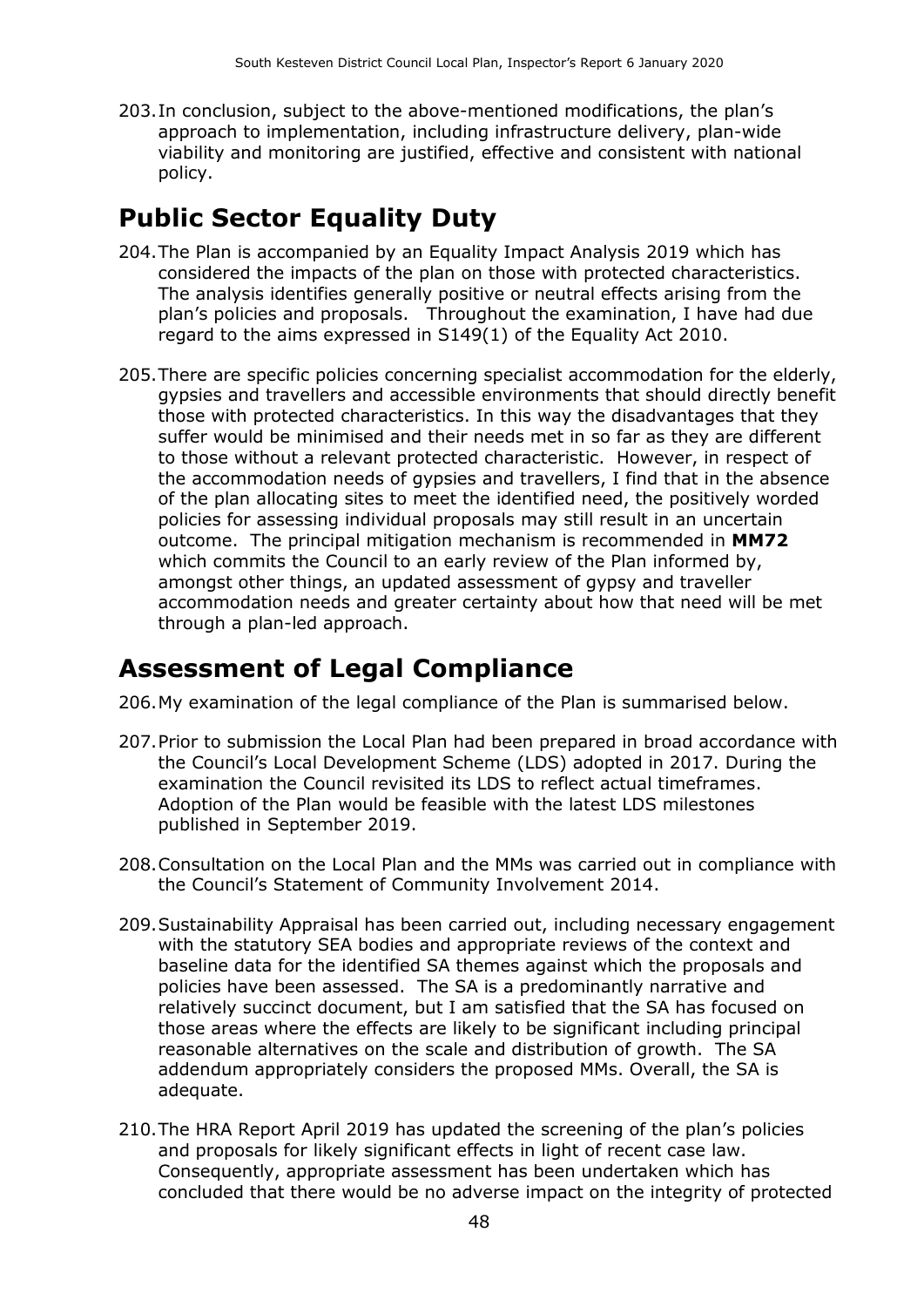203.In conclusion, subject to the above-mentioned modifications, the plan's approach to implementation, including infrastructure delivery, plan-wide viability and monitoring are justified, effective and consistent with national policy.

## **Public Sector Equality Duty**

- 204.The Plan is accompanied by an Equality Impact Analysis 2019 which has considered the impacts of the plan on those with protected characteristics. The analysis identifies generally positive or neutral effects arising from the plan's policies and proposals. Throughout the examination, I have had due regard to the aims expressed in S149(1) of the Equality Act 2010.
- 205.There are specific policies concerning specialist accommodation for the elderly, gypsies and travellers and accessible environments that should directly benefit those with protected characteristics. In this way the disadvantages that they suffer would be minimised and their needs met in so far as they are different to those without a relevant protected characteristic. However, in respect of the accommodation needs of gypsies and travellers, I find that in the absence of the plan allocating sites to meet the identified need, the positively worded policies for assessing individual proposals may still result in an uncertain outcome. The principal mitigation mechanism is recommended in **MM72** which commits the Council to an early review of the Plan informed by, amongst other things, an updated assessment of gypsy and traveller accommodation needs and greater certainty about how that need will be met through a plan-led approach.

### **Assessment of Legal Compliance**

206.My examination of the legal compliance of the Plan is summarised below.

- 207.Prior to submission the Local Plan had been prepared in broad accordance with the Council's Local Development Scheme (LDS) adopted in 2017. During the examination the Council revisited its LDS to reflect actual timeframes. Adoption of the Plan would be feasible with the latest LDS milestones published in September 2019.
- 208.Consultation on the Local Plan and the MMs was carried out in compliance with the Council's Statement of Community Involvement 2014.
- 209.Sustainability Appraisal has been carried out, including necessary engagement with the statutory SEA bodies and appropriate reviews of the context and baseline data for the identified SA themes against which the proposals and policies have been assessed. The SA is a predominantly narrative and relatively succinct document, but I am satisfied that the SA has focused on those areas where the effects are likely to be significant including principal reasonable alternatives on the scale and distribution of growth. The SA addendum appropriately considers the proposed MMs. Overall, the SA is adequate.
- 210.The HRA Report April 2019 has updated the screening of the plan's policies and proposals for likely significant effects in light of recent case law. Consequently, appropriate assessment has been undertaken which has concluded that there would be no adverse impact on the integrity of protected